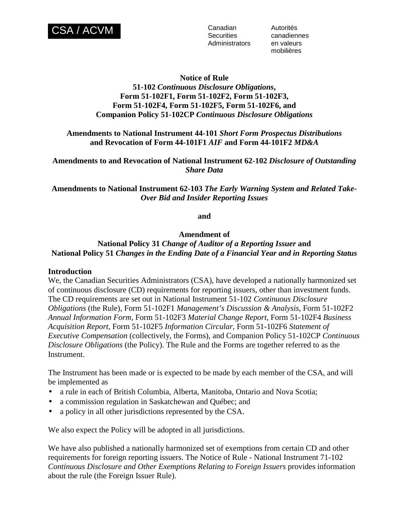

**Securities** Administrators Autorités canadiennes en valeurs mobilières

# **Notice of Rule 51-102** *Continuous Disclosure Obligations***, Form 51-102F1, Form 51-102F2, Form 51-102F3, Form 51-102F4, Form 51-102F5, Form 51-102F6, and Companion Policy 51-102CP** *Continuous Disclosure Obligations*

**Amendments to National Instrument 44-101** *Short Form Prospectus Distributions*  **and Revocation of Form 44-101F1** *AIF* **and Form 44-101F2** *MD&A*

**Amendments to and Revocation of National Instrument 62-102** *Disclosure of Outstanding Share Data* 

**Amendments to National Instrument 62-103** *The Early Warning System and Related Take-Over Bid and Insider Reporting Issues* 

**and** 

**Amendment of** 

**National Policy 31** *Change of Auditor of a Reporting Issuer* **and National Policy 51** *Changes in the Ending Date of a Financial Year and in Reporting Status*

# **Introduction**

We, the Canadian Securities Administrators (CSA), have developed a nationally harmonized set of continuous disclosure (CD) requirements for reporting issuers, other than investment funds. The CD requirements are set out in National Instrument 51-102 *Continuous Disclosure Obligations* (the Rule), Form 51-102F1 *Management's Discussion & Analysis*, Form 51-102F2 *Annual Information Form*, Form 51-102F3 *Material Change Report*, Form 51-102F4 *Business Acquisition Report*, Form 51-102F5 *Information Circular*, Form 51-102F6 *Statement of Executive Compensation* (collectively, the Forms), and Companion Policy 51-102CP *Continuous Disclosure Obligations* (the Policy). The Rule and the Forms are together referred to as the Instrument.

The Instrument has been made or is expected to be made by each member of the CSA, and will be implemented as

- a rule in each of British Columbia, Alberta, Manitoba, Ontario and Nova Scotia;
- a commission regulation in Saskatchewan and Québec; and
- a policy in all other jurisdictions represented by the CSA.

We also expect the Policy will be adopted in all jurisdictions.

We have also published a nationally harmonized set of exemptions from certain CD and other requirements for foreign reporting issuers. The Notice of Rule - National Instrument 71-102 *Continuous Disclosure and Other Exemptions Relating to Foreign Issuers* provides information about the rule (the Foreign Issuer Rule).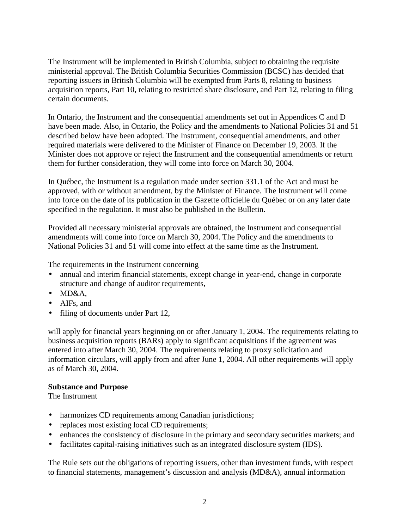The Instrument will be implemented in British Columbia, subject to obtaining the requisite ministerial approval. The British Columbia Securities Commission (BCSC) has decided that reporting issuers in British Columbia will be exempted from Parts 8, relating to business acquisition reports, Part 10, relating to restricted share disclosure, and Part 12, relating to filing certain documents.

In Ontario, the Instrument and the consequential amendments set out in Appendices C and D have been made. Also, in Ontario, the Policy and the amendments to National Policies 31 and 51 described below have been adopted. The Instrument, consequential amendments, and other required materials were delivered to the Minister of Finance on December 19, 2003. If the Minister does not approve or reject the Instrument and the consequential amendments or return them for further consideration, they will come into force on March 30, 2004.

In Québec, the Instrument is a regulation made under section 331.1 of the Act and must be approved, with or without amendment, by the Minister of Finance. The Instrument will come into force on the date of its publication in the Gazette officielle du Québec or on any later date specified in the regulation. It must also be published in the Bulletin.

Provided all necessary ministerial approvals are obtained, the Instrument and consequential amendments will come into force on March 30, 2004. The Policy and the amendments to National Policies 31 and 51 will come into effect at the same time as the Instrument.

The requirements in the Instrument concerning

- annual and interim financial statements, except change in year-end, change in corporate structure and change of auditor requirements,
- MD&A,
- AIFs, and
- filing of documents under Part 12,

will apply for financial years beginning on or after January 1, 2004. The requirements relating to business acquisition reports (BARs) apply to significant acquisitions if the agreement was entered into after March 30, 2004. The requirements relating to proxy solicitation and information circulars, will apply from and after June 1, 2004. All other requirements will apply as of March 30, 2004.

### **Substance and Purpose**

The Instrument

- harmonizes CD requirements among Canadian jurisdictions;
- replaces most existing local CD requirements;
- enhances the consistency of disclosure in the primary and secondary securities markets; and
- facilitates capital-raising initiatives such as an integrated disclosure system (IDS).

The Rule sets out the obligations of reporting issuers, other than investment funds, with respect to financial statements, management's discussion and analysis (MD&A), annual information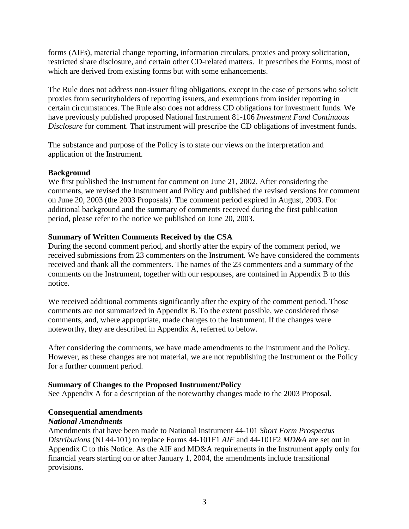forms (AIFs), material change reporting, information circulars, proxies and proxy solicitation, restricted share disclosure, and certain other CD-related matters. It prescribes the Forms, most of which are derived from existing forms but with some enhancements.

The Rule does not address non-issuer filing obligations, except in the case of persons who solicit proxies from securityholders of reporting issuers, and exemptions from insider reporting in certain circumstances. The Rule also does not address CD obligations for investment funds. We have previously published proposed National Instrument 81-106 *Investment Fund Continuous Disclosure* for comment. That instrument will prescribe the CD obligations of investment funds.

The substance and purpose of the Policy is to state our views on the interpretation and application of the Instrument.

### **Background**

We first published the Instrument for comment on June 21, 2002. After considering the comments, we revised the Instrument and Policy and published the revised versions for comment on June 20, 2003 (the 2003 Proposals). The comment period expired in August, 2003. For additional background and the summary of comments received during the first publication period, please refer to the notice we published on June 20, 2003.

### **Summary of Written Comments Received by the CSA**

During the second comment period, and shortly after the expiry of the comment period, we received submissions from 23 commenters on the Instrument. We have considered the comments received and thank all the commenters. The names of the 23 commenters and a summary of the comments on the Instrument, together with our responses, are contained in Appendix B to this notice.

We received additional comments significantly after the expiry of the comment period. Those comments are not summarized in Appendix B. To the extent possible, we considered those comments, and, where appropriate, made changes to the Instrument. If the changes were noteworthy, they are described in Appendix A, referred to below.

After considering the comments, we have made amendments to the Instrument and the Policy. However, as these changes are not material, we are not republishing the Instrument or the Policy for a further comment period.

### **Summary of Changes to the Proposed Instrument/Policy**

See Appendix A for a description of the noteworthy changes made to the 2003 Proposal.

# **Consequential amendments**

# *National Amendments*

Amendments that have been made to National Instrument 44-101 *Short Form Prospectus Distributions* (NI 44-101) to replace Forms 44-101F1 *AIF* and 44-101F2 *MD&A* are set out in Appendix C to this Notice. As the AIF and MD&A requirements in the Instrument apply only for financial years starting on or after January 1, 2004, the amendments include transitional provisions.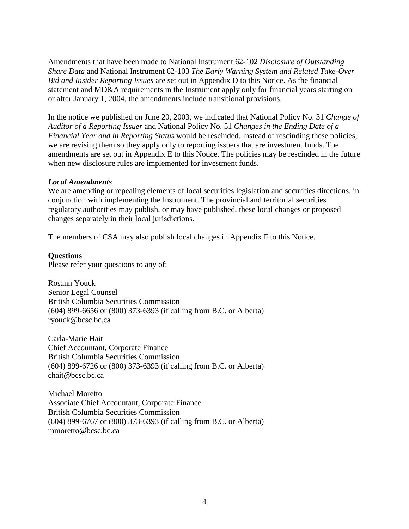Amendments that have been made to National Instrument 62-102 *Disclosure of Outstanding Share Data* and National Instrument 62-103 *The Early Warning System and Related Take-Over Bid and Insider Reporting Issues* are set out in Appendix D to this Notice. As the financial statement and MD&A requirements in the Instrument apply only for financial years starting on or after January 1, 2004, the amendments include transitional provisions.

In the notice we published on June 20, 2003, we indicated that National Policy No. 31 *Change of Auditor of a Reporting Issuer* and National Policy No. 51 *Changes in the Ending Date of a Financial Year and in Reporting Status* would be rescinded. Instead of rescinding these policies, we are revising them so they apply only to reporting issuers that are investment funds. The amendments are set out in Appendix E to this Notice. The policies may be rescinded in the future when new disclosure rules are implemented for investment funds.

### *Local Amendments*

We are amending or repealing elements of local securities legislation and securities directions, in conjunction with implementing the Instrument. The provincial and territorial securities regulatory authorities may publish, or may have published, these local changes or proposed changes separately in their local jurisdictions.

The members of CSA may also publish local changes in Appendix F to this Notice.

### **Questions**

Please refer your questions to any of:

Rosann Youck Senior Legal Counsel British Columbia Securities Commission (604) 899-6656 or (800) 373-6393 (if calling from B.C. or Alberta) ryouck@bcsc.bc.ca

Carla-Marie Hait Chief Accountant, Corporate Finance British Columbia Securities Commission (604) 899-6726 or (800) 373-6393 (if calling from B.C. or Alberta) chait@bcsc.bc.ca

Michael Moretto Associate Chief Accountant, Corporate Finance British Columbia Securities Commission (604) 899-6767 or (800) 373-6393 (if calling from B.C. or Alberta) mmoretto@bcsc.bc.ca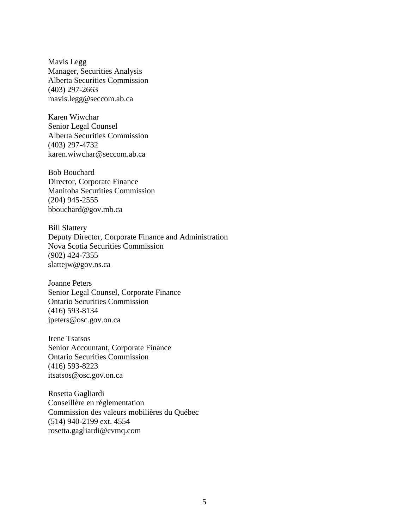Mavis Legg Manager, Securities Analysis Alberta Securities Commission (403) 297-2663 mavis.legg@seccom.ab.ca

Karen Wiwchar Senior Legal Counsel Alberta Securities Commission (403) 297-4732 karen.wiwchar@seccom.ab.ca

Bob Bouchard Director, Corporate Finance Manitoba Securities Commission (204) 945-2555 bbouchard@gov.mb.ca

Bill Slattery Deputy Director, Corporate Finance and Administration Nova Scotia Securities Commission (902) 424-7355 slattejw@gov.ns.ca

Joanne Peters Senior Legal Counsel, Corporate Finance Ontario Securities Commission (416) 593-8134 jpeters@osc.gov.on.ca

Irene Tsatsos Senior Accountant, Corporate Finance Ontario Securities Commission (416) 593-8223 itsatsos@osc.gov.on.ca

Rosetta Gagliardi Conseillère en réglementation Commission des valeurs mobilières du Québec (514) 940-2199 ext. 4554 rosetta.gagliardi@cvmq.com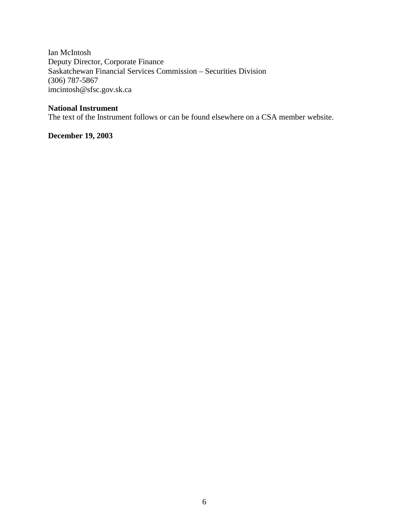Ian McIntosh Deputy Director, Corporate Finance Saskatchewan Financial Services Commission – Securities Division (306) 787-5867 imcintosh@sfsc.gov.sk.ca

# **National Instrument**

The text of the Instrument follows or can be found elsewhere on a CSA member website.

**December 19, 2003**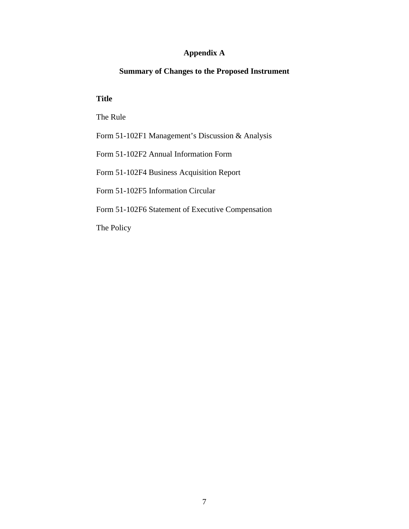# **Appendix A**

# **Summary of Changes to the Proposed Instrument**

### **Title**

The Rule

Form 51-102F1 Management's Discussion & Analysis

Form 51-102F2 Annual Information Form

Form 51-102F4 Business Acquisition Report

Form 51-102F5 Information Circular

Form 51-102F6 Statement of Executive Compensation

The Policy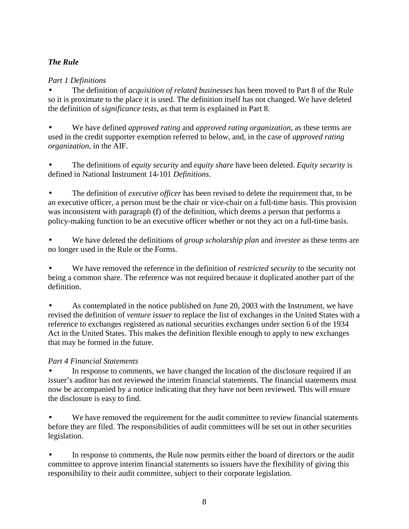# *The Rule*

# *Part 1 Definitions*

• The definition of *acquisition of related businesses* has been moved to Part 8 of the Rule so it is proximate to the place it is used. The definition itself has not changed. We have deleted the definition of *significance tests*, as that term is explained in Part 8.

• We have defined *approved rating* and *approved rating organization*, as these terms are used in the credit supporter exemption referred to below, and, in the case of *approved rating organization*, in the AIF.

• The definitions of *equity security* and *equity share* have been deleted. *Equity security* is defined in National Instrument 14-101 *Definitions*.

• The definition of *executive officer* has been revised to delete the requirement that, to be an executive officer, a person must be the chair or vice-chair on a full-time basis. This provision was inconsistent with paragraph (f) of the definition, which deems a person that performs a policy-making function to be an executive officer whether or not they act on a full-time basis.

• We have deleted the definitions of *group scholarship plan* and *investee* as these terms are no longer used in the Rule or the Forms.

• We have removed the reference in the definition of *restricted security* to the security not being a common share. The reference was not required because it duplicated another part of the definition.

• As contemplated in the notice published on June 20, 2003 with the Instrument, we have revised the definition of *venture issuer* to replace the list of exchanges in the United States with a reference to exchanges registered as national securities exchanges under section 6 of the 1934 Act in the United States. This makes the definition flexible enough to apply to new exchanges that may be formed in the future.

# *Part 4 Financial Statements*

In response to comments, we have changed the location of the disclosure required if an issuer's auditor has not reviewed the interim financial statements. The financial statements must now be accompanied by a notice indicating that they have not been reviewed. This will ensure the disclosure is easy to find.

We have removed the requirement for the audit committee to review financial statements before they are filed. The responsibilities of audit committees will be set out in other securities legislation.

In response to comments, the Rule now permits either the board of directors or the audit committee to approve interim financial statements so issuers have the flexibility of giving this responsibility to their audit committee, subject to their corporate legislation.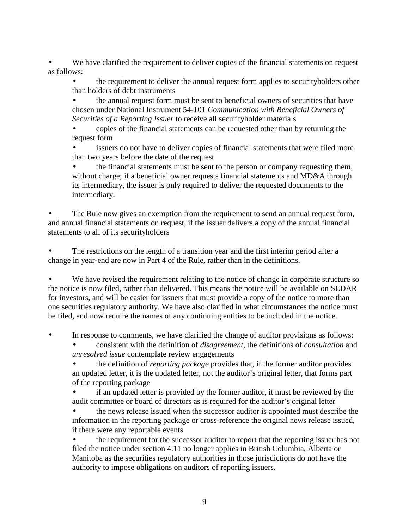We have clarified the requirement to deliver copies of the financial statements on request as follows:

• the requirement to deliver the annual request form applies to securityholders other than holders of debt instruments

• the annual request form must be sent to beneficial owners of securities that have chosen under National Instrument 54-101 *Communication with Beneficial Owners of Securities of a Reporting Issuer* to receive all securityholder materials

• copies of the financial statements can be requested other than by returning the request form

issuers do not have to deliver copies of financial statements that were filed more than two years before the date of the request

• the financial statements must be sent to the person or company requesting them, without charge; if a beneficial owner requests financial statements and MD&A through its intermediary, the issuer is only required to deliver the requested documents to the intermediary.

The Rule now gives an exemption from the requirement to send an annual request form, and annual financial statements on request, if the issuer delivers a copy of the annual financial statements to all of its securityholders

The restrictions on the length of a transition year and the first interim period after a change in year-end are now in Part 4 of the Rule, rather than in the definitions.

We have revised the requirement relating to the notice of change in corporate structure so the notice is now filed, rather than delivered. This means the notice will be available on SEDAR for investors, and will be easier for issuers that must provide a copy of the notice to more than one securities regulatory authority. We have also clarified in what circumstances the notice must be filed, and now require the names of any continuing entities to be included in the notice.

In response to comments, we have clarified the change of auditor provisions as follows:

• consistent with the definition of *disagreement*, the definitions of *consultation* and *unresolved issue* contemplate review engagements

• the definition of *reporting package* provides that, if the former auditor provides an updated letter, it is the updated letter, not the auditor's original letter, that forms part of the reporting package

• if an updated letter is provided by the former auditor, it must be reviewed by the audit committee or board of directors as is required for the auditor's original letter

• the news release issued when the successor auditor is appointed must describe the information in the reporting package or cross-reference the original news release issued, if there were any reportable events

• the requirement for the successor auditor to report that the reporting issuer has not filed the notice under section 4.11 no longer applies in British Columbia, Alberta or Manitoba as the securities regulatory authorities in those jurisdictions do not have the authority to impose obligations on auditors of reporting issuers.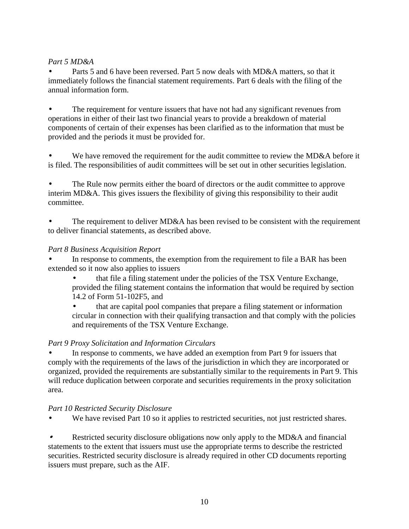# *Part 5 MD&A*

• Parts 5 and 6 have been reversed. Part 5 now deals with MD&A matters, so that it immediately follows the financial statement requirements. Part 6 deals with the filing of the annual information form.

The requirement for venture issuers that have not had any significant revenues from operations in either of their last two financial years to provide a breakdown of material components of certain of their expenses has been clarified as to the information that must be provided and the periods it must be provided for.

We have removed the requirement for the audit committee to review the MD&A before it is filed. The responsibilities of audit committees will be set out in other securities legislation.

The Rule now permits either the board of directors or the audit committee to approve interim MD&A. This gives issuers the flexibility of giving this responsibility to their audit committee.

The requirement to deliver MD&A has been revised to be consistent with the requirement to deliver financial statements, as described above.

# *Part 8 Business Acquisition Report*

In response to comments, the exemption from the requirement to file a BAR has been extended so it now also applies to issuers

- that file a filing statement under the policies of the TSX Venture Exchange, provided the filing statement contains the information that would be required by section 14.2 of Form 51-102F5, and
- that are capital pool companies that prepare a filing statement or information circular in connection with their qualifying transaction and that comply with the policies and requirements of the TSX Venture Exchange.

# *Part 9 Proxy Solicitation and Information Circulars*

In response to comments, we have added an exemption from Part 9 for issuers that comply with the requirements of the laws of the jurisdiction in which they are incorporated or organized, provided the requirements are substantially similar to the requirements in Part 9. This will reduce duplication between corporate and securities requirements in the proxy solicitation area.

# *Part 10 Restricted Security Disclosure*

We have revised Part 10 so it applies to restricted securities, not just restricted shares.

• Restricted security disclosure obligations now only apply to the MD&A and financial statements to the extent that issuers must use the appropriate terms to describe the restricted securities. Restricted security disclosure is already required in other CD documents reporting issuers must prepare, such as the AIF.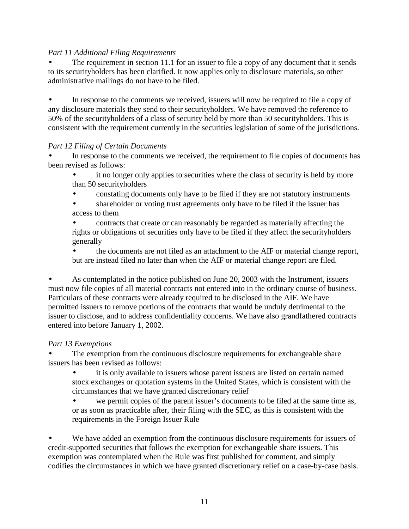# *Part 11 Additional Filing Requirements*

The requirement in section 11.1 for an issuer to file a copy of any document that it sends to its securityholders has been clarified. It now applies only to disclosure materials, so other administrative mailings do not have to be filed.

• In response to the comments we received, issuers will now be required to file a copy of any disclosure materials they send to their securityholders. We have removed the reference to 50% of the securityholders of a class of security held by more than 50 securityholders. This is consistent with the requirement currently in the securities legislation of some of the jurisdictions.

### *Part 12 Filing of Certain Documents*

In response to the comments we received, the requirement to file copies of documents has been revised as follows:

it no longer only applies to securities where the class of security is held by more than 50 securityholders

- constating documents only have to be filed if they are not statutory instruments
- shareholder or voting trust agreements only have to be filed if the issuer has access to them

• contracts that create or can reasonably be regarded as materially affecting the rights or obligations of securities only have to be filed if they affect the securityholders generally

• the documents are not filed as an attachment to the AIF or material change report, but are instead filed no later than when the AIF or material change report are filed.

• As contemplated in the notice published on June 20, 2003 with the Instrument, issuers must now file copies of all material contracts not entered into in the ordinary course of business. Particulars of these contracts were already required to be disclosed in the AIF. We have permitted issuers to remove portions of the contracts that would be unduly detrimental to the issuer to disclose, and to address confidentiality concerns. We have also grandfathered contracts entered into before January 1, 2002.

# *Part 13 Exemptions*

The exemption from the continuous disclosure requirements for exchangeable share issuers has been revised as follows:

it is only available to issuers whose parent issuers are listed on certain named stock exchanges or quotation systems in the United States, which is consistent with the circumstances that we have granted discretionary relief

• we permit copies of the parent issuer's documents to be filed at the same time as, or as soon as practicable after, their filing with the SEC, as this is consistent with the requirements in the Foreign Issuer Rule

We have added an exemption from the continuous disclosure requirements for issuers of credit-supported securities that follows the exemption for exchangeable share issuers. This exemption was contemplated when the Rule was first published for comment, and simply codifies the circumstances in which we have granted discretionary relief on a case-by-case basis.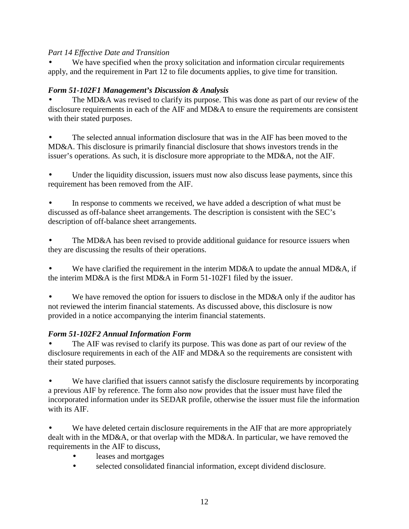# *Part 14 Effective Date and Transition*

We have specified when the proxy solicitation and information circular requirements apply, and the requirement in Part 12 to file documents applies, to give time for transition.

# *Form 51-102F1 Management's Discussion & Analysis*

The MD&A was revised to clarify its purpose. This was done as part of our review of the disclosure requirements in each of the AIF and MD&A to ensure the requirements are consistent with their stated purposes.

The selected annual information disclosure that was in the AIF has been moved to the MD&A. This disclosure is primarily financial disclosure that shows investors trends in the issuer's operations. As such, it is disclosure more appropriate to the MD&A, not the AIF.

Under the liquidity discussion, issuers must now also discuss lease payments, since this requirement has been removed from the AIF.

• In response to comments we received, we have added a description of what must be discussed as off-balance sheet arrangements. The description is consistent with the SEC's description of off-balance sheet arrangements.

The MD&A has been revised to provide additional guidance for resource issuers when they are discussing the results of their operations.

We have clarified the requirement in the interim MD&A to update the annual MD&A, if the interim MD&A is the first MD&A in Form 51-102F1 filed by the issuer.

We have removed the option for issuers to disclose in the MD&A only if the auditor has not reviewed the interim financial statements. As discussed above, this disclosure is now provided in a notice accompanying the interim financial statements.

# *Form 51-102F2 Annual Information Form*

The AIF was revised to clarify its purpose. This was done as part of our review of the disclosure requirements in each of the AIF and MD&A so the requirements are consistent with their stated purposes.

We have clarified that issuers cannot satisfy the disclosure requirements by incorporating a previous AIF by reference. The form also now provides that the issuer must have filed the incorporated information under its SEDAR profile, otherwise the issuer must file the information with its AIF.

We have deleted certain disclosure requirements in the AIF that are more appropriately dealt with in the MD&A, or that overlap with the MD&A. In particular, we have removed the requirements in the AIF to discuss,

- leases and mortgages
- selected consolidated financial information, except dividend disclosure.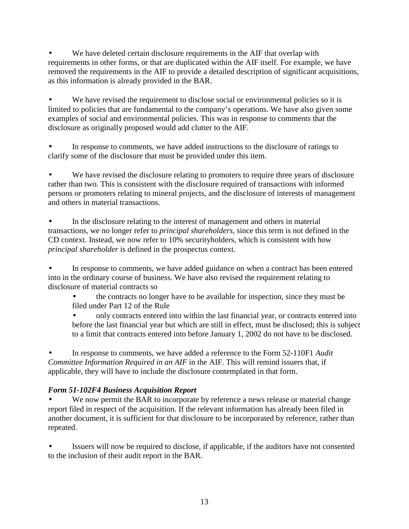We have deleted certain disclosure requirements in the AIF that overlap with requirements in other forms, or that are duplicated within the AIF itself. For example, we have removed the requirements in the AIF to provide a detailed description of significant acquisitions, as this information is already provided in the BAR.

We have revised the requirement to disclose social or environmental policies so it is limited to policies that are fundamental to the company's operations. We have also given some examples of social and environmental policies. This was in response to comments that the disclosure as originally proposed would add clutter to the AIF.

In response to comments, we have added instructions to the disclosure of ratings to clarify some of the disclosure that must be provided under this item.

• We have revised the disclosure relating to promoters to require three years of disclosure rather than two. This is consistent with the disclosure required of transactions with informed persons or promoters relating to mineral projects, and the disclosure of interests of management and others in material transactions.

In the disclosure relating to the interest of management and others in material transactions, we no longer refer to *principal shareholders*, since this term is not defined in the CD context. Instead, we now refer to 10% securityholders, which is consistent with how *principal shareholder* is defined in the prospectus context.

• In response to comments, we have added guidance on when a contract has been entered into in the ordinary course of business. We have also revised the requirement relating to disclosure of material contracts so

- the contracts no longer have to be available for inspection, since they must be filed under Part 12 of the Rule
- only contracts entered into within the last financial year, or contracts entered into before the last financial year but which are still in effect, must be disclosed; this is subject to a limit that contracts entered into before January 1, 2002 do not have to be disclosed.

• In response to comments, we have added a reference to the Form 52-110F1 *Audit Committee Information Required in an AIF* in the AIF. This will remind issuers that, if applicable, they will have to include the disclosure contemplated in that form.

# *Form 51-102F4 Business Acquisition Report*

We now permit the BAR to incorporate by reference a news release or material change report filed in respect of the acquisition. If the relevant information has already been filed in another document, it is sufficient for that disclosure to be incorporated by reference, rather than repeated.

Issuers will now be required to disclose, if applicable, if the auditors have not consented to the inclusion of their audit report in the BAR.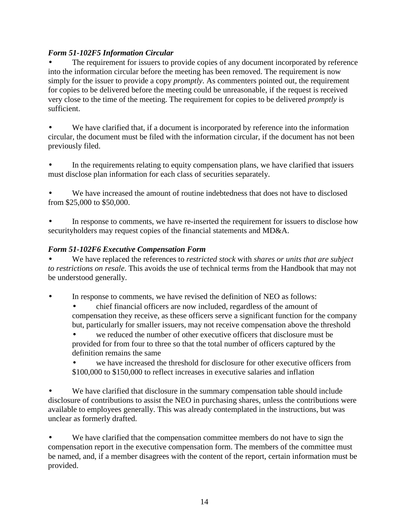# *Form 51-102F5 Information Circular*

The requirement for issuers to provide copies of any document incorporated by reference into the information circular before the meeting has been removed. The requirement is now simply for the issuer to provide a copy *promptly*. As commenters pointed out, the requirement for copies to be delivered before the meeting could be unreasonable, if the request is received very close to the time of the meeting. The requirement for copies to be delivered *promptly* is sufficient.

We have clarified that, if a document is incorporated by reference into the information circular, the document must be filed with the information circular, if the document has not been previously filed.

In the requirements relating to equity compensation plans, we have clarified that issuers must disclose plan information for each class of securities separately.

We have increased the amount of routine indebtedness that does not have to disclosed from \$25,000 to \$50,000.

In response to comments, we have re-inserted the requirement for issuers to disclose how securityholders may request copies of the financial statements and MD&A.

# *Form 51-102F6 Executive Compensation Form*

• We have replaced the references to *restricted stock* with *shares or units that are subject to restrictions on resale*. This avoids the use of technical terms from the Handbook that may not be understood generally.

In response to comments, we have revised the definition of NEO as follows:

• chief financial officers are now included, regardless of the amount of compensation they receive, as these officers serve a significant function for the company but, particularly for smaller issuers, may not receive compensation above the threshold

we reduced the number of other executive officers that disclosure must be provided for from four to three so that the total number of officers captured by the definition remains the same

we have increased the threshold for disclosure for other executive officers from \$100,000 to \$150,000 to reflect increases in executive salaries and inflation

We have clarified that disclosure in the summary compensation table should include disclosure of contributions to assist the NEO in purchasing shares, unless the contributions were available to employees generally. This was already contemplated in the instructions, but was unclear as formerly drafted.

We have clarified that the compensation committee members do not have to sign the compensation report in the executive compensation form. The members of the committee must be named, and, if a member disagrees with the content of the report, certain information must be provided.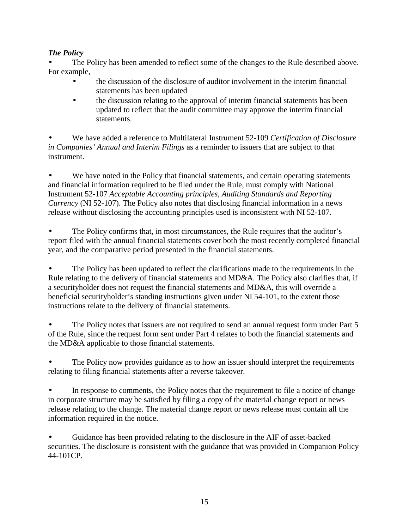# *The Policy*

The Policy has been amended to reflect some of the changes to the Rule described above. For example,

- the discussion of the disclosure of auditor involvement in the interim financial statements has been updated
- the discussion relating to the approval of interim financial statements has been updated to reflect that the audit committee may approve the interim financial statements.

• We have added a reference to Multilateral Instrument 52-109 *Certification of Disclosure in Companies' Annual and Interim Filings* as a reminder to issuers that are subject to that instrument.

We have noted in the Policy that financial statements, and certain operating statements and financial information required to be filed under the Rule, must comply with National Instrument 52-107 *Acceptable Accounting principles, Auditing Standards and Reporting Currency* (NI 52-107). The Policy also notes that disclosing financial information in a news release without disclosing the accounting principles used is inconsistent with NI 52-107.

The Policy confirms that, in most circumstances, the Rule requires that the auditor's report filed with the annual financial statements cover both the most recently completed financial year, and the comparative period presented in the financial statements.

The Policy has been updated to reflect the clarifications made to the requirements in the Rule relating to the delivery of financial statements and MD&A. The Policy also clarifies that, if a securityholder does not request the financial statements and MD&A, this will override a beneficial securityholder's standing instructions given under NI 54-101, to the extent those instructions relate to the delivery of financial statements.

The Policy notes that issuers are not required to send an annual request form under Part 5 of the Rule, since the request form sent under Part 4 relates to both the financial statements and the MD&A applicable to those financial statements.

The Policy now provides guidance as to how an issuer should interpret the requirements relating to filing financial statements after a reverse takeover.

In response to comments, the Policy notes that the requirement to file a notice of change in corporate structure may be satisfied by filing a copy of the material change report or news release relating to the change. The material change report or news release must contain all the information required in the notice.

• Guidance has been provided relating to the disclosure in the AIF of asset-backed securities. The disclosure is consistent with the guidance that was provided in Companion Policy 44-101CP.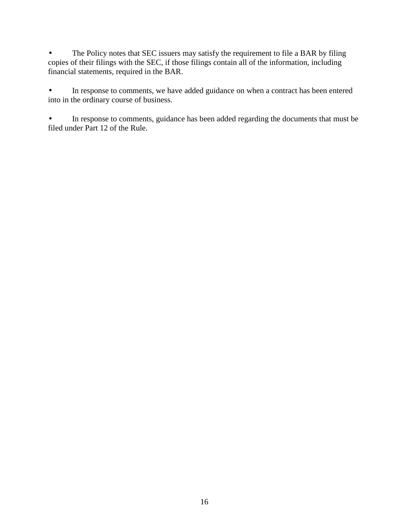• The Policy notes that SEC issuers may satisfy the requirement to file a BAR by filing copies of their filings with the SEC, if those filings contain all of the information, including financial statements, required in the BAR.

• In response to comments, we have added guidance on when a contract has been entered into in the ordinary course of business.

• In response to comments, guidance has been added regarding the documents that must be filed under Part 12 of the Rule.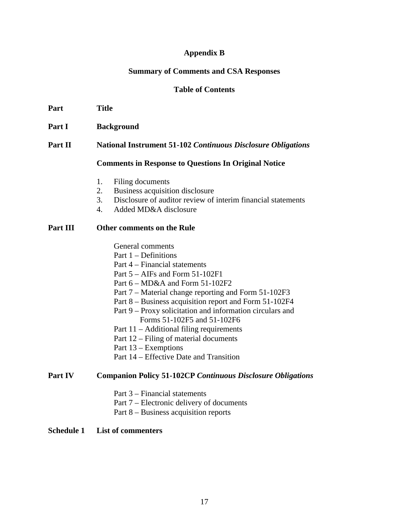### **Appendix B**

#### **Summary of Comments and CSA Responses**

### **Table of Contents**

- **Part Title**
- Part I Background
- **Part II National Instrument 51-102** *Continuous Disclosure Obligations*

#### **Comments in Response to Questions In Original Notice**

- 1. Filing documents
- 2. Business acquisition disclosure
- 3. Disclosure of auditor review of interim financial statements
- 4. Added MD&A disclosure

#### **Part III Other comments on the Rule**

- General comments
- Part 1 Definitions
- Part 4 Financial statements
- Part 5 AIFs and Form 51-102F1
- Part 6 MD&A and Form 51-102F2
- Part 7 Material change reporting and Form 51-102F3
- Part 8 Business acquisition report and Form 51-102F4
- Part 9 Proxy solicitation and information circulars and Forms 51-102F5 and 51-102F6
- Part 11 Additional filing requirements
- Part 12 Filing of material documents
- Part 13 Exemptions
- Part 14 Effective Date and Transition

#### **Part IV Companion Policy 51-102CP** *Continuous Disclosure Obligations*

- Part 3 Financial statements
- Part 7 Electronic delivery of documents
- Part 8 Business acquisition reports

### **Schedule 1 List of commenters**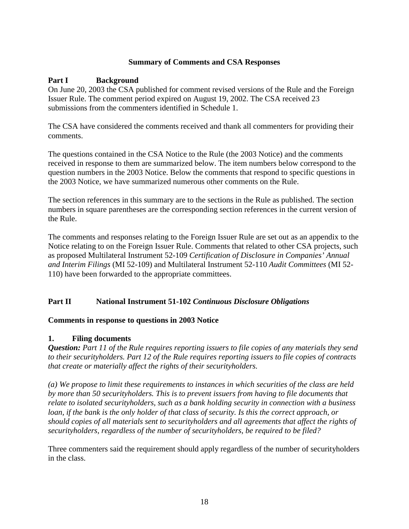# **Summary of Comments and CSA Responses**

# **Part I Background**

On June 20, 2003 the CSA published for comment revised versions of the Rule and the Foreign Issuer Rule. The comment period expired on August 19, 2002. The CSA received 23 submissions from the commenters identified in Schedule 1.

The CSA have considered the comments received and thank all commenters for providing their comments.

The questions contained in the CSA Notice to the Rule (the 2003 Notice) and the comments received in response to them are summarized below. The item numbers below correspond to the question numbers in the 2003 Notice. Below the comments that respond to specific questions in the 2003 Notice, we have summarized numerous other comments on the Rule.

The section references in this summary are to the sections in the Rule as published. The section numbers in square parentheses are the corresponding section references in the current version of the Rule.

The comments and responses relating to the Foreign Issuer Rule are set out as an appendix to the Notice relating to on the Foreign Issuer Rule. Comments that related to other CSA projects, such as proposed Multilateral Instrument 52-109 *Certification of Disclosure in Companies' Annual and Interim Filings* (MI 52-109) and Multilateral Instrument 52-110 *Audit Committees* (MI 52- 110) have been forwarded to the appropriate committees.

# **Part II National Instrument 51-102** *Continuous Disclosure Obligations*

# **Comments in response to questions in 2003 Notice**

# **1. Filing documents**

*Question: Part 11 of the Rule requires reporting issuers to file copies of any materials they send to their securityholders. Part 12 of the Rule requires reporting issuers to file copies of contracts that create or materially affect the rights of their securityholders.* 

*(a) We propose to limit these requirements to instances in which securities of the class are held by more than 50 securityholders. This is to prevent issuers from having to file documents that relate to isolated securityholders, such as a bank holding security in connection with a business loan, if the bank is the only holder of that class of security. Is this the correct approach, or should copies of all materials sent to securityholders and all agreements that affect the rights of securityholders, regardless of the number of securityholders, be required to be filed?* 

Three commenters said the requirement should apply regardless of the number of securityholders in the class.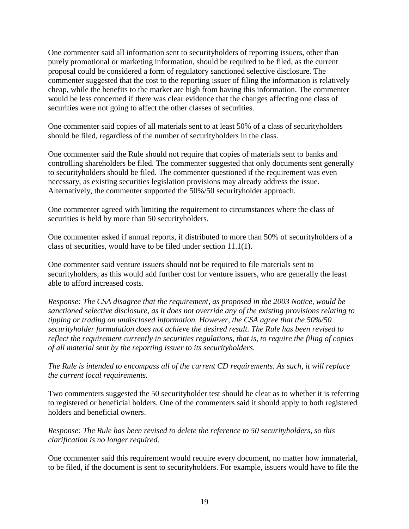One commenter said all information sent to securityholders of reporting issuers, other than purely promotional or marketing information, should be required to be filed, as the current proposal could be considered a form of regulatory sanctioned selective disclosure. The commenter suggested that the cost to the reporting issuer of filing the information is relatively cheap, while the benefits to the market are high from having this information. The commenter would be less concerned if there was clear evidence that the changes affecting one class of securities were not going to affect the other classes of securities.

One commenter said copies of all materials sent to at least 50% of a class of securityholders should be filed, regardless of the number of securityholders in the class.

One commenter said the Rule should not require that copies of materials sent to banks and controlling shareholders be filed. The commenter suggested that only documents sent generally to securityholders should be filed. The commenter questioned if the requirement was even necessary, as existing securities legislation provisions may already address the issue. Alternatively, the commenter supported the 50%/50 securityholder approach.

One commenter agreed with limiting the requirement to circumstances where the class of securities is held by more than 50 securityholders.

One commenter asked if annual reports, if distributed to more than 50% of securityholders of a class of securities, would have to be filed under section 11.1(1).

One commenter said venture issuers should not be required to file materials sent to securityholders, as this would add further cost for venture issuers, who are generally the least able to afford increased costs.

*Response: The CSA disagree that the requirement, as proposed in the 2003 Notice, would be sanctioned selective disclosure, as it does not override any of the existing provisions relating to tipping or trading on undisclosed information. However, the CSA agree that the 50%/50 securityholder formulation does not achieve the desired result. The Rule has been revised to reflect the requirement currently in securities regulations, that is, to require the filing of copies of all material sent by the reporting issuer to its securityholders.* 

*The Rule is intended to encompass all of the current CD requirements. As such, it will replace the current local requirements.* 

Two commenters suggested the 50 securityholder test should be clear as to whether it is referring to registered or beneficial holders. One of the commenters said it should apply to both registered holders and beneficial owners.

*Response: The Rule has been revised to delete the reference to 50 securityholders, so this clarification is no longer required.* 

One commenter said this requirement would require every document, no matter how immaterial, to be filed, if the document is sent to securityholders. For example, issuers would have to file the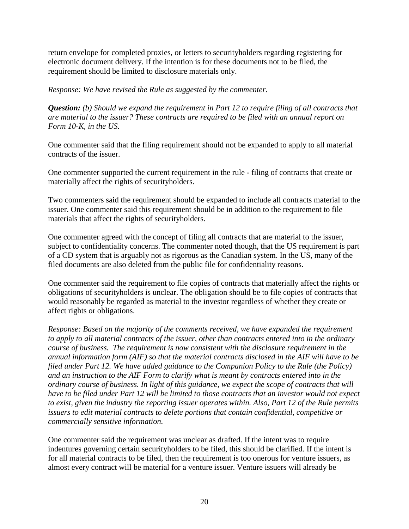return envelope for completed proxies, or letters to securityholders regarding registering for electronic document delivery. If the intention is for these documents not to be filed, the requirement should be limited to disclosure materials only.

*Response: We have revised the Rule as suggested by the commenter.* 

*Question: (b) Should we expand the requirement in Part 12 to require filing of all contracts that are material to the issuer? These contracts are required to be filed with an annual report on Form 10-K, in the US.* 

One commenter said that the filing requirement should not be expanded to apply to all material contracts of the issuer.

One commenter supported the current requirement in the rule - filing of contracts that create or materially affect the rights of securityholders.

Two commenters said the requirement should be expanded to include all contracts material to the issuer. One commenter said this requirement should be in addition to the requirement to file materials that affect the rights of securityholders.

One commenter agreed with the concept of filing all contracts that are material to the issuer, subject to confidentiality concerns. The commenter noted though, that the US requirement is part of a CD system that is arguably not as rigorous as the Canadian system. In the US, many of the filed documents are also deleted from the public file for confidentiality reasons.

One commenter said the requirement to file copies of contracts that materially affect the rights or obligations of securityholders is unclear. The obligation should be to file copies of contracts that would reasonably be regarded as material to the investor regardless of whether they create or affect rights or obligations.

*Response: Based on the majority of the comments received, we have expanded the requirement to apply to all material contracts of the issuer, other than contracts entered into in the ordinary course of business. The requirement is now consistent with the disclosure requirement in the annual information form (AIF) so that the material contracts disclosed in the AIF will have to be filed under Part 12. We have added guidance to the Companion Policy to the Rule (the Policy) and an instruction to the AIF Form to clarify what is meant by contracts entered into in the ordinary course of business. In light of this guidance, we expect the scope of contracts that will have to be filed under Part 12 will be limited to those contracts that an investor would not expect to exist, given the industry the reporting issuer operates within. Also, Part 12 of the Rule permits issuers to edit material contracts to delete portions that contain confidential, competitive or commercially sensitive information.* 

One commenter said the requirement was unclear as drafted. If the intent was to require indentures governing certain securityholders to be filed, this should be clarified. If the intent is for all material contracts to be filed, then the requirement is too onerous for venture issuers, as almost every contract will be material for a venture issuer. Venture issuers will already be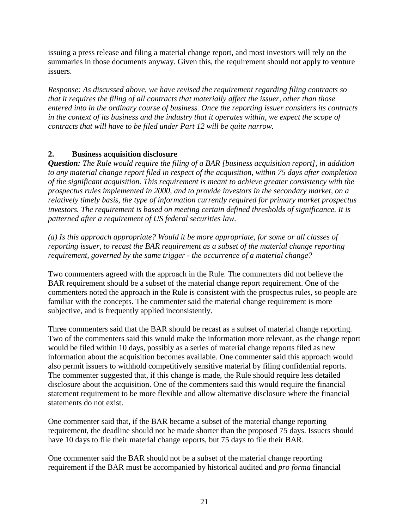issuing a press release and filing a material change report, and most investors will rely on the summaries in those documents anyway. Given this, the requirement should not apply to venture issuers.

*Response: As discussed above, we have revised the requirement regarding filing contracts so that it requires the filing of all contracts that materially affect the issuer, other than those entered into in the ordinary course of business. Once the reporting issuer considers its contracts in the context of its business and the industry that it operates within, we expect the scope of contracts that will have to be filed under Part 12 will be quite narrow.* 

# **2. Business acquisition disclosure**

*Question: The Rule would require the filing of a BAR [business acquisition report], in addition to any material change report filed in respect of the acquisition, within 75 days after completion of the significant acquisition. This requirement is meant to achieve greater consistency with the prospectus rules implemented in 2000, and to provide investors in the secondary market, on a relatively timely basis, the type of information currently required for primary market prospectus investors. The requirement is based on meeting certain defined thresholds of significance. It is patterned after a requirement of US federal securities law.* 

*(a) Is this approach appropriate? Would it be more appropriate, for some or all classes of reporting issuer, to recast the BAR requirement as a subset of the material change reporting requirement, governed by the same trigger - the occurrence of a material change?* 

Two commenters agreed with the approach in the Rule. The commenters did not believe the BAR requirement should be a subset of the material change report requirement. One of the commenters noted the approach in the Rule is consistent with the prospectus rules, so people are familiar with the concepts. The commenter said the material change requirement is more subjective, and is frequently applied inconsistently.

Three commenters said that the BAR should be recast as a subset of material change reporting. Two of the commenters said this would make the information more relevant, as the change report would be filed within 10 days, possibly as a series of material change reports filed as new information about the acquisition becomes available. One commenter said this approach would also permit issuers to withhold competitively sensitive material by filing confidential reports. The commenter suggested that, if this change is made, the Rule should require less detailed disclosure about the acquisition. One of the commenters said this would require the financial statement requirement to be more flexible and allow alternative disclosure where the financial statements do not exist.

One commenter said that, if the BAR became a subset of the material change reporting requirement, the deadline should not be made shorter than the proposed 75 days. Issuers should have 10 days to file their material change reports, but 75 days to file their BAR.

One commenter said the BAR should not be a subset of the material change reporting requirement if the BAR must be accompanied by historical audited and *pro forma* financial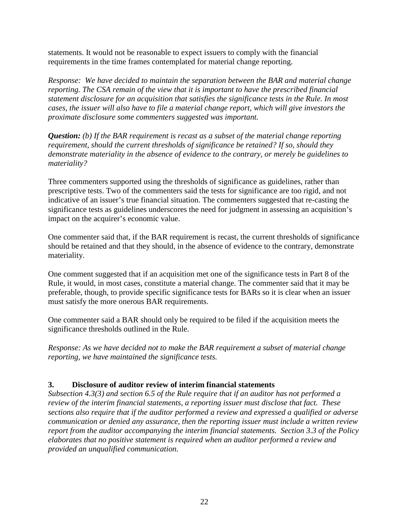statements. It would not be reasonable to expect issuers to comply with the financial requirements in the time frames contemplated for material change reporting.

*Response: We have decided to maintain the separation between the BAR and material change reporting. The CSA remain of the view that it is important to have the prescribed financial statement disclosure for an acquisition that satisfies the significance tests in the Rule. In most cases, the issuer will also have to file a material change report, which will give investors the proximate disclosure some commenters suggested was important.* 

*Question: (b) If the BAR requirement is recast as a subset of the material change reporting requirement, should the current thresholds of significance be retained? If so, should they demonstrate materiality in the absence of evidence to the contrary, or merely be guidelines to materiality?* 

Three commenters supported using the thresholds of significance as guidelines, rather than prescriptive tests. Two of the commenters said the tests for significance are too rigid, and not indicative of an issuer's true financial situation. The commenters suggested that re-casting the significance tests as guidelines underscores the need for judgment in assessing an acquisition's impact on the acquirer's economic value.

One commenter said that, if the BAR requirement is recast, the current thresholds of significance should be retained and that they should, in the absence of evidence to the contrary, demonstrate materiality.

One comment suggested that if an acquisition met one of the significance tests in Part 8 of the Rule, it would, in most cases, constitute a material change. The commenter said that it may be preferable, though, to provide specific significance tests for BARs so it is clear when an issuer must satisfy the more onerous BAR requirements.

One commenter said a BAR should only be required to be filed if the acquisition meets the significance thresholds outlined in the Rule.

*Response: As we have decided not to make the BAR requirement a subset of material change reporting, we have maintained the significance tests.* 

# **3. Disclosure of auditor review of interim financial statements**

*Subsection 4.3(3) and section 6.5 of the Rule require that if an auditor has not performed a review of the interim financial statements, a reporting issuer must disclose that fact. These sections also require that if the auditor performed a review and expressed a qualified or adverse communication or denied any assurance, then the reporting issuer must include a written review report from the auditor accompanying the interim financial statements. Section 3.3 of the Policy elaborates that no positive statement is required when an auditor performed a review and provided an unqualified communication.*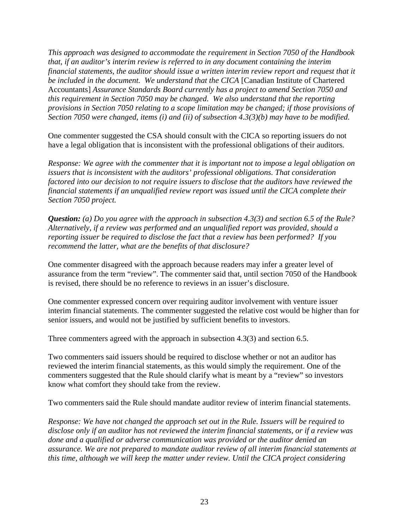*This approach was designed to accommodate the requirement in Section 7050 of the Handbook that, if an auditor's interim review is referred to in any document containing the interim financial statements, the auditor should issue a written interim review report and request that it be included in the document. We understand that the CICA* [Canadian Institute of Chartered Accountants] *Assurance Standards Board currently has a project to amend Section 7050 and this requirement in Section 7050 may be changed. We also understand that the reporting provisions in Section 7050 relating to a scope limitation may be changed; if those provisions of Section 7050 were changed, items (i) and (ii) of subsection 4.3(3)(b) may have to be modified.*

One commenter suggested the CSA should consult with the CICA so reporting issuers do not have a legal obligation that is inconsistent with the professional obligations of their auditors.

*Response: We agree with the commenter that it is important not to impose a legal obligation on issuers that is inconsistent with the auditors' professional obligations. That consideration factored into our decision to not require issuers to disclose that the auditors have reviewed the financial statements if an unqualified review report was issued until the CICA complete their Section 7050 project.* 

*Question: (a) Do you agree with the approach in subsection 4.3(3) and section 6.5 of the Rule? Alternatively, if a review was performed and an unqualified report was provided, should a reporting issuer be required to disclose the fact that a review has been performed? If you recommend the latter, what are the benefits of that disclosure?* 

One commenter disagreed with the approach because readers may infer a greater level of assurance from the term "review". The commenter said that, until section 7050 of the Handbook is revised, there should be no reference to reviews in an issuer's disclosure.

One commenter expressed concern over requiring auditor involvement with venture issuer interim financial statements. The commenter suggested the relative cost would be higher than for senior issuers, and would not be justified by sufficient benefits to investors.

Three commenters agreed with the approach in subsection 4.3(3) and section 6.5.

Two commenters said issuers should be required to disclose whether or not an auditor has reviewed the interim financial statements, as this would simply the requirement. One of the commenters suggested that the Rule should clarify what is meant by a "review" so investors know what comfort they should take from the review.

Two commenters said the Rule should mandate auditor review of interim financial statements.

*Response: We have not changed the approach set out in the Rule. Issuers will be required to disclose only if an auditor has not reviewed the interim financial statements, or if a review was done and a qualified or adverse communication was provided or the auditor denied an assurance. We are not prepared to mandate auditor review of all interim financial statements at this time, although we will keep the matter under review. Until the CICA project considering*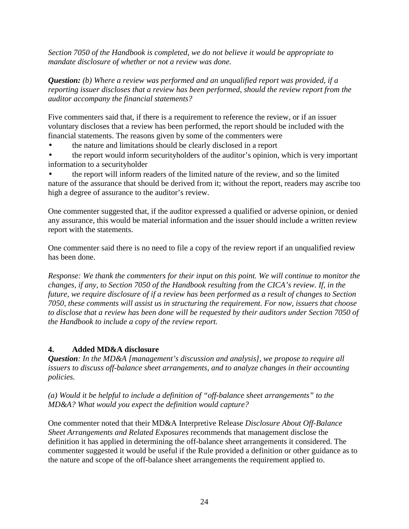*Section 7050 of the Handbook is completed, we do not believe it would be appropriate to mandate disclosure of whether or not a review was done.*

*Question: (b) Where a review was performed and an unqualified report was provided, if a reporting issuer discloses that a review has been performed, should the review report from the auditor accompany the financial statements?* 

Five commenters said that, if there is a requirement to reference the review, or if an issuer voluntary discloses that a review has been performed, the report should be included with the financial statements. The reasons given by some of the commenters were

• the nature and limitations should be clearly disclosed in a report

• the report would inform securityholders of the auditor's opinion, which is very important information to a securityholder

• the report will inform readers of the limited nature of the review, and so the limited nature of the assurance that should be derived from it; without the report, readers may ascribe too high a degree of assurance to the auditor's review.

One commenter suggested that, if the auditor expressed a qualified or adverse opinion, or denied any assurance, this would be material information and the issuer should include a written review report with the statements.

One commenter said there is no need to file a copy of the review report if an unqualified review has been done.

*Response: We thank the commenters for their input on this point. We will continue to monitor the changes, if any, to Section 7050 of the Handbook resulting from the CICA's review. If, in the future, we require disclosure of if a review has been performed as a result of changes to Section 7050, these comments will assist us in structuring the requirement. For now, issuers that choose to disclose that a review has been done will be requested by their auditors under Section 7050 of the Handbook to include a copy of the review report.* 

# **4. Added MD&A disclosure**

*Question: In the MD&A [management's discussion and analysis], we propose to require all issuers to discuss off-balance sheet arrangements, and to analyze changes in their accounting policies.* 

*(a) Would it be helpful to include a definition of "off-balance sheet arrangements" to the MD&A? What would you expect the definition would capture?*

One commenter noted that their MD&A Interpretive Release *Disclosure About Off-Balance Sheet Arrangements and Related Exposures* recommends that management disclose the definition it has applied in determining the off-balance sheet arrangements it considered. The commenter suggested it would be useful if the Rule provided a definition or other guidance as to the nature and scope of the off-balance sheet arrangements the requirement applied to.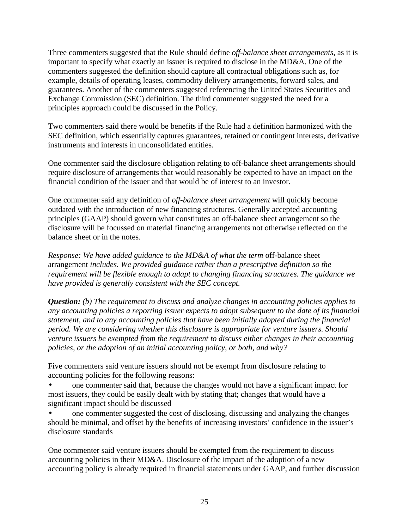Three commenters suggested that the Rule should define *off-balance sheet arrangements*, as it is important to specify what exactly an issuer is required to disclose in the MD&A. One of the commenters suggested the definition should capture all contractual obligations such as, for example, details of operating leases, commodity delivery arrangements, forward sales, and guarantees. Another of the commenters suggested referencing the United States Securities and Exchange Commission (SEC) definition. The third commenter suggested the need for a principles approach could be discussed in the Policy.

Two commenters said there would be benefits if the Rule had a definition harmonized with the SEC definition, which essentially captures guarantees, retained or contingent interests, derivative instruments and interests in unconsolidated entities.

One commenter said the disclosure obligation relating to off-balance sheet arrangements should require disclosure of arrangements that would reasonably be expected to have an impact on the financial condition of the issuer and that would be of interest to an investor.

One commenter said any definition of *off-balance sheet arrangement* will quickly become outdated with the introduction of new financing structures. Generally accepted accounting principles (GAAP) should govern what constitutes an off-balance sheet arrangement so the disclosure will be focussed on material financing arrangements not otherwise reflected on the balance sheet or in the notes.

*Response: We have added guidance to the MD&A of what the term* off-balance sheet arrangement *includes. We provided guidance rather than a prescriptive definition so the requirement will be flexible enough to adapt to changing financing structures. The guidance we have provided is generally consistent with the SEC concept.* 

*Question: (b) The requirement to discuss and analyze changes in accounting policies applies to any accounting policies a reporting issuer expects to adopt subsequent to the date of its financial statement, and to any accounting policies that have been initially adopted during the financial period. We are considering whether this disclosure is appropriate for venture issuers. Should venture issuers be exempted from the requirement to discuss either changes in their accounting policies, or the adoption of an initial accounting policy, or both, and why?*

Five commenters said venture issuers should not be exempt from disclosure relating to accounting policies for the following reasons:

• one commenter said that, because the changes would not have a significant impact for most issuers, they could be easily dealt with by stating that; changes that would have a significant impact should be discussed

• one commenter suggested the cost of disclosing, discussing and analyzing the changes should be minimal, and offset by the benefits of increasing investors' confidence in the issuer's disclosure standards

One commenter said venture issuers should be exempted from the requirement to discuss accounting policies in their MD&A. Disclosure of the impact of the adoption of a new accounting policy is already required in financial statements under GAAP, and further discussion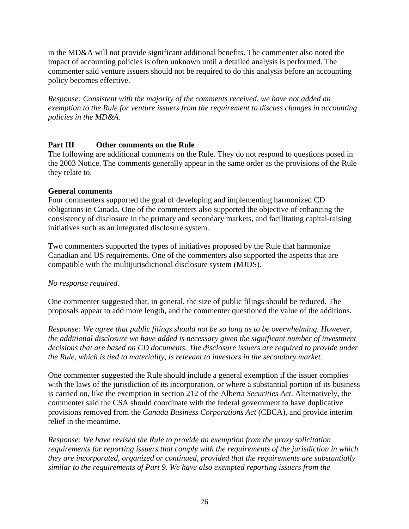in the MD&A will not provide significant additional benefits. The commenter also noted the impact of accounting policies is often unknown until a detailed analysis is performed. The commenter said venture issuers should not be required to do this analysis before an accounting policy becomes effective.

*Response: Consistent with the majority of the comments received, we have not added an exemption to the Rule for venture issuers from the requirement to discuss changes in accounting policies in the MD&A.* 

# **Part III Other comments on the Rule**

The following are additional comments on the Rule. They do not respond to questions posed in the 2003 Notice. The comments generally appear in the same order as the provisions of the Rule they relate to.

# **General comments**

Four commenters supported the goal of developing and implementing harmonized CD obligations in Canada. One of the commenters also supported the objective of enhancing the consistency of disclosure in the primary and secondary markets, and facilitating capital-raising initiatives such as an integrated disclosure system.

Two commenters supported the types of initiatives proposed by the Rule that harmonize Canadian and US requirements. One of the commenters also supported the aspects that are compatible with the multijurisdictional disclosure system (MJDS).

# *No response required.*

One commenter suggested that, in general, the size of public filings should be reduced. The proposals appear to add more length, and the commenter questioned the value of the additions.

*Response: We agree that public filings should not be so long as to be overwhelming. However, the additional disclosure we have added is necessary given the significant number of investment decisions that are based on CD documents. The disclosure issuers are required to provide under the Rule, which is tied to materiality, is relevant to investors in the secondary market.*

One commenter suggested the Rule should include a general exemption if the issuer complies with the laws of the jurisdiction of its incorporation, or where a substantial portion of its business is carried on, like the exemption in section 212 of the Alberta *Securities Act*. Alternatively, the commenter said the CSA should coordinate with the federal government to have duplicative provisions removed from the *Canada Business Corporations Act* (CBCA), and provide interim relief in the meantime.

*Response: We have revised the Rule to provide an exemption from the proxy solicitation requirements for reporting issuers that comply with the requirements of the jurisdiction in which they are incorporated, organized or continued, provided that the requirements are substantially similar to the requirements of Part 9. We have also exempted reporting issuers from the*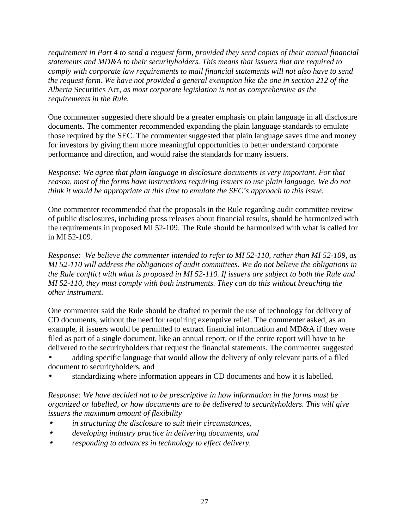*requirement in Part 4 to send a request form, provided they send copies of their annual financial statements and MD&A to their securityholders. This means that issuers that are required to comply with corporate law requirements to mail financial statements will not also have to send the request form. We have not provided a general exemption like the one in section 212 of the Alberta* Securities Act*, as most corporate legislation is not as comprehensive as the requirements in the Rule.* 

One commenter suggested there should be a greater emphasis on plain language in all disclosure documents. The commenter recommended expanding the plain language standards to emulate those required by the SEC. The commenter suggested that plain language saves time and money for investors by giving them more meaningful opportunities to better understand corporate performance and direction, and would raise the standards for many issuers.

*Response: We agree that plain language in disclosure documents is very important. For that reason, most of the forms have instructions requiring issuers to use plain language. We do not think it would be appropriate at this time to emulate the SEC's approach to this issue.* 

One commenter recommended that the proposals in the Rule regarding audit committee review of public disclosures, including press releases about financial results, should be harmonized with the requirements in proposed MI 52-109. The Rule should be harmonized with what is called for in MI 52-109.

*Response: We believe the commenter intended to refer to MI 52-110, rather than MI 52-109, as MI 52-110 will address the obligations of audit committees. We do not believe the obligations in the Rule conflict with what is proposed in MI 52-110. If issuers are subject to both the Rule and MI 52-110, they must comply with both instruments. They can do this without breaching the other instrument.* 

One commenter said the Rule should be drafted to permit the use of technology for delivery of CD documents, without the need for requiring exemptive relief. The commenter asked, as an example, if issuers would be permitted to extract financial information and MD&A if they were filed as part of a single document, like an annual report, or if the entire report will have to be delivered to the securityholders that request the financial statements. The commenter suggested

- adding specific language that would allow the delivery of only relevant parts of a filed document to securityholders, and
- standardizing where information appears in CD documents and how it is labelled.

*Response: We have decided not to be prescriptive in how information in the forms must be organized or labelled, or how documents are to be delivered to securityholders. This will give issuers the maximum amount of flexibility* 

- • *in structuring the disclosure to suit their circumstances,*
- • *developing industry practice in delivering documents, and*
- • *responding to advances in technology to effect delivery.*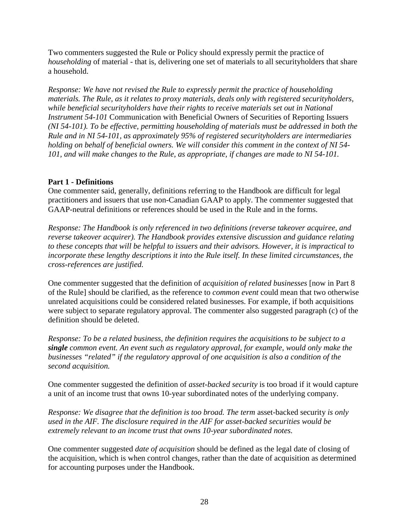Two commenters suggested the Rule or Policy should expressly permit the practice of *householding* of material - that is, delivering one set of materials to all securityholders that share a household.

*Response: We have not revised the Rule to expressly permit the practice of householding materials. The Rule, as it relates to proxy materials, deals only with registered securityholders, while beneficial securityholders have their rights to receive materials set out in National Instrument 54-101* Communication with Beneficial Owners of Securities of Reporting Issuers *(NI 54-101). To be effective, permitting householding of materials must be addressed in both the Rule and in NI 54-101, as approximately 95% of registered securityholders are intermediaries holding on behalf of beneficial owners. We will consider this comment in the context of NI 54- 101, and will make changes to the Rule, as appropriate, if changes are made to NI 54-101.* 

# **Part 1 - Definitions**

One commenter said, generally, definitions referring to the Handbook are difficult for legal practitioners and issuers that use non-Canadian GAAP to apply. The commenter suggested that GAAP-neutral definitions or references should be used in the Rule and in the forms.

*Response: The Handbook is only referenced in two definitions (reverse takeover acquiree, and reverse takeover acquirer). The Handbook provides extensive discussion and guidance relating to these concepts that will be helpful to issuers and their advisors. However, it is impractical to incorporate these lengthy descriptions it into the Rule itself. In these limited circumstances, the cross-references are justified.*

One commenter suggested that the definition of *acquisition of related businesses* [now in Part 8 of the Rule] should be clarified, as the reference to *common event* could mean that two otherwise unrelated acquisitions could be considered related businesses. For example, if both acquisitions were subject to separate regulatory approval. The commenter also suggested paragraph (c) of the definition should be deleted.

*Response: To be a related business, the definition requires the acquisitions to be subject to a single common event. An event such as regulatory approval, for example, would only make the businesses "related" if the regulatory approval of one acquisition is also a condition of the second acquisition.*

One commenter suggested the definition of *asset-backed security* is too broad if it would capture a unit of an income trust that owns 10-year subordinated notes of the underlying company.

*Response: We disagree that the definition is too broad. The term asset-backed security is only used in the AIF. The disclosure required in the AIF for asset-backed securities would be extremely relevant to an income trust that owns 10-year subordinated notes.* 

One commenter suggested *date of acquisition* should be defined as the legal date of closing of the acquisition, which is when control changes, rather than the date of acquisition as determined for accounting purposes under the Handbook.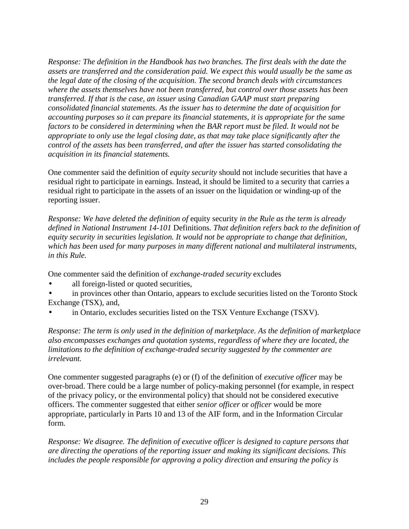*Response: The definition in the Handbook has two branches. The first deals with the date the assets are transferred and the consideration paid. We expect this would usually be the same as the legal date of the closing of the acquisition. The second branch deals with circumstances where the assets themselves have not been transferred, but control over those assets has been transferred. If that is the case, an issuer using Canadian GAAP must start preparing consolidated financial statements. As the issuer has to determine the date of acquisition for accounting purposes so it can prepare its financial statements, it is appropriate for the same factors to be considered in determining when the BAR report must be filed. It would not be appropriate to only use the legal closing date, as that may take place significantly after the control of the assets has been transferred, and after the issuer has started consolidating the acquisition in its financial statements.* 

One commenter said the definition of *equity security* should not include securities that have a residual right to participate in earnings. Instead, it should be limited to a security that carries a residual right to participate in the assets of an issuer on the liquidation or winding-up of the reporting issuer.

*Response: We have deleted the definition of* equity security *in the Rule as the term is already defined in National Instrument 14-101* Definitions*. That definition refers back to the definition of equity security in securities legislation. It would not be appropriate to change that definition, which has been used for many purposes in many different national and multilateral instruments, in this Rule.* 

One commenter said the definition of *exchange-traded security* excludes

- all foreign-listed or quoted securities,
- in provinces other than Ontario, appears to exclude securities listed on the Toronto Stock Exchange (TSX), and,
- in Ontario, excludes securities listed on the TSX Venture Exchange (TSXV).

*Response: The term is only used in the definition of marketplace. As the definition of marketplace also encompasses exchanges and quotation systems, regardless of where they are located, the limitations to the definition of exchange-traded security suggested by the commenter are irrelevant.* 

One commenter suggested paragraphs (e) or (f) of the definition of *executive officer* may be over-broad. There could be a large number of policy-making personnel (for example, in respect of the privacy policy, or the environmental policy) that should not be considered executive officers. The commenter suggested that either *senior officer* or *officer* would be more appropriate, particularly in Parts 10 and 13 of the AIF form, and in the Information Circular form.

*Response: We disagree. The definition of executive officer is designed to capture persons that are directing the operations of the reporting issuer and making its significant decisions. This includes the people responsible for approving a policy direction and ensuring the policy is*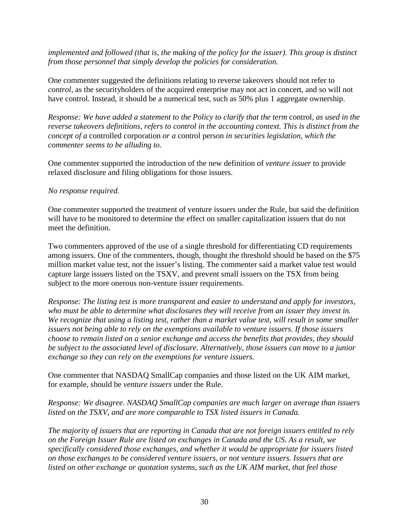*implemented and followed (that is, the making of the policy for the issuer). This group is distinct from those personnel that simply develop the policies for consideration.* 

One commenter suggested the definitions relating to reverse takeovers should not refer to *control*, as the securityholders of the acquired enterprise may not act in concert, and so will not have control. Instead, it should be a numerical test, such as 50% plus 1 aggregate ownership.

*Response: We have added a statement to the Policy to clarify that the term* control*, as used in the reverse takeovers definitions, refers to control in the accounting context. This is distinct from the concept of a* controlled corporation *or a* control person *in securities legislation, which the commenter seems to be alluding to.* 

One commenter supported the introduction of the new definition of *venture issuer* to provide relaxed disclosure and filing obligations for those issuers.

### *No response required.*

One commenter supported the treatment of venture issuers under the Rule, but said the definition will have to be monitored to determine the effect on smaller capitalization issuers that do not meet the definition.

Two commenters approved of the use of a single threshold for differentiating CD requirements among issuers. One of the commenters, though, thought the threshold should be based on the \$75 million market value test, not the issuer's listing. The commenter said a market value test would capture large issuers listed on the TSXV, and prevent small issuers on the TSX from being subject to the more onerous non-venture issuer requirements.

*Response: The listing test is more transparent and easier to understand and apply for investors, who must be able to determine what disclosures they will receive from an issuer they invest in. We recognize that using a listing test, rather than a market value test, will result in some smaller issuers not being able to rely on the exemptions available to venture issuers. If those issuers choose to remain listed on a senior exchange and access the benefits that provides, they should be subject to the associated level of disclosure. Alternatively, those issuers can move to a junior exchange so they can rely on the exemptions for venture issuers.* 

One commenter that NASDAQ SmallCap companies and those listed on the UK AIM market, for example, should be *venture issuers* under the Rule.

*Response: We disagree. NASDAQ SmallCap companies are much larger on average than issuers listed on the TSXV, and are more comparable to TSX listed issuers in Canada.* 

*The majority of issuers that are reporting in Canada that are not foreign issuers entitled to rely on the Foreign Issuer Rule are listed on exchanges in Canada and the US. As a result, we specifically considered those exchanges, and whether it would be appropriate for issuers listed on those exchanges to be considered venture issuers, or not venture issuers. Issuers that are listed on other exchange or quotation systems, such as the UK AIM market, that feel those*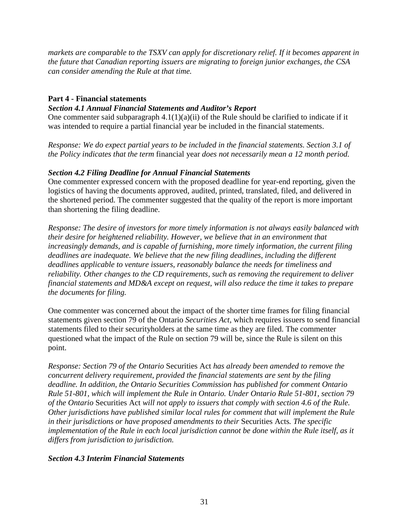*markets are comparable to the TSXV can apply for discretionary relief. If it becomes apparent in the future that Canadian reporting issuers are migrating to foreign junior exchanges, the CSA can consider amending the Rule at that time.* 

# **Part 4 - Financial statements**

# *Section 4.1 Annual Financial Statements and Auditor's Report*

One commenter said subparagraph  $4.1(1)(a)(ii)$  of the Rule should be clarified to indicate if it was intended to require a partial financial year be included in the financial statements.

*Response: We do expect partial years to be included in the financial statements. Section 3.1 of the Policy indicates that the term* financial year *does not necessarily mean a 12 month period.* 

# *Section 4.2 Filing Deadline for Annual Financial Statements*

One commenter expressed concern with the proposed deadline for year-end reporting, given the logistics of having the documents approved, audited, printed, translated, filed, and delivered in the shortened period. The commenter suggested that the quality of the report is more important than shortening the filing deadline.

*Response: The desire of investors for more timely information is not always easily balanced with their desire for heightened reliability. However, we believe that in an environment that increasingly demands, and is capable of furnishing, more timely information, the current filing deadlines are inadequate. We believe that the new filing deadlines, including the different deadlines applicable to venture issuers, reasonably balance the needs for timeliness and reliability. Other changes to the CD requirements, such as removing the requirement to deliver financial statements and MD&A except on request, will also reduce the time it takes to prepare the documents for filing.* 

One commenter was concerned about the impact of the shorter time frames for filing financial statements given section 79 of the Ontario *Securities Act*, which requires issuers to send financial statements filed to their securityholders at the same time as they are filed. The commenter questioned what the impact of the Rule on section 79 will be, since the Rule is silent on this point.

*Response: Section 79 of the Ontario* Securities Act *has already been amended to remove the concurrent delivery requirement, provided the financial statements are sent by the filing deadline. In addition, the Ontario Securities Commission has published for comment Ontario Rule 51-801, which will implement the Rule in Ontario. Under Ontario Rule 51-801, section 79 of the Ontario* Securities Act *will not apply to issuers that comply with section 4.6 of the Rule. Other jurisdictions have published similar local rules for comment that will implement the Rule in their jurisdictions or have proposed amendments to their* Securities Acts*. The specific implementation of the Rule in each local jurisdiction cannot be done within the Rule itself, as it differs from jurisdiction to jurisdiction.* 

# *Section 4.3 Interim Financial Statements*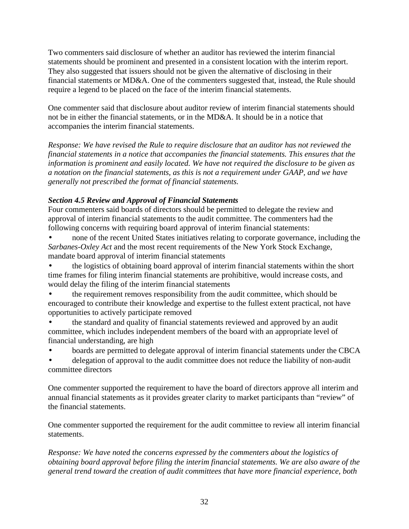Two commenters said disclosure of whether an auditor has reviewed the interim financial statements should be prominent and presented in a consistent location with the interim report. They also suggested that issuers should not be given the alternative of disclosing in their financial statements or MD&A. One of the commenters suggested that, instead, the Rule should require a legend to be placed on the face of the interim financial statements.

One commenter said that disclosure about auditor review of interim financial statements should not be in either the financial statements, or in the MD&A. It should be in a notice that accompanies the interim financial statements.

*Response: We have revised the Rule to require disclosure that an auditor has not reviewed the financial statements in a notice that accompanies the financial statements. This ensures that the information is prominent and easily located. We have not required the disclosure to be given as a notation on the financial statements, as this is not a requirement under GAAP, and we have generally not prescribed the format of financial statements.* 

# *Section 4.5 Review and Approval of Financial Statements*

Four commenters said boards of directors should be permitted to delegate the review and approval of interim financial statements to the audit committee. The commenters had the following concerns with requiring board approval of interim financial statements:

• none of the recent United States initiatives relating to corporate governance, including the *Sarbanes-Oxley Act* and the most recent requirements of the New York Stock Exchange, mandate board approval of interim financial statements

• the logistics of obtaining board approval of interim financial statements within the short time frames for filing interim financial statements are prohibitive, would increase costs, and would delay the filing of the interim financial statements

- the requirement removes responsibility from the audit committee, which should be encouraged to contribute their knowledge and expertise to the fullest extent practical, not have opportunities to actively participate removed
- the standard and quality of financial statements reviewed and approved by an audit committee, which includes independent members of the board with an appropriate level of financial understanding, are high
- boards are permitted to delegate approval of interim financial statements under the CBCA
- delegation of approval to the audit committee does not reduce the liability of non-audit committee directors

One commenter supported the requirement to have the board of directors approve all interim and annual financial statements as it provides greater clarity to market participants than "review" of the financial statements.

One commenter supported the requirement for the audit committee to review all interim financial statements.

*Response: We have noted the concerns expressed by the commenters about the logistics of obtaining board approval before filing the interim financial statements. We are also aware of the general trend toward the creation of audit committees that have more financial experience, both*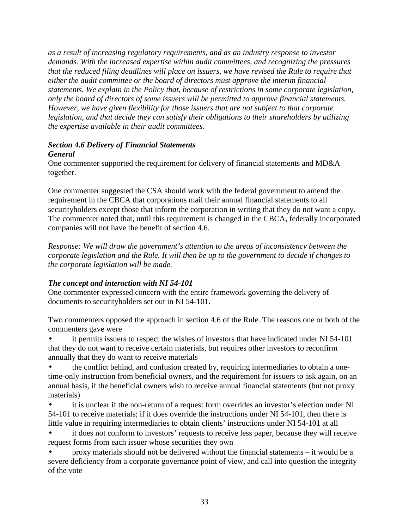*as a result of increasing regulatory requirements, and as an industry response to investor demands. With the increased expertise within audit committees, and recognizing the pressures that the reduced filing deadlines will place on issuers, we have revised the Rule to require that either the audit committee or the board of directors must approve the interim financial statements. We explain in the Policy that, because of restrictions in some corporate legislation, only the board of directors of some issuers will be permitted to approve financial statements. However, we have given flexibility for those issuers that are not subject to that corporate legislation, and that decide they can satisfy their obligations to their shareholders by utilizing the expertise available in their audit committees.* 

#### *Section 4.6 Delivery of Financial Statements General*

One commenter supported the requirement for delivery of financial statements and MD&A together.

One commenter suggested the CSA should work with the federal government to amend the requirement in the CBCA that corporations mail their annual financial statements to all securityholders except those that inform the corporation in writing that they do not want a copy. The commenter noted that, until this requirement is changed in the CBCA, federally incorporated companies will not have the benefit of section 4.6.

*Response: We will draw the government's attention to the areas of inconsistency between the corporate legislation and the Rule. It will then be up to the government to decide if changes to the corporate legislation will be made.*

# *The concept and interaction with NI 54-101*

One commenter expressed concern with the entire framework governing the delivery of documents to securityholders set out in NI 54-101.

Two commenters opposed the approach in section 4.6 of the Rule. The reasons one or both of the commenters gave were

• it permits issuers to respect the wishes of investors that have indicated under NI 54-101 that they do not want to receive certain materials, but requires other investors to reconfirm annually that they do want to receive materials

• the conflict behind, and confusion created by, requiring intermediaries to obtain a onetime-only instruction from beneficial owners, and the requirement for issuers to ask again, on an annual basis, if the beneficial owners wish to receive annual financial statements (but not proxy materials)

it is unclear if the non-return of a request form overrides an investor's election under NI 54-101 to receive materials; if it does override the instructions under NI 54-101, then there is little value in requiring intermediaries to obtain clients' instructions under NI 54-101 at all

it does not conform to investors' requests to receive less paper, because they will receive request forms from each issuer whose securities they own

• proxy materials should not be delivered without the financial statements – it would be a severe deficiency from a corporate governance point of view, and call into question the integrity of the vote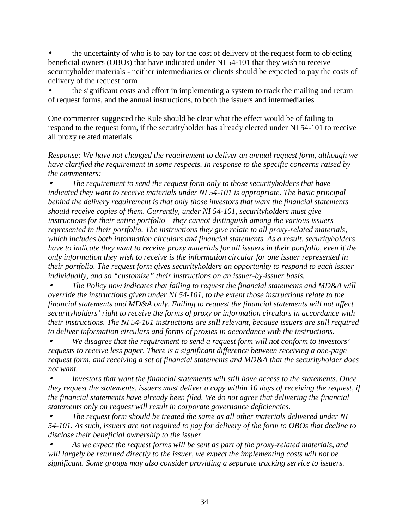• the uncertainty of who is to pay for the cost of delivery of the request form to objecting beneficial owners (OBOs) that have indicated under NI 54-101 that they wish to receive securityholder materials - neither intermediaries or clients should be expected to pay the costs of delivery of the request form

• the significant costs and effort in implementing a system to track the mailing and return of request forms, and the annual instructions, to both the issuers and intermediaries

One commenter suggested the Rule should be clear what the effect would be of failing to respond to the request form, if the securityholder has already elected under NI 54-101 to receive all proxy related materials.

*Response: We have not changed the requirement to deliver an annual request form, although we have clarified the requirement in some respects. In response to the specific concerns raised by the commenters:* 

• *The requirement to send the request form only to those securityholders that have indicated they want to receive materials under NI 54-101 is appropriate. The basic principal behind the delivery requirement is that only those investors that want the financial statements should receive copies of them. Currently, under NI 54-101, securityholders must give instructions for their entire portfolio – they cannot distinguish among the various issuers represented in their portfolio. The instructions they give relate to all proxy-related materials, which includes both information circulars and financial statements. As a result, securityholders have to indicate they want to receive proxy materials for all issuers in their portfolio, even if the only information they wish to receive is the information circular for one issuer represented in their portfolio. The request form gives securityholders an opportunity to respond to each issuer individually, and so "customize" their instructions on an issuer-by-issuer basis.* 

• *The Policy now indicates that failing to request the financial statements and MD&A will override the instructions given under NI 54-101, to the extent those instructions relate to the financial statements and MD&A only. Failing to request the financial statements will not affect securityholders' right to receive the forms of proxy or information circulars in accordance with their instructions. The NI 54-101 instructions are still relevant, because issuers are still required to deliver information circulars and forms of proxies in accordance with the instructions.* 

• *We disagree that the requirement to send a request form will not conform to investors' requests to receive less paper. There is a significant difference between receiving a one-page request form, and receiving a set of financial statements and MD&A that the securityholder does not want.* 

• *Investors that want the financial statements will still have access to the statements. Once they request the statements, issuers must deliver a copy within 10 days of receiving the request, if the financial statements have already been filed. We do not agree that delivering the financial statements only on request will result in corporate governance deficiencies.* 

• *The request form should be treated the same as all other materials delivered under NI 54-101. As such, issuers are not required to pay for delivery of the form to OBOs that decline to disclose their beneficial ownership to the issuer.* 

• *As we expect the request forms will be sent as part of the proxy-related materials, and will largely be returned directly to the issuer, we expect the implementing costs will not be significant. Some groups may also consider providing a separate tracking service to issuers.*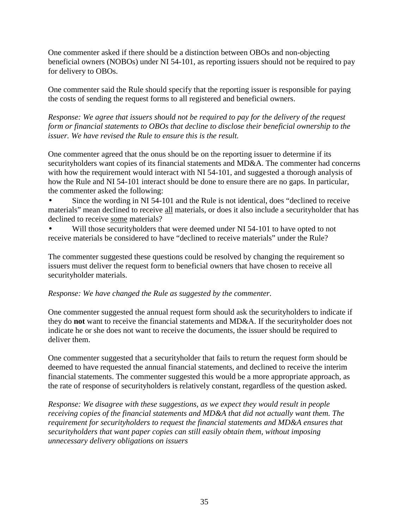One commenter asked if there should be a distinction between OBOs and non-objecting beneficial owners (NOBOs) under NI 54-101, as reporting issuers should not be required to pay for delivery to OBOs.

One commenter said the Rule should specify that the reporting issuer is responsible for paying the costs of sending the request forms to all registered and beneficial owners.

*Response: We agree that issuers should not be required to pay for the delivery of the request form or financial statements to OBOs that decline to disclose their beneficial ownership to the issuer. We have revised the Rule to ensure this is the result.*

One commenter agreed that the onus should be on the reporting issuer to determine if its securityholders want copies of its financial statements and MD&A. The commenter had concerns with how the requirement would interact with NI 54-101, and suggested a thorough analysis of how the Rule and NI 54-101 interact should be done to ensure there are no gaps. In particular, the commenter asked the following:

• Since the wording in NI 54-101 and the Rule is not identical, does "declined to receive materials" mean declined to receive all materials, or does it also include a securityholder that has declined to receive some materials?

Will those securityholders that were deemed under NI 54-101 to have opted to not receive materials be considered to have "declined to receive materials" under the Rule?

The commenter suggested these questions could be resolved by changing the requirement so issuers must deliver the request form to beneficial owners that have chosen to receive all securityholder materials.

# *Response: We have changed the Rule as suggested by the commenter.*

One commenter suggested the annual request form should ask the securityholders to indicate if they do **not** want to receive the financial statements and MD&A. If the securityholder does not indicate he or she does not want to receive the documents, the issuer should be required to deliver them.

One commenter suggested that a securityholder that fails to return the request form should be deemed to have requested the annual financial statements, and declined to receive the interim financial statements. The commenter suggested this would be a more appropriate approach, as the rate of response of securityholders is relatively constant, regardless of the question asked.

*Response: We disagree with these suggestions, as we expect they would result in people receiving copies of the financial statements and MD&A that did not actually want them. The requirement for securityholders to request the financial statements and MD&A ensures that securityholders that want paper copies can still easily obtain them, without imposing unnecessary delivery obligations on issuers*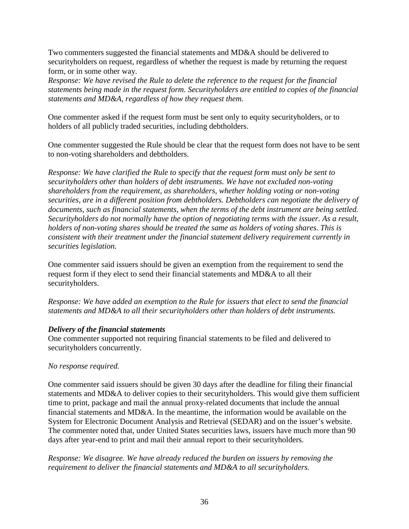Two commenters suggested the financial statements and MD&A should be delivered to securityholders on request, regardless of whether the request is made by returning the request form, or in some other way.

*Response: We have revised the Rule to delete the reference to the request for the financial statements being made in the request form. Securityholders are entitled to copies of the financial statements and MD&A, regardless of how they request them.* 

One commenter asked if the request form must be sent only to equity securityholders, or to holders of all publicly traded securities, including debtholders.

One commenter suggested the Rule should be clear that the request form does not have to be sent to non-voting shareholders and debtholders.

*Response: We have clarified the Rule to specify that the request form must only be sent to securityholders other than holders of debt instruments. We have not excluded non-voting shareholders from the requirement, as shareholders, whether holding voting or non-voting securities, are in a different position from debtholders. Debtholders can negotiate the delivery of documents, such as financial statements, when the terms of the debt instrument are being settled. Securityholders do not normally have the option of negotiating terms with the issuer. As a result, holders of non-voting shares should be treated the same as holders of voting shares. This is consistent with their treatment under the financial statement delivery requirement currently in securities legislation.* 

One commenter said issuers should be given an exemption from the requirement to send the request form if they elect to send their financial statements and MD&A to all their securityholders.

*Response: We have added an exemption to the Rule for issuers that elect to send the financial statements and MD&A to all their securityholders other than holders of debt instruments.* 

# *Delivery of the financial statements*

One commenter supported not requiring financial statements to be filed and delivered to securityholders concurrently.

# *No response required.*

One commenter said issuers should be given 30 days after the deadline for filing their financial statements and MD&A to deliver copies to their securityholders. This would give them sufficient time to print, package and mail the annual proxy-related documents that include the annual financial statements and MD&A. In the meantime, the information would be available on the System for Electronic Document Analysis and Retrieval (SEDAR) and on the issuer's website. The commenter noted that, under United States securities laws, issuers have much more than 90 days after year-end to print and mail their annual report to their securityholders.

*Response: We disagree. We have already reduced the burden on issuers by removing the requirement to deliver the financial statements and MD&A to all securityholders.*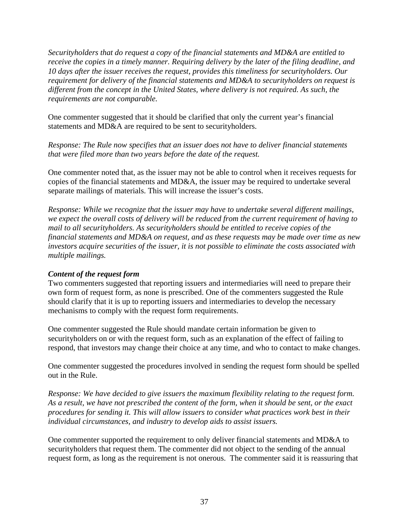*Securityholders that do request a copy of the financial statements and MD&A are entitled to receive the copies in a timely manner. Requiring delivery by the later of the filing deadline, and 10 days after the issuer receives the request, provides this timeliness for securityholders. Our requirement for delivery of the financial statements and MD&A to securityholders on request is different from the concept in the United States, where delivery is not required. As such, the requirements are not comparable.* 

One commenter suggested that it should be clarified that only the current year's financial statements and MD&A are required to be sent to securityholders.

*Response: The Rule now specifies that an issuer does not have to deliver financial statements that were filed more than two years before the date of the request.*

One commenter noted that, as the issuer may not be able to control when it receives requests for copies of the financial statements and MD&A, the issuer may be required to undertake several separate mailings of materials. This will increase the issuer's costs.

*Response: While we recognize that the issuer may have to undertake several different mailings, we expect the overall costs of delivery will be reduced from the current requirement of having to mail to all securityholders. As securityholders should be entitled to receive copies of the financial statements and MD&A on request, and as these requests may be made over time as new investors acquire securities of the issuer, it is not possible to eliminate the costs associated with multiple mailings.* 

## *Content of the request form*

Two commenters suggested that reporting issuers and intermediaries will need to prepare their own form of request form, as none is prescribed. One of the commenters suggested the Rule should clarify that it is up to reporting issuers and intermediaries to develop the necessary mechanisms to comply with the request form requirements.

One commenter suggested the Rule should mandate certain information be given to securityholders on or with the request form, such as an explanation of the effect of failing to respond, that investors may change their choice at any time, and who to contact to make changes.

One commenter suggested the procedures involved in sending the request form should be spelled out in the Rule.

*Response: We have decided to give issuers the maximum flexibility relating to the request form. As a result, we have not prescribed the content of the form, when it should be sent, or the exact procedures for sending it. This will allow issuers to consider what practices work best in their individual circumstances, and industry to develop aids to assist issuers.* 

One commenter supported the requirement to only deliver financial statements and MD&A to securityholders that request them. The commenter did not object to the sending of the annual request form, as long as the requirement is not onerous. The commenter said it is reassuring that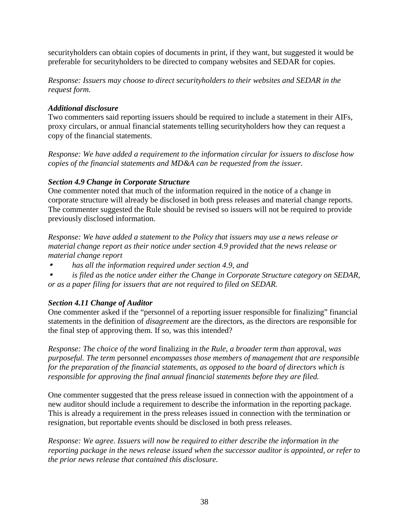securityholders can obtain copies of documents in print, if they want, but suggested it would be preferable for securityholders to be directed to company websites and SEDAR for copies.

*Response: Issuers may choose to direct securityholders to their websites and SEDAR in the request form.*

## *Additional disclosure*

Two commenters said reporting issuers should be required to include a statement in their AIFs, proxy circulars, or annual financial statements telling securityholders how they can request a copy of the financial statements.

*Response: We have added a requirement to the information circular for issuers to disclose how copies of the financial statements and MD&A can be requested from the issuer.*

# *Section 4.9 Change in Corporate Structure*

One commenter noted that much of the information required in the notice of a change in corporate structure will already be disclosed in both press releases and material change reports. The commenter suggested the Rule should be revised so issuers will not be required to provide previously disclosed information.

*Response: We have added a statement to the Policy that issuers may use a news release or material change report as their notice under section 4.9 provided that the news release or material change report* 

- • *has all the information required under section 4.9, and*
- • *is filed as the notice under either the Change in Corporate Structure category on SEDAR, or as a paper filing for issuers that are not required to filed on SEDAR.*

# *Section 4.11 Change of Auditor*

One commenter asked if the "personnel of a reporting issuer responsible for finalizing" financial statements in the definition of *disagreement* are the directors, as the directors are responsible for the final step of approving them. If so, was this intended?

*Response: The choice of the word* finalizing *in the Rule, a broader term than* approval*, was purposeful. The term* personnel *encompasses those members of management that are responsible for the preparation of the financial statements, as opposed to the board of directors which is responsible for approving the final annual financial statements before they are filed.* 

One commenter suggested that the press release issued in connection with the appointment of a new auditor should include a requirement to describe the information in the reporting package. This is already a requirement in the press releases issued in connection with the termination or resignation, but reportable events should be disclosed in both press releases.

*Response: We agree. Issuers will now be required to either describe the information in the reporting package in the news release issued when the successor auditor is appointed, or refer to the prior news release that contained this disclosure.*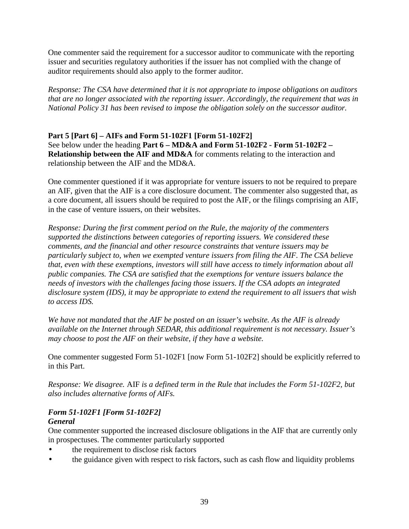One commenter said the requirement for a successor auditor to communicate with the reporting issuer and securities regulatory authorities if the issuer has not complied with the change of auditor requirements should also apply to the former auditor.

*Response: The CSA have determined that it is not appropriate to impose obligations on auditors that are no longer associated with the reporting issuer. Accordingly, the requirement that was in National Policy 31 has been revised to impose the obligation solely on the successor auditor.* 

## **Part 5 [Part 6] – AIFs and Form 51-102F1 [Form 51-102F2]**  See below under the heading **Part 6 – MD&A and Form 51-102F2 - Form 51-102F2 – Relationship between the AIF and MD&A** for comments relating to the interaction and relationship between the AIF and the MD&A.

One commenter questioned if it was appropriate for venture issuers to not be required to prepare an AIF, given that the AIF is a core disclosure document. The commenter also suggested that, as a core document, all issuers should be required to post the AIF, or the filings comprising an AIF, in the case of venture issuers, on their websites.

*Response: During the first comment period on the Rule, the majority of the commenters supported the distinctions between categories of reporting issuers. We considered these comments, and the financial and other resource constraints that venture issuers may be particularly subject to, when we exempted venture issuers from filing the AIF. The CSA believe that, even with these exemptions, investors will still have access to timely information about all public companies. The CSA are satisfied that the exemptions for venture issuers balance the needs of investors with the challenges facing those issuers. If the CSA adopts an integrated disclosure system (IDS), it may be appropriate to extend the requirement to all issuers that wish to access IDS.* 

*We have not mandated that the AIF be posted on an issuer's website. As the AIF is already available on the Internet through SEDAR, this additional requirement is not necessary. Issuer's may choose to post the AIF on their website, if they have a website.* 

One commenter suggested Form 51-102F1 [now Form 51-102F2] should be explicitly referred to in this Part.

*Response: We disagree.* AIF *is a defined term in the Rule that includes the Form 51-102F2, but also includes alternative forms of AIFs.* 

## *Form 51-102F1 [Form 51-102F2] General*

One commenter supported the increased disclosure obligations in the AIF that are currently only in prospectuses. The commenter particularly supported

- the requirement to disclose risk factors
- the guidance given with respect to risk factors, such as cash flow and liquidity problems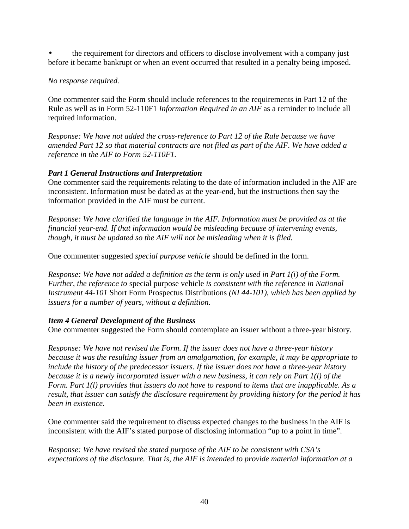• the requirement for directors and officers to disclose involvement with a company just before it became bankrupt or when an event occurred that resulted in a penalty being imposed.

# *No response required.*

One commenter said the Form should include references to the requirements in Part 12 of the Rule as well as in Form 52-110F1 *Information Required in an AIF* as a reminder to include all required information.

*Response: We have not added the cross-reference to Part 12 of the Rule because we have amended Part 12 so that material contracts are not filed as part of the AIF. We have added a reference in the AIF to Form 52-110F1.* 

# *Part 1 General Instructions and Interpretation*

One commenter said the requirements relating to the date of information included in the AIF are inconsistent. Information must be dated as at the year-end, but the instructions then say the information provided in the AIF must be current.

*Response: We have clarified the language in the AIF. Information must be provided as at the financial year-end. If that information would be misleading because of intervening events, though, it must be updated so the AIF will not be misleading when it is filed.* 

One commenter suggested *special purpose vehicle* should be defined in the form.

*Response: We have not added a definition as the term is only used in Part 1(i) of the Form. Further, the reference to* special purpose vehicle *is consistent with the reference in National Instrument 44-101* Short Form Prospectus Distributions *(NI 44-101), which has been applied by issuers for a number of years, without a definition.* 

## *Item 4 General Development of the Business*

One commenter suggested the Form should contemplate an issuer without a three-year history.

*Response: We have not revised the Form. If the issuer does not have a three-year history because it was the resulting issuer from an amalgamation, for example, it may be appropriate to include the history of the predecessor issuers. If the issuer does not have a three-year history because it is a newly incorporated issuer with a new business, it can rely on Part 1(l) of the Form. Part 1(l) provides that issuers do not have to respond to items that are inapplicable. As a result, that issuer can satisfy the disclosure requirement by providing history for the period it has been in existence.* 

One commenter said the requirement to discuss expected changes to the business in the AIF is inconsistent with the AIF's stated purpose of disclosing information "up to a point in time".

*Response: We have revised the stated purpose of the AIF to be consistent with CSA's expectations of the disclosure. That is, the AIF is intended to provide material information at a*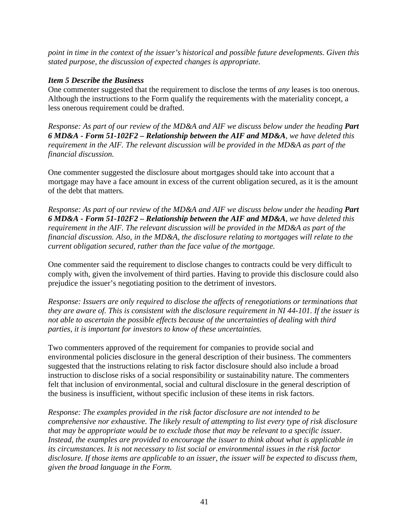*point in time in the context of the issuer's historical and possible future developments. Given this stated purpose, the discussion of expected changes is appropriate.* 

#### *Item 5 Describe the Business*

One commenter suggested that the requirement to disclose the terms of *any* leases is too onerous. Although the instructions to the Form qualify the requirements with the materiality concept, a less onerous requirement could be drafted.

*Response: As part of our review of the MD&A and AIF we discuss below under the heading Part 6 MD&A - Form 51-102F2 – Relationship between the AIF and MD&A, we have deleted this requirement in the AIF. The relevant discussion will be provided in the MD&A as part of the financial discussion.* 

One commenter suggested the disclosure about mortgages should take into account that a mortgage may have a face amount in excess of the current obligation secured, as it is the amount of the debt that matters.

*Response: As part of our review of the MD&A and AIF we discuss below under the heading Part 6 MD&A - Form 51-102F2 – Relationship between the AIF and MD&A, we have deleted this requirement in the AIF. The relevant discussion will be provided in the MD&A as part of the financial discussion. Also, in the MD&A, the disclosure relating to mortgages will relate to the current obligation secured, rather than the face value of the mortgage.* 

One commenter said the requirement to disclose changes to contracts could be very difficult to comply with, given the involvement of third parties. Having to provide this disclosure could also prejudice the issuer's negotiating position to the detriment of investors.

*Response: Issuers are only required to disclose the affects of renegotiations or terminations that they are aware of. This is consistent with the disclosure requirement in NI 44-101. If the issuer is not able to ascertain the possible effects because of the uncertainties of dealing with third parties, it is important for investors to know of these uncertainties.* 

Two commenters approved of the requirement for companies to provide social and environmental policies disclosure in the general description of their business. The commenters suggested that the instructions relating to risk factor disclosure should also include a broad instruction to disclose risks of a social responsibility or sustainability nature. The commenters felt that inclusion of environmental, social and cultural disclosure in the general description of the business is insufficient, without specific inclusion of these items in risk factors.

*Response: The examples provided in the risk factor disclosure are not intended to be comprehensive nor exhaustive. The likely result of attempting to list every type of risk disclosure that may be appropriate would be to exclude those that may be relevant to a specific issuer. Instead, the examples are provided to encourage the issuer to think about what is applicable in its circumstances. It is not necessary to list social or environmental issues in the risk factor disclosure. If those items are applicable to an issuer, the issuer will be expected to discuss them, given the broad language in the Form.*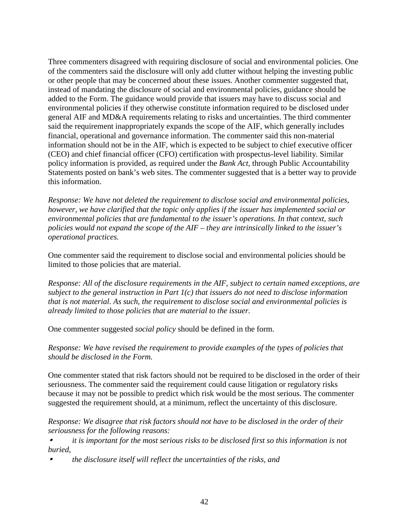Three commenters disagreed with requiring disclosure of social and environmental policies. One of the commenters said the disclosure will only add clutter without helping the investing public or other people that may be concerned about these issues. Another commenter suggested that, instead of mandating the disclosure of social and environmental policies, guidance should be added to the Form. The guidance would provide that issuers may have to discuss social and environmental policies if they otherwise constitute information required to be disclosed under general AIF and MD&A requirements relating to risks and uncertainties. The third commenter said the requirement inappropriately expands the scope of the AIF, which generally includes financial, operational and governance information. The commenter said this non-material information should not be in the AIF, which is expected to be subject to chief executive officer (CEO) and chief financial officer (CFO) certification with prospectus-level liability. Similar policy information is provided, as required under the *Bank Act*, through Public Accountability Statements posted on bank's web sites. The commenter suggested that is a better way to provide this information.

*Response: We have not deleted the requirement to disclose social and environmental policies, however, we have clarified that the topic only applies if the issuer has implemented social or environmental policies that are fundamental to the issuer's operations. In that context, such policies would not expand the scope of the AIF – they are intrinsically linked to the issuer's operational practices.* 

One commenter said the requirement to disclose social and environmental policies should be limited to those policies that are material.

*Response: All of the disclosure requirements in the AIF, subject to certain named exceptions, are subject to the general instruction in Part 1(c) that issuers do not need to disclose information that is not material. As such, the requirement to disclose social and environmental policies is already limited to those policies that are material to the issuer.* 

One commenter suggested *social policy* should be defined in the form.

*Response: We have revised the requirement to provide examples of the types of policies that should be disclosed in the Form.* 

One commenter stated that risk factors should not be required to be disclosed in the order of their seriousness. The commenter said the requirement could cause litigation or regulatory risks because it may not be possible to predict which risk would be the most serious. The commenter suggested the requirement should, at a minimum, reflect the uncertainty of this disclosure.

*Response: We disagree that risk factors should not have to be disclosed in the order of their seriousness for the following reasons:* 

• *it is important for the most serious risks to be disclosed first so this information is not buried,* 

• *the disclosure itself will reflect the uncertainties of the risks, and*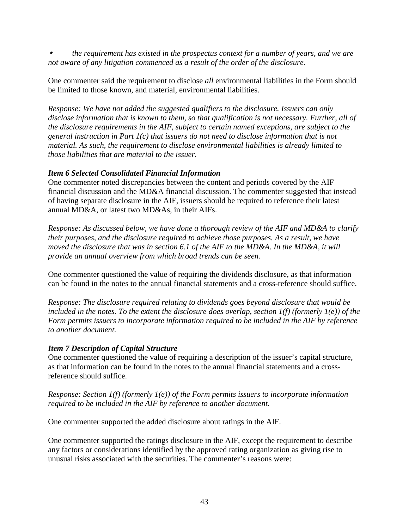• *the requirement has existed in the prospectus context for a number of years, and we are not aware of any litigation commenced as a result of the order of the disclosure.* 

One commenter said the requirement to disclose *all* environmental liabilities in the Form should be limited to those known, and material, environmental liabilities.

*Response: We have not added the suggested qualifiers to the disclosure. Issuers can only disclose information that is known to them, so that qualification is not necessary. Further, all of the disclosure requirements in the AIF, subject to certain named exceptions, are subject to the general instruction in Part 1(c) that issuers do not need to disclose information that is not material. As such, the requirement to disclose environmental liabilities is already limited to those liabilities that are material to the issuer.* 

## *Item 6 Selected Consolidated Financial Information*

One commenter noted discrepancies between the content and periods covered by the AIF financial discussion and the MD&A financial discussion. The commenter suggested that instead of having separate disclosure in the AIF, issuers should be required to reference their latest annual MD&A, or latest two MD&As, in their AIFs.

*Response: As discussed below, we have done a thorough review of the AIF and MD&A to clarify their purposes, and the disclosure required to achieve those purposes. As a result, we have moved the disclosure that was in section 6.1 of the AIF to the MD&A. In the MD&A, it will provide an annual overview from which broad trends can be seen.* 

One commenter questioned the value of requiring the dividends disclosure, as that information can be found in the notes to the annual financial statements and a cross-reference should suffice.

*Response: The disclosure required relating to dividends goes beyond disclosure that would be included in the notes. To the extent the disclosure does overlap, section*  $I(f)$  *(formerly*  $I(e)$ *) of the Form permits issuers to incorporate information required to be included in the AIF by reference to another document.* 

## *Item 7 Description of Capital Structure*

One commenter questioned the value of requiring a description of the issuer's capital structure, as that information can be found in the notes to the annual financial statements and a crossreference should suffice.

*Response: Section 1(f) (formerly 1(e)) of the Form permits issuers to incorporate information required to be included in the AIF by reference to another document.* 

One commenter supported the added disclosure about ratings in the AIF.

One commenter supported the ratings disclosure in the AIF, except the requirement to describe any factors or considerations identified by the approved rating organization as giving rise to unusual risks associated with the securities. The commenter's reasons were: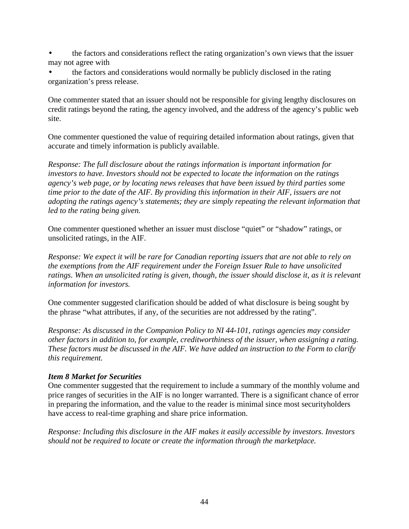- the factors and considerations reflect the rating organization's own views that the issuer may not agree with
- the factors and considerations would normally be publicly disclosed in the rating organization's press release.

One commenter stated that an issuer should not be responsible for giving lengthy disclosures on credit ratings beyond the rating, the agency involved, and the address of the agency's public web site.

One commenter questioned the value of requiring detailed information about ratings, given that accurate and timely information is publicly available.

*Response: The full disclosure about the ratings information is important information for investors to have. Investors should not be expected to locate the information on the ratings agency's web page, or by locating news releases that have been issued by third parties some time prior to the date of the AIF. By providing this information in their AIF, issuers are not adopting the ratings agency's statements; they are simply repeating the relevant information that led to the rating being given.* 

One commenter questioned whether an issuer must disclose "quiet" or "shadow" ratings, or unsolicited ratings, in the AIF.

*Response: We expect it will be rare for Canadian reporting issuers that are not able to rely on the exemptions from the AIF requirement under the Foreign Issuer Rule to have unsolicited ratings. When an unsolicited rating is given, though, the issuer should disclose it, as it is relevant information for investors.* 

One commenter suggested clarification should be added of what disclosure is being sought by the phrase "what attributes, if any, of the securities are not addressed by the rating".

*Response: As discussed in the Companion Policy to NI 44-101, ratings agencies may consider other factors in addition to, for example, creditworthiness of the issuer, when assigning a rating. These factors must be discussed in the AIF. We have added an instruction to the Form to clarify this requirement.* 

## *Item 8 Market for Securities*

One commenter suggested that the requirement to include a summary of the monthly volume and price ranges of securities in the AIF is no longer warranted. There is a significant chance of error in preparing the information, and the value to the reader is minimal since most securityholders have access to real-time graphing and share price information.

*Response: Including this disclosure in the AIF makes it easily accessible by investors. Investors should not be required to locate or create the information through the marketplace.*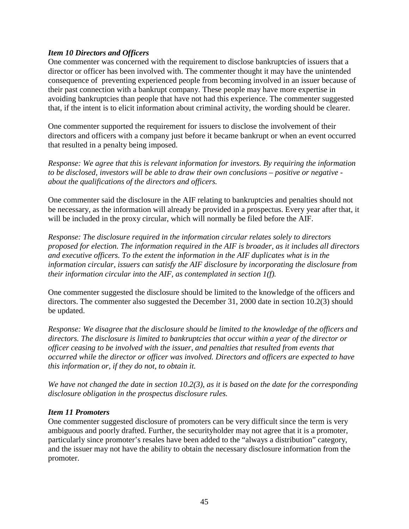#### *Item 10 Directors and Officers*

One commenter was concerned with the requirement to disclose bankruptcies of issuers that a director or officer has been involved with. The commenter thought it may have the unintended consequence of preventing experienced people from becoming involved in an issuer because of their past connection with a bankrupt company. These people may have more expertise in avoiding bankruptcies than people that have not had this experience. The commenter suggested that, if the intent is to elicit information about criminal activity, the wording should be clearer.

One commenter supported the requirement for issuers to disclose the involvement of their directors and officers with a company just before it became bankrupt or when an event occurred that resulted in a penalty being imposed.

*Response: We agree that this is relevant information for investors. By requiring the information to be disclosed, investors will be able to draw their own conclusions – positive or negative about the qualifications of the directors and officers.* 

One commenter said the disclosure in the AIF relating to bankruptcies and penalties should not be necessary, as the information will already be provided in a prospectus. Every year after that, it will be included in the proxy circular, which will normally be filed before the AIF.

*Response: The disclosure required in the information circular relates solely to directors proposed for election. The information required in the AIF is broader, as it includes all directors and executive officers. To the extent the information in the AIF duplicates what is in the information circular, issuers can satisfy the AIF disclosure by incorporating the disclosure from their information circular into the AIF, as contemplated in section 1(f).* 

One commenter suggested the disclosure should be limited to the knowledge of the officers and directors. The commenter also suggested the December 31, 2000 date in section 10.2(3) should be updated.

*Response: We disagree that the disclosure should be limited to the knowledge of the officers and directors. The disclosure is limited to bankruptcies that occur within a year of the director or officer ceasing to be involved with the issuer, and penalties that resulted from events that occurred while the director or officer was involved. Directors and officers are expected to have this information or, if they do not, to obtain it.* 

*We have not changed the date in section 10.2(3), as it is based on the date for the corresponding disclosure obligation in the prospectus disclosure rules.* 

#### *Item 11 Promoters*

One commenter suggested disclosure of promoters can be very difficult since the term is very ambiguous and poorly drafted. Further, the securityholder may not agree that it is a promoter, particularly since promoter's resales have been added to the "always a distribution" category, and the issuer may not have the ability to obtain the necessary disclosure information from the promoter.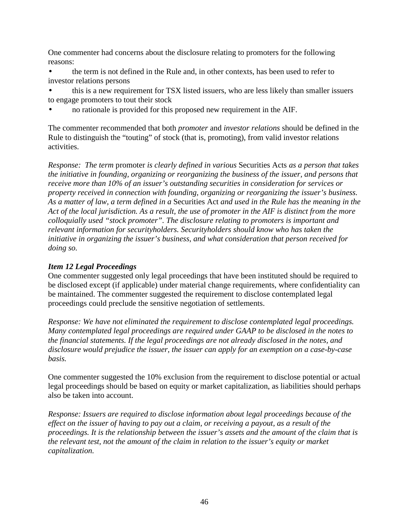One commenter had concerns about the disclosure relating to promoters for the following reasons:

- the term is not defined in the Rule and, in other contexts, has been used to refer to investor relations persons
- this is a new requirement for TSX listed issuers, who are less likely than smaller issuers to engage promoters to tout their stock
- no rationale is provided for this proposed new requirement in the AIF.

The commenter recommended that both *promoter* and *investor relations* should be defined in the Rule to distinguish the "touting" of stock (that is, promoting), from valid investor relations activities.

*Response: The term* promoter *is clearly defined in various* Securities Acts *as a person that takes the initiative in founding, organizing or reorganizing the business of the issuer, and persons that receive more than 10% of an issuer's outstanding securities in consideration for services or property received in connection with founding, organizing or reorganizing the issuer's business. As a matter of law, a term defined in a* Securities Act *and used in the Rule has the meaning in the Act of the local jurisdiction. As a result, the use of promoter in the AIF is distinct from the more colloquially used "stock promoter". The disclosure relating to promoters is important and relevant information for securityholders. Securityholders should know who has taken the initiative in organizing the issuer's business, and what consideration that person received for doing so.* 

# *Item 12 Legal Proceedings*

One commenter suggested only legal proceedings that have been instituted should be required to be disclosed except (if applicable) under material change requirements, where confidentiality can be maintained. The commenter suggested the requirement to disclose contemplated legal proceedings could preclude the sensitive negotiation of settlements.

*Response: We have not eliminated the requirement to disclose contemplated legal proceedings. Many contemplated legal proceedings are required under GAAP to be disclosed in the notes to the financial statements. If the legal proceedings are not already disclosed in the notes, and disclosure would prejudice the issuer, the issuer can apply for an exemption on a case-by-case basis.*

One commenter suggested the 10% exclusion from the requirement to disclose potential or actual legal proceedings should be based on equity or market capitalization, as liabilities should perhaps also be taken into account.

*Response: Issuers are required to disclose information about legal proceedings because of the effect on the issuer of having to pay out a claim, or receiving a payout, as a result of the proceedings. It is the relationship between the issuer's assets and the amount of the claim that is the relevant test, not the amount of the claim in relation to the issuer's equity or market capitalization.*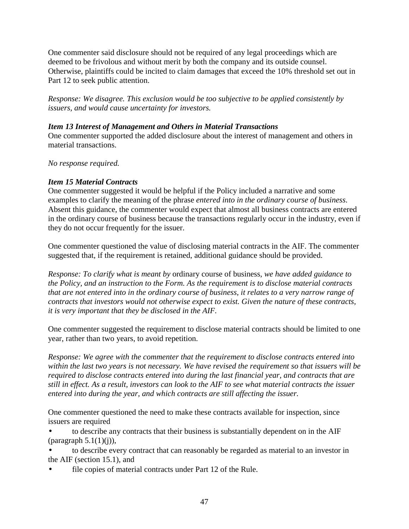One commenter said disclosure should not be required of any legal proceedings which are deemed to be frivolous and without merit by both the company and its outside counsel. Otherwise, plaintiffs could be incited to claim damages that exceed the 10% threshold set out in Part 12 to seek public attention.

*Response: We disagree. This exclusion would be too subjective to be applied consistently by issuers, and would cause uncertainty for investors.* 

#### *Item 13 Interest of Management and Others in Material Transactions*

One commenter supported the added disclosure about the interest of management and others in material transactions.

#### *No response required.*

## *Item 15 Material Contracts*

One commenter suggested it would be helpful if the Policy included a narrative and some examples to clarify the meaning of the phrase *entered into in the ordinary course of business*. Absent this guidance, the commenter would expect that almost all business contracts are entered in the ordinary course of business because the transactions regularly occur in the industry, even if they do not occur frequently for the issuer.

One commenter questioned the value of disclosing material contracts in the AIF. The commenter suggested that, if the requirement is retained, additional guidance should be provided.

*Response: To clarify what is meant by* ordinary course of business*, we have added guidance to the Policy, and an instruction to the Form. As the requirement is to disclose material contracts that are not entered into in the ordinary course of business, it relates to a very narrow range of contracts that investors would not otherwise expect to exist. Given the nature of these contracts, it is very important that they be disclosed in the AIF.* 

One commenter suggested the requirement to disclose material contracts should be limited to one year, rather than two years, to avoid repetition.

*Response: We agree with the commenter that the requirement to disclose contracts entered into within the last two years is not necessary. We have revised the requirement so that issuers will be required to disclose contracts entered into during the last financial year, and contracts that are still in effect. As a result, investors can look to the AIF to see what material contracts the issuer entered into during the year, and which contracts are still affecting the issuer.* 

One commenter questioned the need to make these contracts available for inspection, since issuers are required

• to describe any contracts that their business is substantially dependent on in the AIF (paragraph  $5.1(1)(i)$ ),

• to describe every contract that can reasonably be regarded as material to an investor in the AIF (section 15.1), and

file copies of material contracts under Part 12 of the Rule.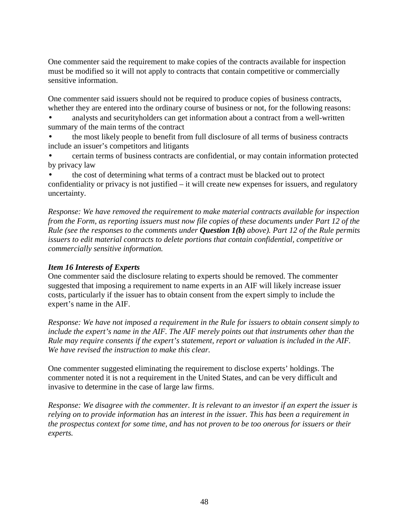One commenter said the requirement to make copies of the contracts available for inspection must be modified so it will not apply to contracts that contain competitive or commercially sensitive information.

One commenter said issuers should not be required to produce copies of business contracts, whether they are entered into the ordinary course of business or not, for the following reasons:

- analysts and securityholders can get information about a contract from a well-written summary of the main terms of the contract
- the most likely people to benefit from full disclosure of all terms of business contracts include an issuer's competitors and litigants
- certain terms of business contracts are confidential, or may contain information protected by privacy law

the cost of determining what terms of a contract must be blacked out to protect confidentiality or privacy is not justified – it will create new expenses for issuers, and regulatory uncertainty.

*Response: We have removed the requirement to make material contracts available for inspection from the Form, as reporting issuers must now file copies of these documents under Part 12 of the Rule (see the responses to the comments under Question 1(b) above). Part 12 of the Rule permits issuers to edit material contracts to delete portions that contain confidential, competitive or commercially sensitive information.* 

# *Item 16 Interests of Experts*

One commenter said the disclosure relating to experts should be removed. The commenter suggested that imposing a requirement to name experts in an AIF will likely increase issuer costs, particularly if the issuer has to obtain consent from the expert simply to include the expert's name in the AIF.

*Response: We have not imposed a requirement in the Rule for issuers to obtain consent simply to include the expert's name in the AIF. The AIF merely points out that instruments other than the Rule may require consents if the expert's statement, report or valuation is included in the AIF. We have revised the instruction to make this clear.* 

One commenter suggested eliminating the requirement to disclose experts' holdings. The commenter noted it is not a requirement in the United States, and can be very difficult and invasive to determine in the case of large law firms.

*Response: We disagree with the commenter. It is relevant to an investor if an expert the issuer is relying on to provide information has an interest in the issuer. This has been a requirement in the prospectus context for some time, and has not proven to be too onerous for issuers or their experts.*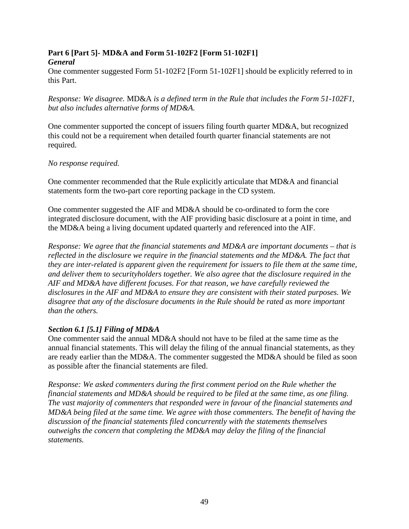#### **Part 6 [Part 5]- MD&A and Form 51-102F2 [Form 51-102F1]**  *General*

One commenter suggested Form 51-102F2 [Form 51-102F1] should be explicitly referred to in this Part.

*Response: We disagree.* MD&A *is a defined term in the Rule that includes the Form 51-102F1, but also includes alternative forms of MD&A.* 

One commenter supported the concept of issuers filing fourth quarter MD&A, but recognized this could not be a requirement when detailed fourth quarter financial statements are not required.

#### *No response required.*

One commenter recommended that the Rule explicitly articulate that MD&A and financial statements form the two-part core reporting package in the CD system.

One commenter suggested the AIF and MD&A should be co-ordinated to form the core integrated disclosure document, with the AIF providing basic disclosure at a point in time, and the MD&A being a living document updated quarterly and referenced into the AIF.

*Response: We agree that the financial statements and MD&A are important documents – that is reflected in the disclosure we require in the financial statements and the MD&A. The fact that they are inter-related is apparent given the requirement for issuers to file them at the same time, and deliver them to securityholders together. We also agree that the disclosure required in the AIF and MD&A have different focuses. For that reason, we have carefully reviewed the disclosures in the AIF and MD&A to ensure they are consistent with their stated purposes. We disagree that any of the disclosure documents in the Rule should be rated as more important than the others.* 

## *Section 6.1 [5.1] Filing of MD&A*

One commenter said the annual MD&A should not have to be filed at the same time as the annual financial statements. This will delay the filing of the annual financial statements, as they are ready earlier than the MD&A. The commenter suggested the MD&A should be filed as soon as possible after the financial statements are filed.

*Response: We asked commenters during the first comment period on the Rule whether the financial statements and MD&A should be required to be filed at the same time, as one filing. The vast majority of commenters that responded were in favour of the financial statements and MD&A being filed at the same time. We agree with those commenters. The benefit of having the discussion of the financial statements filed concurrently with the statements themselves outweighs the concern that completing the MD&A may delay the filing of the financial statements.*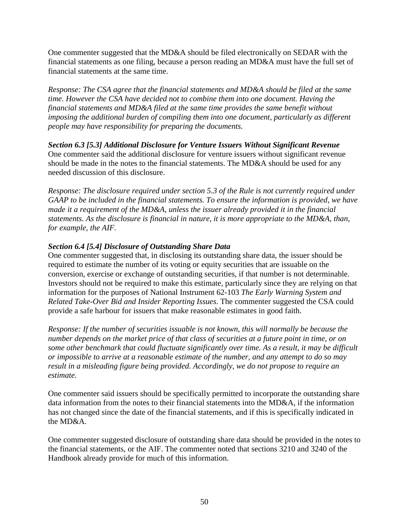One commenter suggested that the MD&A should be filed electronically on SEDAR with the financial statements as one filing, because a person reading an MD&A must have the full set of financial statements at the same time.

*Response: The CSA agree that the financial statements and MD&A should be filed at the same time. However the CSA have decided not to combine them into one document. Having the financial statements and MD&A filed at the same time provides the same benefit without imposing the additional burden of compiling them into one document, particularly as different people may have responsibility for preparing the documents.* 

*Section 6.3 [5.3] Additional Disclosure for Venture Issuers Without Significant Revenue*  One commenter said the additional disclosure for venture issuers without significant revenue should be made in the notes to the financial statements. The MD&A should be used for any needed discussion of this disclosure.

*Response: The disclosure required under section 5.3 of the Rule is not currently required under GAAP to be included in the financial statements. To ensure the information is provided, we have made it a requirement of the MD&A, unless the issuer already provided it in the financial statements. As the disclosure is financial in nature, it is more appropriate to the MD&A, than, for example, the AIF.* 

## *Section 6.4 [5.4] Disclosure of Outstanding Share Data*

One commenter suggested that, in disclosing its outstanding share data, the issuer should be required to estimate the number of its voting or equity securities that are issuable on the conversion, exercise or exchange of outstanding securities, if that number is not determinable. Investors should not be required to make this estimate, particularly since they are relying on that information for the purposes of National Instrument 62-103 *The Early Warning System and Related Take-Over Bid and Insider Reporting Issues*. The commenter suggested the CSA could provide a safe harbour for issuers that make reasonable estimates in good faith.

*Response: If the number of securities issuable is not known, this will normally be because the number depends on the market price of that class of securities at a future point in time, or on some other benchmark that could fluctuate significantly over time. As a result, it may be difficult or impossible to arrive at a reasonable estimate of the number, and any attempt to do so may result in a misleading figure being provided. Accordingly, we do not propose to require an estimate.* 

One commenter said issuers should be specifically permitted to incorporate the outstanding share data information from the notes to their financial statements into the MD&A, if the information has not changed since the date of the financial statements, and if this is specifically indicated in the MD&A.

One commenter suggested disclosure of outstanding share data should be provided in the notes to the financial statements, or the AIF. The commenter noted that sections 3210 and 3240 of the Handbook already provide for much of this information.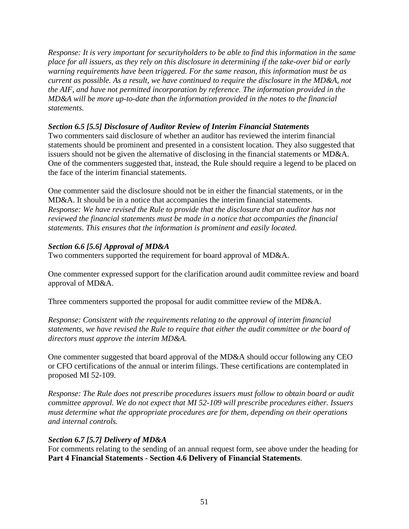*Response: It is very important for securityholders to be able to find this information in the same place for all issuers, as they rely on this disclosure in determining if the take-over bid or early warning requirements have been triggered. For the same reason, this information must be as current as possible. As a result, we have continued to require the disclosure in the MD&A, not the AIF, and have not permitted incorporation by reference. The information provided in the MD&A will be more up-to-date than the information provided in the notes to the financial statements.* 

#### *Section 6.5 [5.5] Disclosure of Auditor Review of Interim Financial Statements*

Two commenters said disclosure of whether an auditor has reviewed the interim financial statements should be prominent and presented in a consistent location. They also suggested that issuers should not be given the alternative of disclosing in the financial statements or MD&A. One of the commenters suggested that, instead, the Rule should require a legend to be placed on the face of the interim financial statements.

One commenter said the disclosure should not be in either the financial statements, or in the MD&A. It should be in a notice that accompanies the interim financial statements. *Response: We have revised the Rule to provide that the disclosure that an auditor has not reviewed the financial statements must be made in a notice that accompanies the financial statements. This ensures that the information is prominent and easily located.* 

## *Section 6.6 [5.6] Approval of MD&A*

Two commenters supported the requirement for board approval of MD&A.

One commenter expressed support for the clarification around audit committee review and board approval of MD&A.

Three commenters supported the proposal for audit committee review of the MD&A.

*Response: Consistent with the requirements relating to the approval of interim financial statements, we have revised the Rule to require that either the audit committee or the board of directors must approve the interim MD&A.* 

One commenter suggested that board approval of the MD&A should occur following any CEO or CFO certifications of the annual or interim filings. These certifications are contemplated in proposed MI 52-109.

*Response: The Rule does not prescribe procedures issuers must follow to obtain board or audit committee approval. We do not expect that MI 52-109 will prescribe procedures either. Issuers must determine what the appropriate procedures are for them, depending on their operations and internal controls.* 

#### *Section 6.7 [5.7] Delivery of MD&A*

For comments relating to the sending of an annual request form, see above under the heading for **Part 4 Financial Statements - Section 4.6 Delivery of Financial Statements**.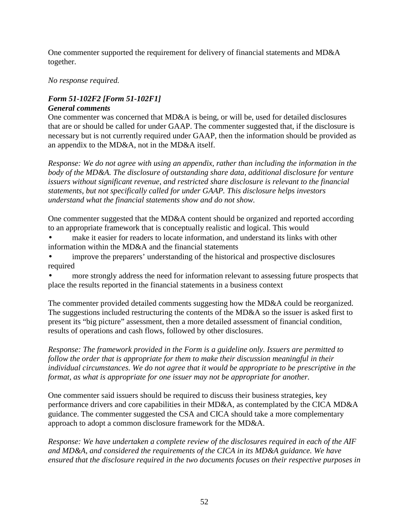One commenter supported the requirement for delivery of financial statements and MD&A together.

#### *No response required.*

## *Form 51-102F2 [Form 51-102F1] General comments*

One commenter was concerned that MD&A is being, or will be, used for detailed disclosures that are or should be called for under GAAP. The commenter suggested that, if the disclosure is necessary but is not currently required under GAAP, then the information should be provided as an appendix to the MD&A, not in the MD&A itself.

*Response: We do not agree with using an appendix, rather than including the information in the body of the MD&A. The disclosure of outstanding share data, additional disclosure for venture issuers without significant revenue, and restricted share disclosure is relevant to the financial statements, but not specifically called for under GAAP. This disclosure helps investors understand what the financial statements show and do not show.* 

One commenter suggested that the MD&A content should be organized and reported according to an appropriate framework that is conceptually realistic and logical. This would

- make it easier for readers to locate information, and understand its links with other information within the MD&A and the financial statements
- improve the preparers' understanding of the historical and prospective disclosures required
- more strongly address the need for information relevant to assessing future prospects that place the results reported in the financial statements in a business context

The commenter provided detailed comments suggesting how the MD&A could be reorganized. The suggestions included restructuring the contents of the MD&A so the issuer is asked first to present its "big picture" assessment, then a more detailed assessment of financial condition, results of operations and cash flows, followed by other disclosures.

*Response: The framework provided in the Form is a guideline only. Issuers are permitted to follow the order that is appropriate for them to make their discussion meaningful in their individual circumstances. We do not agree that it would be appropriate to be prescriptive in the format, as what is appropriate for one issuer may not be appropriate for another.* 

One commenter said issuers should be required to discuss their business strategies, key performance drivers and core capabilities in their MD&A, as contemplated by the CICA MD&A guidance. The commenter suggested the CSA and CICA should take a more complementary approach to adopt a common disclosure framework for the MD&A.

*Response: We have undertaken a complete review of the disclosures required in each of the AIF and MD&A, and considered the requirements of the CICA in its MD&A guidance. We have ensured that the disclosure required in the two documents focuses on their respective purposes in*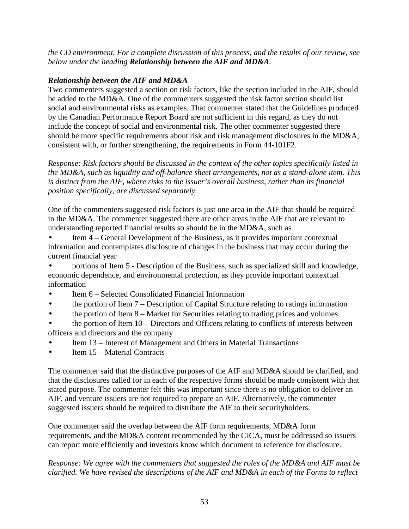*the CD environment. For a complete discussion of this process, and the results of our review, see below under the heading Relationship between the AIF and MD&A.*

# *Relationship between the AIF and MD&A*

Two commenters suggested a section on risk factors, like the section included in the AIF, should be added to the MD&A. One of the commenters suggested the risk factor section should list social and environmental risks as examples. That commenter stated that the Guidelines produced by the Canadian Performance Report Board are not sufficient in this regard, as they do not include the concept of social and environmental risk. The other commenter suggested there should be more specific requirements about risk and risk management disclosures in the MD&A, consistent with, or further strengthening, the requirements in Form 44-101F2.

*Response: Risk factors should be discussed in the context of the other topics specifically listed in the MD&A, such as liquidity and off-balance sheet arrangements, not as a stand-alone item. This is distinct from the AIF, where risks to the issuer's overall business, rather than its financial position specifically, are discussed separately.* 

One of the commenters suggested risk factors is just one area in the AIF that should be required in the MD&A. The commenter suggested there are other areas in the AIF that are relevant to understanding reported financial results so should be in the MD&A, such as

Item 4 – General Development of the Business, as it provides important contextual information and contemplates disclosure of changes in the business that may occur during the current financial year

• portions of Item 5 - Description of the Business, such as specialized skill and knowledge, economic dependence, and environmental protection, as they provide important contextual information

- Item 6 Selected Consolidated Financial Information
- the portion of Item 7 Description of Capital Structure relating to ratings information
- the portion of Item 8 Market for Securities relating to trading prices and volumes

• the portion of Item 10 – Directors and Officers relating to conflicts of interests between officers and directors and the company

- Item 13 Interest of Management and Others in Material Transactions
- Item 15 Material Contracts

The commenter said that the distinctive purposes of the AIF and MD&A should be clarified, and that the disclosures called for in each of the respective forms should be made consistent with that stated purpose. The commenter felt this was important since there is no obligation to deliver an AIF, and venture issuers are not required to prepare an AIF. Alternatively, the commenter suggested issuers should be required to distribute the AIF to their securityholders.

One commenter said the overlap between the AIF form requirements, MD&A form requirements, and the MD&A content recommended by the CICA, must be addressed so issuers can report more efficiently and investors know which document to reference for disclosure.

# *Response: We agree with the commenters that suggested the roles of the MD&A and AIF must be clarified. We have revised the descriptions of the AIF and MD&A in each of the Forms to reflect*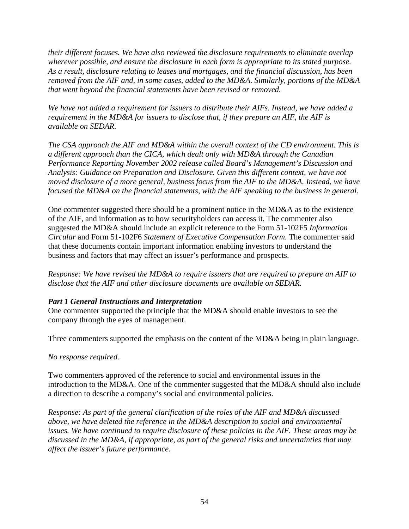*their different focuses. We have also reviewed the disclosure requirements to eliminate overlap wherever possible, and ensure the disclosure in each form is appropriate to its stated purpose. As a result, disclosure relating to leases and mortgages, and the financial discussion, has been removed from the AIF and, in some cases, added to the MD&A. Similarly, portions of the MD&A that went beyond the financial statements have been revised or removed.* 

*We have not added a requirement for issuers to distribute their AIFs. Instead, we have added a requirement in the MD&A for issuers to disclose that, if they prepare an AIF, the AIF is available on SEDAR.* 

*The CSA approach the AIF and MD&A within the overall context of the CD environment. This is a different approach than the CICA, which dealt only with MD&A through the Canadian Performance Reporting November 2002 release called Board's Management's Discussion and Analysis: Guidance on Preparation and Disclosure. Given this different context, we have not moved disclosure of a more general, business focus from the AIF to the MD&A. Instead, we have focused the MD&A on the financial statements, with the AIF speaking to the business in general.* 

One commenter suggested there should be a prominent notice in the MD&A as to the existence of the AIF, and information as to how securityholders can access it. The commenter also suggested the MD&A should include an explicit reference to the Form 51-102F5 *Information Circular* and Form 51-102F6 *Statement of Executive Compensation Form*. The commenter said that these documents contain important information enabling investors to understand the business and factors that may affect an issuer's performance and prospects.

*Response: We have revised the MD&A to require issuers that are required to prepare an AIF to disclose that the AIF and other disclosure documents are available on SEDAR.* 

## *Part 1 General Instructions and Interpretation*

One commenter supported the principle that the MD&A should enable investors to see the company through the eyes of management.

Three commenters supported the emphasis on the content of the MD&A being in plain language.

*No response required.* 

Two commenters approved of the reference to social and environmental issues in the introduction to the MD&A. One of the commenter suggested that the MD&A should also include a direction to describe a company's social and environmental policies.

*Response: As part of the general clarification of the roles of the AIF and MD&A discussed above, we have deleted the reference in the MD&A description to social and environmental issues. We have continued to require disclosure of these policies in the AIF. These areas may be discussed in the MD&A, if appropriate, as part of the general risks and uncertainties that may affect the issuer's future performance.*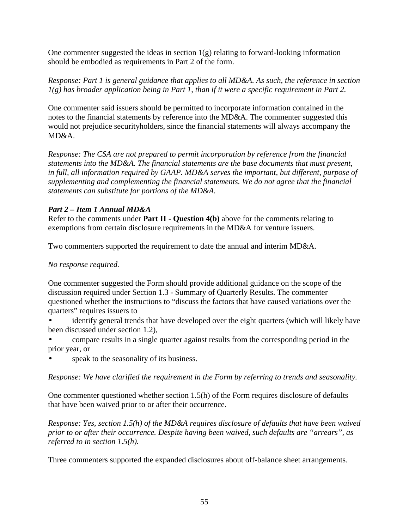One commenter suggested the ideas in section  $1(g)$  relating to forward-looking information should be embodied as requirements in Part 2 of the form.

*Response: Part 1 is general guidance that applies to all MD&A. As such, the reference in section 1(g) has broader application being in Part 1, than if it were a specific requirement in Part 2.* 

One commenter said issuers should be permitted to incorporate information contained in the notes to the financial statements by reference into the MD&A. The commenter suggested this would not prejudice securityholders, since the financial statements will always accompany the MD&A.

*Response: The CSA are not prepared to permit incorporation by reference from the financial statements into the MD&A. The financial statements are the base documents that must present, in full, all information required by GAAP. MD&A serves the important, but different, purpose of supplementing and complementing the financial statements. We do not agree that the financial statements can substitute for portions of the MD&A.* 

## *Part 2 – Item 1 Annual MD&A*

Refer to the comments under **Part II - Question 4(b)** above for the comments relating to exemptions from certain disclosure requirements in the MD&A for venture issuers.

Two commenters supported the requirement to date the annual and interim MD&A.

# *No response required.*

One commenter suggested the Form should provide additional guidance on the scope of the discussion required under Section 1.3 - Summary of Quarterly Results. The commenter questioned whether the instructions to "discuss the factors that have caused variations over the quarters" requires issuers to

identify general trends that have developed over the eight quarters (which will likely have been discussed under section 1.2),

• compare results in a single quarter against results from the corresponding period in the prior year, or

speak to the seasonality of its business.

*Response: We have clarified the requirement in the Form by referring to trends and seasonality.* 

One commenter questioned whether section 1.5(h) of the Form requires disclosure of defaults that have been waived prior to or after their occurrence.

*Response: Yes, section 1.5(h) of the MD&A requires disclosure of defaults that have been waived prior to or after their occurrence. Despite having been waived, such defaults are "arrears", as referred to in section 1.5(h).* 

Three commenters supported the expanded disclosures about off-balance sheet arrangements.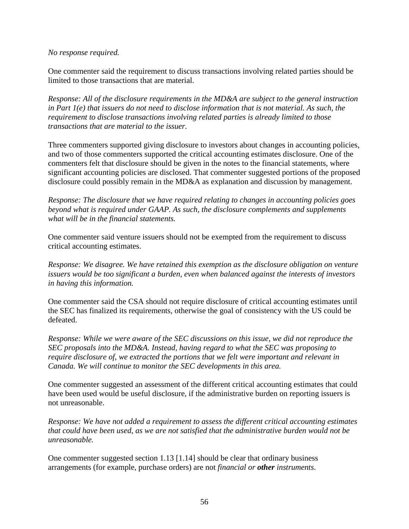#### *No response required.*

One commenter said the requirement to discuss transactions involving related parties should be limited to those transactions that are material.

*Response: All of the disclosure requirements in the MD&A are subject to the general instruction in Part 1(e) that issuers do not need to disclose information that is not material. As such, the requirement to disclose transactions involving related parties is already limited to those transactions that are material to the issuer.* 

Three commenters supported giving disclosure to investors about changes in accounting policies, and two of those commenters supported the critical accounting estimates disclosure. One of the commenters felt that disclosure should be given in the notes to the financial statements, where significant accounting policies are disclosed. That commenter suggested portions of the proposed disclosure could possibly remain in the MD&A as explanation and discussion by management.

*Response: The disclosure that we have required relating to changes in accounting policies goes beyond what is required under GAAP. As such, the disclosure complements and supplements what will be in the financial statements.* 

One commenter said venture issuers should not be exempted from the requirement to discuss critical accounting estimates.

*Response: We disagree. We have retained this exemption as the disclosure obligation on venture issuers would be too significant a burden, even when balanced against the interests of investors in having this information.* 

One commenter said the CSA should not require disclosure of critical accounting estimates until the SEC has finalized its requirements, otherwise the goal of consistency with the US could be defeated.

*Response: While we were aware of the SEC discussions on this issue, we did not reproduce the SEC proposals into the MD&A. Instead, having regard to what the SEC was proposing to require disclosure of, we extracted the portions that we felt were important and relevant in Canada. We will continue to monitor the SEC developments in this area.* 

One commenter suggested an assessment of the different critical accounting estimates that could have been used would be useful disclosure, if the administrative burden on reporting issuers is not unreasonable.

*Response: We have not added a requirement to assess the different critical accounting estimates that could have been used, as we are not satisfied that the administrative burden would not be unreasonable.*

One commenter suggested section 1.13 [1.14] should be clear that ordinary business arrangements (for example, purchase orders) are not *financial or other instruments*.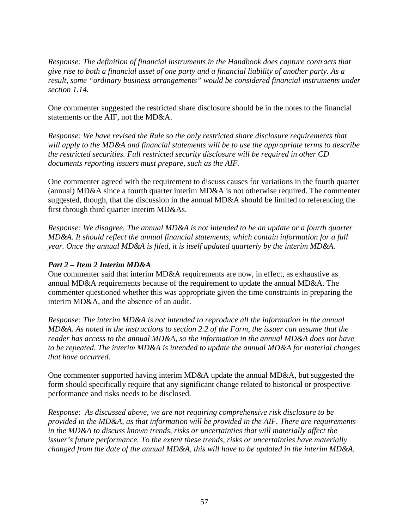*Response: The definition of financial instruments in the Handbook does capture contracts that give rise to both a financial asset of one party and a financial liability of another party. As a result, some "ordinary business arrangements" would be considered financial instruments under section 1.14.* 

One commenter suggested the restricted share disclosure should be in the notes to the financial statements or the AIF, not the MD&A.

*Response: We have revised the Rule so the only restricted share disclosure requirements that will apply to the MD&A and financial statements will be to use the appropriate terms to describe the restricted securities. Full restricted security disclosure will be required in other CD documents reporting issuers must prepare, such as the AIF.* 

One commenter agreed with the requirement to discuss causes for variations in the fourth quarter (annual) MD&A since a fourth quarter interim MD&A is not otherwise required. The commenter suggested, though, that the discussion in the annual MD&A should be limited to referencing the first through third quarter interim MD&As.

*Response: We disagree. The annual MD&A is not intended to be an update or a fourth quarter MD&A. It should reflect the annual financial statements, which contain information for a full year. Once the annual MD&A is filed, it is itself updated quarterly by the interim MD&A.* 

## *Part 2 – Item 2 Interim MD&A*

One commenter said that interim MD&A requirements are now, in effect, as exhaustive as annual MD&A requirements because of the requirement to update the annual MD&A. The commenter questioned whether this was appropriate given the time constraints in preparing the interim MD&A, and the absence of an audit.

*Response: The interim MD&A is not intended to reproduce all the information in the annual MD&A. As noted in the instructions to section 2.2 of the Form, the issuer can assume that the reader has access to the annual MD&A, so the information in the annual MD&A does not have to be repeated. The interim MD&A is intended to update the annual MD&A for material changes that have occurred.* 

One commenter supported having interim MD&A update the annual MD&A, but suggested the form should specifically require that any significant change related to historical or prospective performance and risks needs to be disclosed.

*Response: As discussed above, we are not requiring comprehensive risk disclosure to be provided in the MD&A, as that information will be provided in the AIF. There are requirements in the MD&A to discuss known trends, risks or uncertainties that will materially affect the issuer's future performance. To the extent these trends, risks or uncertainties have materially changed from the date of the annual MD&A, this will have to be updated in the interim MD&A.*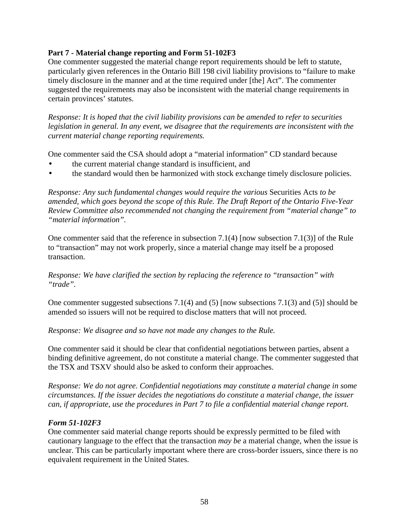#### **Part 7 - Material change reporting and Form 51-102F3**

One commenter suggested the material change report requirements should be left to statute, particularly given references in the Ontario Bill 198 civil liability provisions to "failure to make timely disclosure in the manner and at the time required under [the] Act". The commenter suggested the requirements may also be inconsistent with the material change requirements in certain provinces' statutes.

*Response: It is hoped that the civil liability provisions can be amended to refer to securities legislation in general. In any event, we disagree that the requirements are inconsistent with the current material change reporting requirements.*

One commenter said the CSA should adopt a "material information" CD standard because

- the current material change standard is insufficient, and
- the standard would then be harmonized with stock exchange timely disclosure policies.

*Response: Any such fundamental changes would require the various* Securities Acts *to be amended, which goes beyond the scope of this Rule. The Draft Report of the Ontario Five-Year Review Committee also recommended not changing the requirement from "material change" to "material information".* 

One commenter said that the reference in subsection 7.1(4) [now subsection 7.1(3)] of the Rule to "transaction" may not work properly, since a material change may itself be a proposed transaction.

#### *Response: We have clarified the section by replacing the reference to "transaction" with "trade".*

One commenter suggested subsections 7.1(4) and (5) [now subsections 7.1(3) and (5)] should be amended so issuers will not be required to disclose matters that will not proceed.

*Response: We disagree and so have not made any changes to the Rule.* 

One commenter said it should be clear that confidential negotiations between parties, absent a binding definitive agreement, do not constitute a material change. The commenter suggested that the TSX and TSXV should also be asked to conform their approaches.

*Response: We do not agree. Confidential negotiations may constitute a material change in some circumstances. If the issuer decides the negotiations do constitute a material change, the issuer can, if appropriate, use the procedures in Part 7 to file a confidential material change report.* 

## *Form 51-102F3*

One commenter said material change reports should be expressly permitted to be filed with cautionary language to the effect that the transaction *may be* a material change, when the issue is unclear. This can be particularly important where there are cross-border issuers, since there is no equivalent requirement in the United States.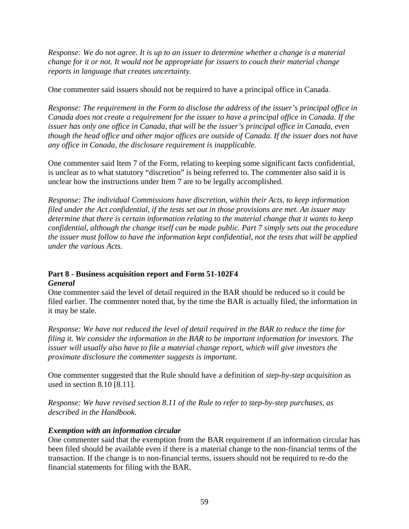*Response: We do not agree. It is up to an issuer to determine whether a change is a material change for it or not. It would not be appropriate for issuers to couch their material change reports in language that creates uncertainty.* 

One commenter said issuers should not be required to have a principal office in Canada.

*Response: The requirement in the Form to disclose the address of the issuer's principal office in Canada does not create a requirement for the issuer to have a principal office in Canada. If the issuer has only one office in Canada, that will be the issuer's principal office in Canada, even though the head office and other major offices are outside of Canada. If the issuer does not have any office in Canada, the disclosure requirement is inapplicable.* 

One commenter said Item 7 of the Form, relating to keeping some significant facts confidential, is unclear as to what statutory "discretion" is being referred to. The commenter also said it is unclear how the instructions under Item 7 are to be legally accomplished.

*Response: The individual Commissions have discretion, within their Acts, to keep information filed under the Act confidential, if the tests set out in those provisions are met. An issuer may determine that there is certain information relating to the material change that it wants to keep confidential, although the change itself can be made public. Part 7 simply sets out the procedure the issuer must follow to have the information kept confidential, not the tests that will be applied under the various Acts.* 

## **Part 8 - Business acquisition report and Form 51-102F4**  *General*

One commenter said the level of detail required in the BAR should be reduced so it could be filed earlier. The commenter noted that, by the time the BAR is actually filed, the information in it may be stale.

*Response: We have not reduced the level of detail required in the BAR to reduce the time for filing it. We consider the information in the BAR to be important information for investors. The issuer will usually also have to file a material change report, which will give investors the proximate disclosure the commenter suggests is important.* 

One commenter suggested that the Rule should have a definition of *step-by-step acquisition* as used in section 8.10 [8.11].

*Response: We have revised section 8.11 of the Rule to refer to step-by-step purchases, as described in the Handbook.*

#### *Exemption with an information circular*

One commenter said that the exemption from the BAR requirement if an information circular has been filed should be available even if there is a material change to the non-financial terms of the transaction. If the change is to non-financial terms, issuers should not be required to re-do the financial statements for filing with the BAR.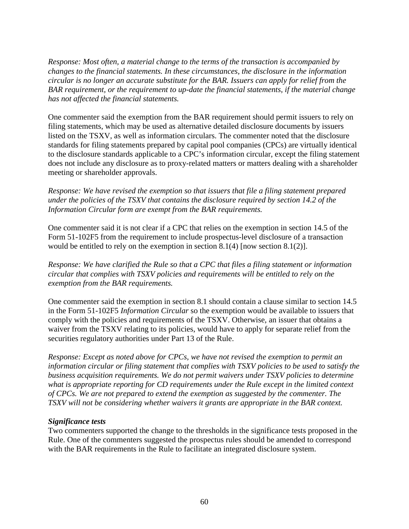*Response: Most often, a material change to the terms of the transaction is accompanied by changes to the financial statements. In these circumstances, the disclosure in the information circular is no longer an accurate substitute for the BAR. Issuers can apply for relief from the BAR requirement, or the requirement to up-date the financial statements, if the material change has not affected the financial statements.* 

One commenter said the exemption from the BAR requirement should permit issuers to rely on filing statements, which may be used as alternative detailed disclosure documents by issuers listed on the TSXV, as well as information circulars. The commenter noted that the disclosure standards for filing statements prepared by capital pool companies (CPCs) are virtually identical to the disclosure standards applicable to a CPC's information circular, except the filing statement does not include any disclosure as to proxy-related matters or matters dealing with a shareholder meeting or shareholder approvals.

*Response: We have revised the exemption so that issuers that file a filing statement prepared under the policies of the TSXV that contains the disclosure required by section 14.2 of the Information Circular form are exempt from the BAR requirements.* 

One commenter said it is not clear if a CPC that relies on the exemption in section 14.5 of the Form 51-102F5 from the requirement to include prospectus-level disclosure of a transaction would be entitled to rely on the exemption in section 8.1(4) [now section 8.1(2)].

*Response: We have clarified the Rule so that a CPC that files a filing statement or information circular that complies with TSXV policies and requirements will be entitled to rely on the exemption from the BAR requirements.*

One commenter said the exemption in section 8.1 should contain a clause similar to section 14.5 in the Form 51-102F5 *Information Circular* so the exemption would be available to issuers that comply with the policies and requirements of the TSXV. Otherwise, an issuer that obtains a waiver from the TSXV relating to its policies, would have to apply for separate relief from the securities regulatory authorities under Part 13 of the Rule.

*Response: Except as noted above for CPCs, we have not revised the exemption to permit an information circular or filing statement that complies with TSXV policies to be used to satisfy the business acquisition requirements. We do not permit waivers under TSXV policies to determine what is appropriate reporting for CD requirements under the Rule except in the limited context of CPCs. We are not prepared to extend the exemption as suggested by the commenter. The TSXV will not be considering whether waivers it grants are appropriate in the BAR context.*

#### *Significance tests*

Two commenters supported the change to the thresholds in the significance tests proposed in the Rule. One of the commenters suggested the prospectus rules should be amended to correspond with the BAR requirements in the Rule to facilitate an integrated disclosure system.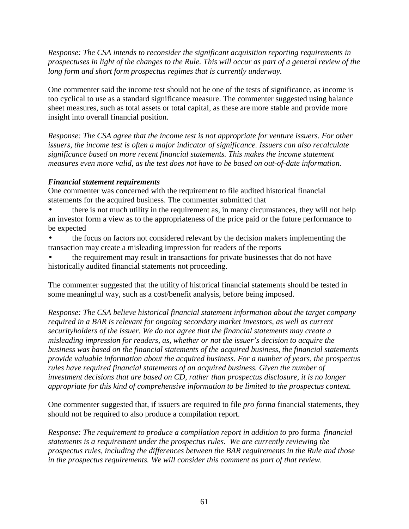*Response: The CSA intends to reconsider the significant acquisition reporting requirements in prospectuses in light of the changes to the Rule. This will occur as part of a general review of the long form and short form prospectus regimes that is currently underway.* 

One commenter said the income test should not be one of the tests of significance, as income is too cyclical to use as a standard significance measure. The commenter suggested using balance sheet measures, such as total assets or total capital, as these are more stable and provide more insight into overall financial position.

*Response: The CSA agree that the income test is not appropriate for venture issuers. For other issuers, the income test is often a major indicator of significance. Issuers can also recalculate significance based on more recent financial statements. This makes the income statement measures even more valid, as the test does not have to be based on out-of-date information.* 

## *Financial statement requirements*

One commenter was concerned with the requirement to file audited historical financial statements for the acquired business. The commenter submitted that

- there is not much utility in the requirement as, in many circumstances, they will not help an investor form a view as to the appropriateness of the price paid or the future performance to be expected
- the focus on factors not considered relevant by the decision makers implementing the transaction may create a misleading impression for readers of the reports
- the requirement may result in transactions for private businesses that do not have historically audited financial statements not proceeding.

The commenter suggested that the utility of historical financial statements should be tested in some meaningful way, such as a cost/benefit analysis, before being imposed.

*Response: The CSA believe historical financial statement information about the target company required in a BAR is relevant for ongoing secondary market investors, as well as current securityholders of the issuer. We do not agree that the financial statements may create a misleading impression for readers, as, whether or not the issuer's decision to acquire the business was based on the financial statements of the acquired business, the financial statements provide valuable information about the acquired business. For a number of years, the prospectus rules have required financial statements of an acquired business. Given the number of investment decisions that are based on CD, rather than prospectus disclosure, it is no longer appropriate for this kind of comprehensive information to be limited to the prospectus context.* 

One commenter suggested that, if issuers are required to file *pro forma* financial statements, they should not be required to also produce a compilation report.

*Response: The requirement to produce a compilation report in addition to pro forma financial statements is a requirement under the prospectus rules. We are currently reviewing the prospectus rules, including the differences between the BAR requirements in the Rule and those in the prospectus requirements. We will consider this comment as part of that review.*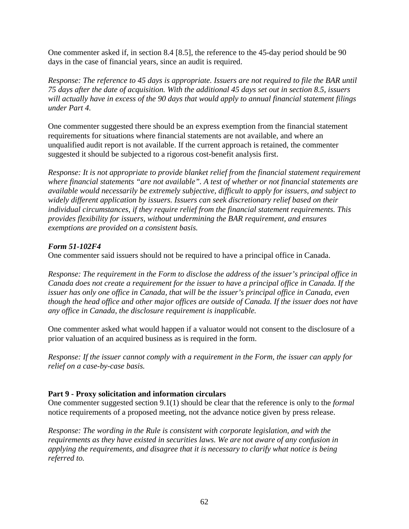One commenter asked if, in section 8.4 [8.5], the reference to the 45-day period should be 90 days in the case of financial years, since an audit is required.

*Response: The reference to 45 days is appropriate. Issuers are not required to file the BAR until 75 days after the date of acquisition. With the additional 45 days set out in section 8.5, issuers will actually have in excess of the 90 days that would apply to annual financial statement filings under Part 4.* 

One commenter suggested there should be an express exemption from the financial statement requirements for situations where financial statements are not available, and where an unqualified audit report is not available. If the current approach is retained, the commenter suggested it should be subjected to a rigorous cost-benefit analysis first.

*Response: It is not appropriate to provide blanket relief from the financial statement requirement where financial statements "are not available". A test of whether or not financial statements are available would necessarily be extremely subjective, difficult to apply for issuers, and subject to widely different application by issuers. Issuers can seek discretionary relief based on their individual circumstances, if they require relief from the financial statement requirements. This provides flexibility for issuers, without undermining the BAR requirement, and ensures exemptions are provided on a consistent basis.*

## *Form 51-102F4*

One commenter said issuers should not be required to have a principal office in Canada.

*Response: The requirement in the Form to disclose the address of the issuer's principal office in Canada does not create a requirement for the issuer to have a principal office in Canada. If the issuer has only one office in Canada, that will be the issuer's principal office in Canada, even though the head office and other major offices are outside of Canada. If the issuer does not have any office in Canada, the disclosure requirement is inapplicable.* 

One commenter asked what would happen if a valuator would not consent to the disclosure of a prior valuation of an acquired business as is required in the form.

*Response: If the issuer cannot comply with a requirement in the Form, the issuer can apply for relief on a case-by-case basis.* 

#### **Part 9 - Proxy solicitation and information circulars**

One commenter suggested section 9.1(1) should be clear that the reference is only to the *formal* notice requirements of a proposed meeting, not the advance notice given by press release.

*Response: The wording in the Rule is consistent with corporate legislation, and with the requirements as they have existed in securities laws. We are not aware of any confusion in applying the requirements, and disagree that it is necessary to clarify what notice is being referred to.*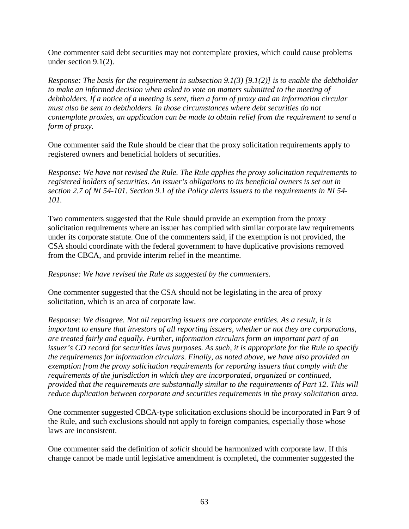One commenter said debt securities may not contemplate proxies, which could cause problems under section 9.1(2).

*Response: The basis for the requirement in subsection 9.1(3) [9.1(2)] is to enable the debtholder to make an informed decision when asked to vote on matters submitted to the meeting of debtholders. If a notice of a meeting is sent, then a form of proxy and an information circular must also be sent to debtholders. In those circumstances where debt securities do not contemplate proxies, an application can be made to obtain relief from the requirement to send a form of proxy.*

One commenter said the Rule should be clear that the proxy solicitation requirements apply to registered owners and beneficial holders of securities.

*Response: We have not revised the Rule. The Rule applies the proxy solicitation requirements to registered holders of securities. An issuer's obligations to its beneficial owners is set out in section 2.7 of NI 54-101. Section 9.1 of the Policy alerts issuers to the requirements in NI 54- 101.* 

Two commenters suggested that the Rule should provide an exemption from the proxy solicitation requirements where an issuer has complied with similar corporate law requirements under its corporate statute. One of the commenters said, if the exemption is not provided, the CSA should coordinate with the federal government to have duplicative provisions removed from the CBCA, and provide interim relief in the meantime.

*Response: We have revised the Rule as suggested by the commenters.* 

One commenter suggested that the CSA should not be legislating in the area of proxy solicitation, which is an area of corporate law.

*Response: We disagree. Not all reporting issuers are corporate entities. As a result, it is important to ensure that investors of all reporting issuers, whether or not they are corporations, are treated fairly and equally. Further, information circulars form an important part of an issuer's CD record for securities laws purposes. As such, it is appropriate for the Rule to specify the requirements for information circulars. Finally, as noted above, we have also provided an exemption from the proxy solicitation requirements for reporting issuers that comply with the requirements of the jurisdiction in which they are incorporated, organized or continued, provided that the requirements are substantially similar to the requirements of Part 12. This will reduce duplication between corporate and securities requirements in the proxy solicitation area.* 

One commenter suggested CBCA-type solicitation exclusions should be incorporated in Part 9 of the Rule, and such exclusions should not apply to foreign companies, especially those whose laws are inconsistent.

One commenter said the definition of *solicit* should be harmonized with corporate law. If this change cannot be made until legislative amendment is completed, the commenter suggested the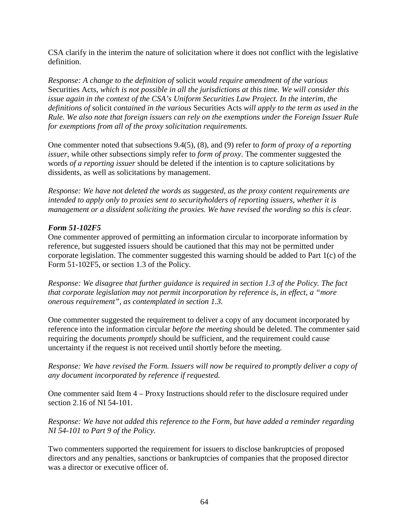CSA clarify in the interim the nature of solicitation where it does not conflict with the legislative definition.

*Response: A change to the definition of* solicit *would require amendment of the various*  Securities Acts*, which is not possible in all the jurisdictions at this time. We will consider this issue again in the context of the CSA's Uniform Securities Law Project. In the interim, the definitions of* solicit *contained in the various* Securities Acts *will apply to the term as used in the Rule. We also note that foreign issuers can rely on the exemptions under the Foreign Issuer Rule for exemptions from all of the proxy solicitation requirements.* 

One commenter noted that subsections 9.4(5), (8), and (9) refer to *form of proxy of a reporting issuer*, while other subsections simply refer to *form of proxy*. The commenter suggested the words *of a reporting issuer* should be deleted if the intention is to capture solicitations by dissidents, as well as solicitations by management.

*Response: We have not deleted the words as suggested, as the proxy content requirements are intended to apply only to proxies sent to securityholders of reporting issuers, whether it is management or a dissident soliciting the proxies. We have revised the wording so this is clear.* 

## *Form 51-102F5*

One commenter approved of permitting an information circular to incorporate information by reference, but suggested issuers should be cautioned that this may not be permitted under corporate legislation. The commenter suggested this warning should be added to Part 1(c) of the Form 51-102F5, or section 1.3 of the Policy.

*Response: We disagree that further guidance is required in section 1.3 of the Policy. The fact that corporate legislation may not permit incorporation by reference is, in effect, a "more onerous requirement", as contemplated in section 1.3.* 

One commenter suggested the requirement to deliver a copy of any document incorporated by reference into the information circular *before the meeting* should be deleted. The commenter said requiring the documents *promptly* should be sufficient, and the requirement could cause uncertainty if the request is not received until shortly before the meeting.

*Response: We have revised the Form. Issuers will now be required to promptly deliver a copy of any document incorporated by reference if requested.* 

One commenter said Item 4 – Proxy Instructions should refer to the disclosure required under section 2.16 of NI 54-101.

*Response: We have not added this reference to the Form, but have added a reminder regarding NI 54-101 to Part 9 of the Policy.* 

Two commenters supported the requirement for issuers to disclose bankruptcies of proposed directors and any penalties, sanctions or bankruptcies of companies that the proposed director was a director or executive officer of.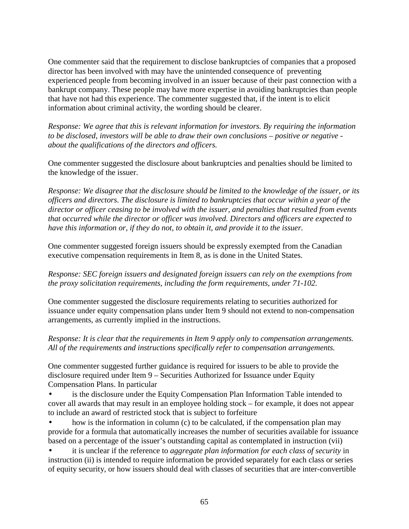One commenter said that the requirement to disclose bankruptcies of companies that a proposed director has been involved with may have the unintended consequence of preventing experienced people from becoming involved in an issuer because of their past connection with a bankrupt company. These people may have more expertise in avoiding bankruptcies than people that have not had this experience. The commenter suggested that, if the intent is to elicit information about criminal activity, the wording should be clearer.

*Response: We agree that this is relevant information for investors. By requiring the information to be disclosed, investors will be able to draw their own conclusions – positive or negative about the qualifications of the directors and officers.* 

One commenter suggested the disclosure about bankruptcies and penalties should be limited to the knowledge of the issuer.

*Response: We disagree that the disclosure should be limited to the knowledge of the issuer, or its officers and directors. The disclosure is limited to bankruptcies that occur within a year of the director or officer ceasing to be involved with the issuer, and penalties that resulted from events that occurred while the director or officer was involved. Directors and officers are expected to have this information or, if they do not, to obtain it, and provide it to the issuer.* 

One commenter suggested foreign issuers should be expressly exempted from the Canadian executive compensation requirements in Item 8, as is done in the United States.

*Response: SEC foreign issuers and designated foreign issuers can rely on the exemptions from the proxy solicitation requirements, including the form requirements, under 71-102.*

One commenter suggested the disclosure requirements relating to securities authorized for issuance under equity compensation plans under Item 9 should not extend to non-compensation arrangements, as currently implied in the instructions.

*Response: It is clear that the requirements in Item 9 apply only to compensation arrangements. All of the requirements and instructions specifically refer to compensation arrangements.*

One commenter suggested further guidance is required for issuers to be able to provide the disclosure required under Item 9 – Securities Authorized for Issuance under Equity Compensation Plans. In particular

- is the disclosure under the Equity Compensation Plan Information Table intended to cover all awards that may result in an employee holding stock – for example, it does not appear to include an award of restricted stock that is subject to forfeiture
- how is the information in column  $(c)$  to be calculated, if the compensation plan may provide for a formula that automatically increases the number of securities available for issuance based on a percentage of the issuer's outstanding capital as contemplated in instruction (vii)

• it is unclear if the reference to *aggregate plan information for each class of security* in instruction (ii) is intended to require information be provided separately for each class or series of equity security, or how issuers should deal with classes of securities that are inter-convertible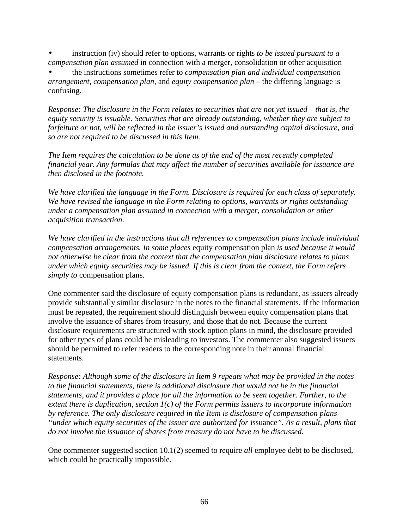• instruction (iv) should refer to options, warrants or rights *to be issued pursuant to a compensation plan assumed* in connection with a merger, consolidation or other acquisition

• the instructions sometimes refer to *compensation plan and individual compensation arrangement*, *compensation plan*, and *equity compensation plan* – the differing language is confusing.

*Response: The disclosure in the Form relates to securities that are not yet issued – that is, the equity security is issuable. Securities that are already outstanding, whether they are subject to forfeiture or not, will be reflected in the issuer's issued and outstanding capital disclosure, and so are not required to be discussed in this Item.* 

*The Item requires the calculation to be done as of the end of the most recently completed financial year. Any formulas that may affect the number of securities available for issuance are then disclosed in the footnote.* 

*We have clarified the language in the Form. Disclosure is required for each class of separately. We have revised the language in the Form relating to options, warrants or rights outstanding under a compensation plan assumed in connection with a merger, consolidation or other acquisition transaction.* 

*We have clarified in the instructions that all references to compensation plans include individual compensation arrangements. In some places* equity compensation plan *is used because it would not otherwise be clear from the context that the compensation plan disclosure relates to plans under which equity securities may be issued. If this is clear from the context, the Form refers simply to* compensation plans*.* 

One commenter said the disclosure of equity compensation plans is redundant, as issuers already provide substantially similar disclosure in the notes to the financial statements. If the information must be repeated, the requirement should distinguish between equity compensation plans that involve the issuance of shares from treasury, and those that do not. Because the current disclosure requirements are structured with stock option plans in mind, the disclosure provided for other types of plans could be misleading to investors. The commenter also suggested issuers should be permitted to refer readers to the corresponding note in their annual financial statements.

*Response: Although some of the disclosure in Item 9 repeats what may be provided in the notes to the financial statements, there is additional disclosure that would not be in the financial statements, and it provides a place for all the information to be seen together. Further, to the extent there is duplication, section 1(c) of the Form permits issuers to incorporate information by reference. The only disclosure required in the Item is disclosure of compensation plans "under which equity securities of the issuer are authorized for* issuance*". As a result, plans that do not involve the issuance of shares from treasury do not have to be discussed.* 

One commenter suggested section 10.1(2) seemed to require *all* employee debt to be disclosed, which could be practically impossible.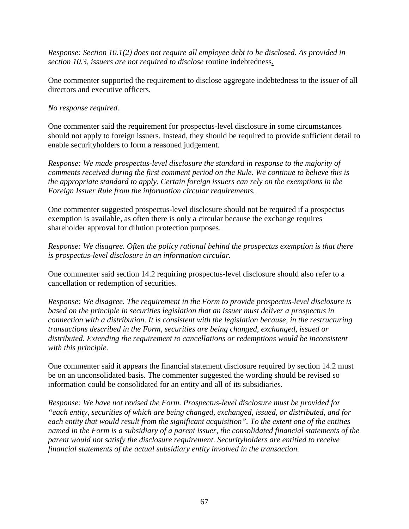*Response: Section 10.1(2) does not require all employee debt to be disclosed. As provided in section 10.3, issuers are not required to disclose* routine indebtedness.

One commenter supported the requirement to disclose aggregate indebtedness to the issuer of all directors and executive officers.

## *No response required.*

One commenter said the requirement for prospectus-level disclosure in some circumstances should not apply to foreign issuers. Instead, they should be required to provide sufficient detail to enable securityholders to form a reasoned judgement.

*Response: We made prospectus-level disclosure the standard in response to the majority of comments received during the first comment period on the Rule. We continue to believe this is the appropriate standard to apply. Certain foreign issuers can rely on the exemptions in the Foreign Issuer Rule from the information circular requirements.* 

One commenter suggested prospectus-level disclosure should not be required if a prospectus exemption is available, as often there is only a circular because the exchange requires shareholder approval for dilution protection purposes.

*Response: We disagree. Often the policy rational behind the prospectus exemption is that there is prospectus-level disclosure in an information circular.*

One commenter said section 14.2 requiring prospectus-level disclosure should also refer to a cancellation or redemption of securities.

*Response: We disagree. The requirement in the Form to provide prospectus-level disclosure is based on the principle in securities legislation that an issuer must deliver a prospectus in connection with a distribution. It is consistent with the legislation because, in the restructuring transactions described in the Form, securities are being changed, exchanged, issued or distributed. Extending the requirement to cancellations or redemptions would be inconsistent with this principle.* 

One commenter said it appears the financial statement disclosure required by section 14.2 must be on an unconsolidated basis. The commenter suggested the wording should be revised so information could be consolidated for an entity and all of its subsidiaries.

*Response: We have not revised the Form. Prospectus-level disclosure must be provided for "each entity, securities of which are being changed, exchanged, issued, or distributed, and for each entity that would result from the significant acquisition". To the extent one of the entities named in the Form is a subsidiary of a parent issuer, the consolidated financial statements of the parent would not satisfy the disclosure requirement. Securityholders are entitled to receive financial statements of the actual subsidiary entity involved in the transaction.*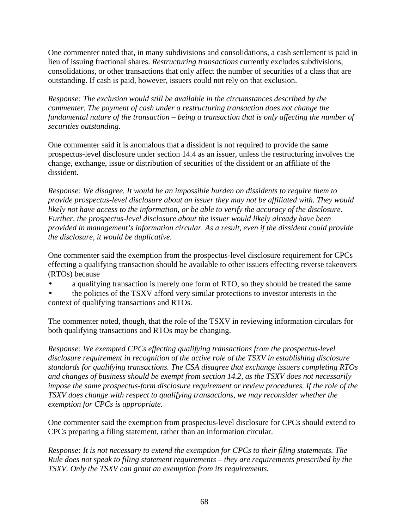One commenter noted that, in many subdivisions and consolidations, a cash settlement is paid in lieu of issuing fractional shares. *Restructuring transactions* currently excludes subdivisions, consolidations, or other transactions that only affect the number of securities of a class that are outstanding. If cash is paid, however, issuers could not rely on that exclusion.

*Response: The exclusion would still be available in the circumstances described by the commenter. The payment of cash under a restructuring transaction does not change the fundamental nature of the transaction – being a transaction that is only affecting the number of securities outstanding.* 

One commenter said it is anomalous that a dissident is not required to provide the same prospectus-level disclosure under section 14.4 as an issuer, unless the restructuring involves the change, exchange, issue or distribution of securities of the dissident or an affiliate of the dissident.

*Response: We disagree. It would be an impossible burden on dissidents to require them to provide prospectus-level disclosure about an issuer they may not be affiliated with. They would likely not have access to the information, or be able to verify the accuracy of the disclosure. Further, the prospectus-level disclosure about the issuer would likely already have been provided in management's information circular. As a result, even if the dissident could provide the disclosure, it would be duplicative.* 

One commenter said the exemption from the prospectus-level disclosure requirement for CPCs effecting a qualifying transaction should be available to other issuers effecting reverse takeovers (RTOs) because

- a qualifying transaction is merely one form of RTO, so they should be treated the same
- the policies of the TSXV afford very similar protections to investor interests in the context of qualifying transactions and RTOs.

The commenter noted, though, that the role of the TSXV in reviewing information circulars for both qualifying transactions and RTOs may be changing.

*Response: We exempted CPCs effecting qualifying transactions from the prospectus-level disclosure requirement in recognition of the active role of the TSXV in establishing disclosure standards for qualifying transactions. The CSA disagree that exchange issuers completing RTOs and changes of business should be exempt from section 14.2, as the TSXV does not necessarily impose the same prospectus-form disclosure requirement or review procedures. If the role of the TSXV does change with respect to qualifying transactions, we may reconsider whether the exemption for CPCs is appropriate.* 

One commenter said the exemption from prospectus-level disclosure for CPCs should extend to CPCs preparing a filing statement, rather than an information circular.

*Response: It is not necessary to extend the exemption for CPCs to their filing statements. The Rule does not speak to filing statement requirements – they are requirements prescribed by the TSXV. Only the TSXV can grant an exemption from its requirements.*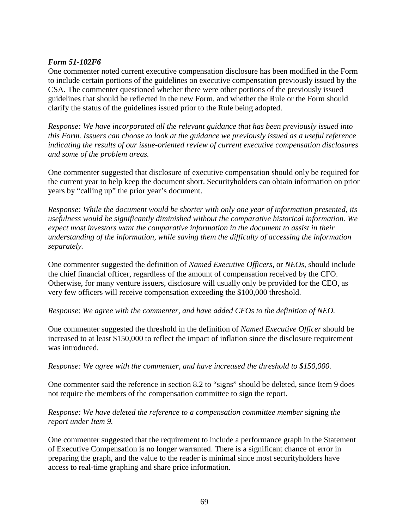#### *Form 51-102F6*

One commenter noted current executive compensation disclosure has been modified in the Form to include certain portions of the guidelines on executive compensation previously issued by the CSA. The commenter questioned whether there were other portions of the previously issued guidelines that should be reflected in the new Form, and whether the Rule or the Form should clarify the status of the guidelines issued prior to the Rule being adopted.

*Response: We have incorporated all the relevant guidance that has been previously issued into this Form. Issuers can choose to look at the guidance we previously issued as a useful reference indicating the results of our issue-oriented review of current executive compensation disclosures and some of the problem areas.* 

One commenter suggested that disclosure of executive compensation should only be required for the current year to help keep the document short. Securityholders can obtain information on prior years by "calling up" the prior year's document.

*Response: While the document would be shorter with only one year of information presented, its usefulness would be significantly diminished without the comparative historical information. We expect most investors want the comparative information in the document to assist in their understanding of the information, while saving them the difficulty of accessing the information separately.* 

One commenter suggested the definition of *Named Executive Officers*, or *NEOs*, should include the chief financial officer, regardless of the amount of compensation received by the CFO. Otherwise, for many venture issuers, disclosure will usually only be provided for the CEO, as very few officers will receive compensation exceeding the \$100,000 threshold.

#### *Response*: *We agree with the commenter, and have added CFOs to the definition of NEO.*

One commenter suggested the threshold in the definition of *Named Executive Officer* should be increased to at least \$150,000 to reflect the impact of inflation since the disclosure requirement was introduced.

#### *Response: We agree with the commenter, and have increased the threshold to \$150,000.*

One commenter said the reference in section 8.2 to "signs" should be deleted, since Item 9 does not require the members of the compensation committee to sign the report.

#### *Response: We have deleted the reference to a compensation committee member* signing *the report under Item 9.*

One commenter suggested that the requirement to include a performance graph in the Statement of Executive Compensation is no longer warranted. There is a significant chance of error in preparing the graph, and the value to the reader is minimal since most securityholders have access to real-time graphing and share price information.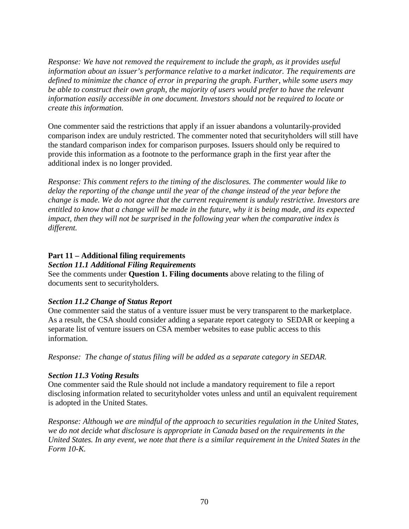*Response: We have not removed the requirement to include the graph, as it provides useful information about an issuer's performance relative to a market indicator. The requirements are defined to minimize the chance of error in preparing the graph. Further, while some users may be able to construct their own graph, the majority of users would prefer to have the relevant information easily accessible in one document. Investors should not be required to locate or create this information.* 

One commenter said the restrictions that apply if an issuer abandons a voluntarily-provided comparison index are unduly restricted. The commenter noted that securityholders will still have the standard comparison index for comparison purposes. Issuers should only be required to provide this information as a footnote to the performance graph in the first year after the additional index is no longer provided.

*Response: This comment refers to the timing of the disclosures. The commenter would like to delay the reporting of the change until the year of the change instead of the year before the change is made. We do not agree that the current requirement is unduly restrictive. Investors are entitled to know that a change will be made in the future, why it is being made, and its expected impact, then they will not be surprised in the following year when the comparative index is different.* 

#### **Part 11 – Additional filing requirements**

*Section 11.1 Additional Filing Requirements* 

See the comments under **Question 1. Filing documents** above relating to the filing of documents sent to securityholders.

## *Section 11.2 Change of Status Report*

One commenter said the status of a venture issuer must be very transparent to the marketplace. As a result, the CSA should consider adding a separate report category to SEDAR or keeping a separate list of venture issuers on CSA member websites to ease public access to this information.

*Response: The change of status filing will be added as a separate category in SEDAR.*

## *Section 11.3 Voting Results*

One commenter said the Rule should not include a mandatory requirement to file a report disclosing information related to securityholder votes unless and until an equivalent requirement is adopted in the United States.

*Response: Although we are mindful of the approach to securities regulation in the United States, we do not decide what disclosure is appropriate in Canada based on the requirements in the United States. In any event, we note that there is a similar requirement in the United States in the Form 10-K.*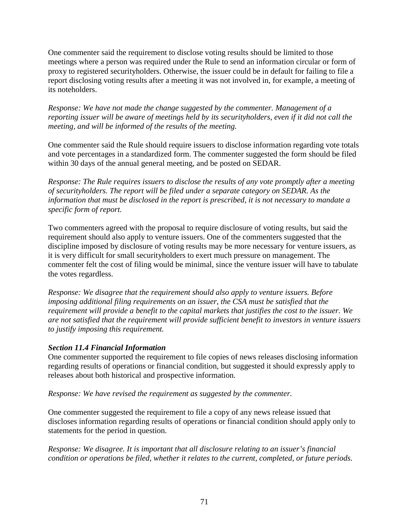One commenter said the requirement to disclose voting results should be limited to those meetings where a person was required under the Rule to send an information circular or form of proxy to registered securityholders. Otherwise, the issuer could be in default for failing to file a report disclosing voting results after a meeting it was not involved in, for example, a meeting of its noteholders.

*Response: We have not made the change suggested by the commenter. Management of a reporting issuer will be aware of meetings held by its securityholders, even if it did not call the meeting, and will be informed of the results of the meeting.* 

One commenter said the Rule should require issuers to disclose information regarding vote totals and vote percentages in a standardized form. The commenter suggested the form should be filed within 30 days of the annual general meeting, and be posted on SEDAR.

*Response: The Rule requires issuers to disclose the results of any vote promptly after a meeting of securityholders. The report will be filed under a separate category on SEDAR. As the information that must be disclosed in the report is prescribed, it is not necessary to mandate a specific form of report.* 

Two commenters agreed with the proposal to require disclosure of voting results, but said the requirement should also apply to venture issuers. One of the commenters suggested that the discipline imposed by disclosure of voting results may be more necessary for venture issuers, as it is very difficult for small securityholders to exert much pressure on management. The commenter felt the cost of filing would be minimal, since the venture issuer will have to tabulate the votes regardless.

*Response: We disagree that the requirement should also apply to venture issuers. Before imposing additional filing requirements on an issuer, the CSA must be satisfied that the requirement will provide a benefit to the capital markets that justifies the cost to the issuer. We are not satisfied that the requirement will provide sufficient benefit to investors in venture issuers to justify imposing this requirement.* 

#### *Section 11.4 Financial Information*

One commenter supported the requirement to file copies of news releases disclosing information regarding results of operations or financial condition, but suggested it should expressly apply to releases about both historical and prospective information.

*Response: We have revised the requirement as suggested by the commenter.* 

One commenter suggested the requirement to file a copy of any news release issued that discloses information regarding results of operations or financial condition should apply only to statements for the period in question.

*Response: We disagree. It is important that all disclosure relating to an issuer's financial condition or operations be filed, whether it relates to the current, completed, or future periods.*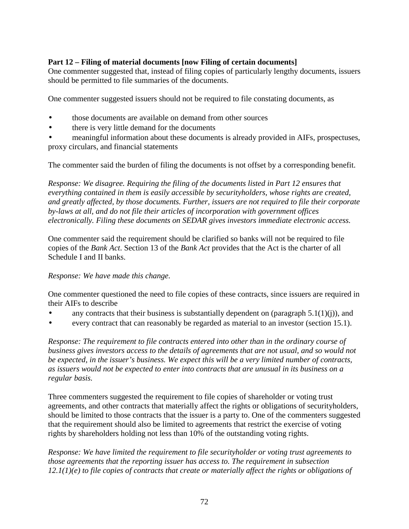# **Part 12 – Filing of material documents [now Filing of certain documents]**

One commenter suggested that, instead of filing copies of particularly lengthy documents, issuers should be permitted to file summaries of the documents.

One commenter suggested issuers should not be required to file constating documents, as

- those documents are available on demand from other sources
- there is very little demand for the documents
- meaningful information about these documents is already provided in AIFs, prospectuses, proxy circulars, and financial statements

The commenter said the burden of filing the documents is not offset by a corresponding benefit.

*Response: We disagree. Requiring the filing of the documents listed in Part 12 ensures that everything contained in them is easily accessible by securityholders, whose rights are created, and greatly affected, by those documents. Further, issuers are not required to file their corporate by-laws at all, and do not file their articles of incorporation with government offices electronically. Filing these documents on SEDAR gives investors immediate electronic access.* 

One commenter said the requirement should be clarified so banks will not be required to file copies of the *Bank Act*. Section 13 of the *Bank Act* provides that the Act is the charter of all Schedule I and II banks.

#### *Response: We have made this change.*

One commenter questioned the need to file copies of these contracts, since issuers are required in their AIFs to describe

- any contracts that their business is substantially dependent on (paragraph  $5.1(1)(i)$ ), and
- every contract that can reasonably be regarded as material to an investor (section 15.1).

*Response: The requirement to file contracts entered into other than in the ordinary course of business gives investors access to the details of agreements that are not usual, and so would not be expected, in the issuer's business. We expect this will be a very limited number of contracts, as issuers would not be expected to enter into contracts that are unusual in its business on a regular basis.* 

Three commenters suggested the requirement to file copies of shareholder or voting trust agreements, and other contracts that materially affect the rights or obligations of securityholders, should be limited to those contracts that the issuer is a party to. One of the commenters suggested that the requirement should also be limited to agreements that restrict the exercise of voting rights by shareholders holding not less than 10% of the outstanding voting rights.

*Response: We have limited the requirement to file securityholder or voting trust agreements to those agreements that the reporting issuer has access to. The requirement in subsection 12.1(1)(e) to file copies of contracts that create or materially affect the rights or obligations of*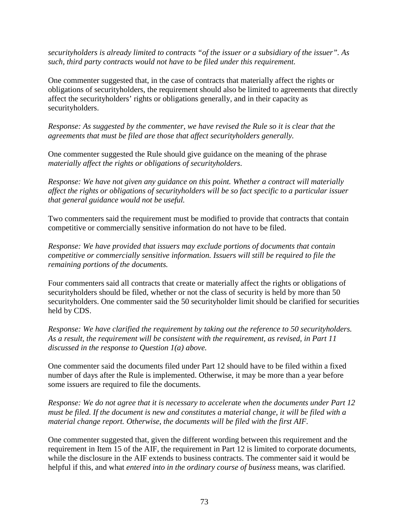*securityholders is already limited to contracts "of the issuer or a subsidiary of the issuer". As such, third party contracts would not have to be filed under this requirement.* 

One commenter suggested that, in the case of contracts that materially affect the rights or obligations of securityholders, the requirement should also be limited to agreements that directly affect the securityholders' rights or obligations generally, and in their capacity as securityholders.

*Response: As suggested by the commenter, we have revised the Rule so it is clear that the agreements that must be filed are those that affect securityholders generally.* 

One commenter suggested the Rule should give guidance on the meaning of the phrase *materially affect the rights or obligations of securityholders*.

*Response: We have not given any guidance on this point. Whether a contract will materially affect the rights or obligations of securityholders will be so fact specific to a particular issuer that general guidance would not be useful.* 

Two commenters said the requirement must be modified to provide that contracts that contain competitive or commercially sensitive information do not have to be filed.

*Response: We have provided that issuers may exclude portions of documents that contain competitive or commercially sensitive information. Issuers will still be required to file the remaining portions of the documents.* 

Four commenters said all contracts that create or materially affect the rights or obligations of securityholders should be filed, whether or not the class of security is held by more than 50 securityholders. One commenter said the 50 securityholder limit should be clarified for securities held by CDS.

*Response: We have clarified the requirement by taking out the reference to 50 securityholders. As a result, the requirement will be consistent with the requirement, as revised, in Part 11 discussed in the response to Question 1(a) above.* 

One commenter said the documents filed under Part 12 should have to be filed within a fixed number of days after the Rule is implemented. Otherwise, it may be more than a year before some issuers are required to file the documents.

*Response: We do not agree that it is necessary to accelerate when the documents under Part 12 must be filed. If the document is new and constitutes a material change, it will be filed with a material change report. Otherwise, the documents will be filed with the first AIF.* 

One commenter suggested that, given the different wording between this requirement and the requirement in Item 15 of the AIF, the requirement in Part 12 is limited to corporate documents, while the disclosure in the AIF extends to business contracts. The commenter said it would be helpful if this, and what *entered into in the ordinary course of business* means, was clarified.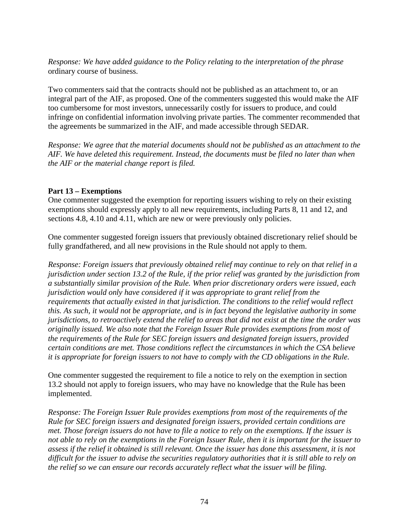*Response: We have added guidance to the Policy relating to the interpretation of the phrase*  ordinary course of business.

Two commenters said that the contracts should not be published as an attachment to, or an integral part of the AIF, as proposed. One of the commenters suggested this would make the AIF too cumbersome for most investors, unnecessarily costly for issuers to produce, and could infringe on confidential information involving private parties. The commenter recommended that the agreements be summarized in the AIF, and made accessible through SEDAR.

*Response: We agree that the material documents should not be published as an attachment to the AIF. We have deleted this requirement. Instead, the documents must be filed no later than when the AIF or the material change report is filed.* 

## **Part 13 – Exemptions**

One commenter suggested the exemption for reporting issuers wishing to rely on their existing exemptions should expressly apply to all new requirements, including Parts 8, 11 and 12, and sections 4.8, 4.10 and 4.11, which are new or were previously only policies.

One commenter suggested foreign issuers that previously obtained discretionary relief should be fully grandfathered, and all new provisions in the Rule should not apply to them.

*Response: Foreign issuers that previously obtained relief may continue to rely on that relief in a jurisdiction under section 13.2 of the Rule, if the prior relief was granted by the jurisdiction from a substantially similar provision of the Rule. When prior discretionary orders were issued, each jurisdiction would only have considered if it was appropriate to grant relief from the requirements that actually existed in that jurisdiction. The conditions to the relief would reflect this. As such, it would not be appropriate, and is in fact beyond the legislative authority in some jurisdictions, to retroactively extend the relief to areas that did not exist at the time the order was originally issued. We also note that the Foreign Issuer Rule provides exemptions from most of the requirements of the Rule for SEC foreign issuers and designated foreign issuers, provided certain conditions are met. Those conditions reflect the circumstances in which the CSA believe it is appropriate for foreign issuers to not have to comply with the CD obligations in the Rule.* 

One commenter suggested the requirement to file a notice to rely on the exemption in section 13.2 should not apply to foreign issuers, who may have no knowledge that the Rule has been implemented.

*Response: The Foreign Issuer Rule provides exemptions from most of the requirements of the Rule for SEC foreign issuers and designated foreign issuers, provided certain conditions are met. Those foreign issuers do not have to file a notice to rely on the exemptions. If the issuer is not able to rely on the exemptions in the Foreign Issuer Rule, then it is important for the issuer to assess if the relief it obtained is still relevant. Once the issuer has done this assessment, it is not difficult for the issuer to advise the securities regulatory authorities that it is still able to rely on the relief so we can ensure our records accurately reflect what the issuer will be filing.*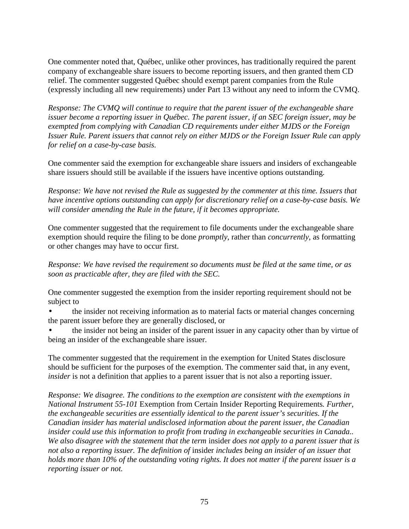One commenter noted that, Québec, unlike other provinces, has traditionally required the parent company of exchangeable share issuers to become reporting issuers, and then granted them CD relief. The commenter suggested Québec should exempt parent companies from the Rule (expressly including all new requirements) under Part 13 without any need to inform the CVMQ.

*Response: The CVMQ will continue to require that the parent issuer of the exchangeable share issuer become a reporting issuer in Québec. The parent issuer, if an SEC foreign issuer, may be exempted from complying with Canadian CD requirements under either MJDS or the Foreign Issuer Rule. Parent issuers that cannot rely on either MJDS or the Foreign Issuer Rule can apply for relief on a case-by-case basis.* 

One commenter said the exemption for exchangeable share issuers and insiders of exchangeable share issuers should still be available if the issuers have incentive options outstanding.

*Response: We have not revised the Rule as suggested by the commenter at this time. Issuers that have incentive options outstanding can apply for discretionary relief on a case-by-case basis. We will consider amending the Rule in the future, if it becomes appropriate.* 

One commenter suggested that the requirement to file documents under the exchangeable share exemption should require the filing to be done *promptly*, rather than *concurrently*, as formatting or other changes may have to occur first.

*Response: We have revised the requirement so documents must be filed at the same time, or as soon as practicable after, they are filed with the SEC.* 

One commenter suggested the exemption from the insider reporting requirement should not be subject to

• the insider not receiving information as to material facts or material changes concerning the parent issuer before they are generally disclosed, or

• the insider not being an insider of the parent issuer in any capacity other than by virtue of being an insider of the exchangeable share issuer.

The commenter suggested that the requirement in the exemption for United States disclosure should be sufficient for the purposes of the exemption. The commenter said that, in any event, *insider* is not a definition that applies to a parent issuer that is not also a reporting issuer.

*Response: We disagree. The conditions to the exemption are consistent with the exemptions in National Instrument 55-101* Exemption from Certain Insider Reporting Requirements*. Further, the exchangeable securities are essentially identical to the parent issuer's securities. If the Canadian insider has material undisclosed information about the parent issuer, the Canadian insider could use this information to profit from trading in exchangeable securities in Canada.. We also disagree with the statement that the term* insider *does not apply to a parent issuer that is not also a reporting issuer. The definition of* insider *includes being an insider of an issuer that holds more than 10% of the outstanding voting rights. It does not matter if the parent issuer is a reporting issuer or not.*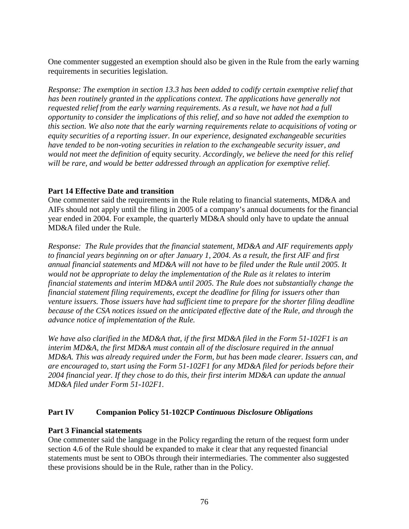One commenter suggested an exemption should also be given in the Rule from the early warning requirements in securities legislation.

*Response: The exemption in section 13.3 has been added to codify certain exemptive relief that has been routinely granted in the applications context. The applications have generally not requested relief from the early warning requirements. As a result, we have not had a full opportunity to consider the implications of this relief, and so have not added the exemption to this section. We also note that the early warning requirements relate to acquisitions of voting or equity securities of a reporting issuer. In our experience, designated exchangeable securities have tended to be non-voting securities in relation to the exchangeable security issuer, and would not meet the definition of* equity security*. Accordingly, we believe the need for this relief will be rare, and would be better addressed through an application for exemptive relief.* 

# **Part 14 Effective Date and transition**

One commenter said the requirements in the Rule relating to financial statements, MD&A and AIFs should not apply until the filing in 2005 of a company's annual documents for the financial year ended in 2004. For example, the quarterly MD&A should only have to update the annual MD&A filed under the Rule.

*Response: The Rule provides that the financial statement, MD&A and AIF requirements apply to financial years beginning on or after January 1, 2004. As a result, the first AIF and first annual financial statements and MD&A will not have to be filed under the Rule until 2005. It would not be appropriate to delay the implementation of the Rule as it relates to interim financial statements and interim MD&A until 2005. The Rule does not substantially change the financial statement filing requirements, except the deadline for filing for issuers other than venture issuers. Those issuers have had sufficient time to prepare for the shorter filing deadline because of the CSA notices issued on the anticipated effective date of the Rule, and through the advance notice of implementation of the Rule.* 

*We have also clarified in the MD&A that, if the first MD&A filed in the Form 51-102F1 is an interim MD&A, the first MD&A must contain all of the disclosure required in the annual MD&A. This was already required under the Form, but has been made clearer. Issuers can, and are encouraged to, start using the Form 51-102F1 for any MD&A filed for periods before their 2004 financial year. If they chose to do this, their first interim MD&A can update the annual MD&A filed under Form 51-102F1.* 

# **Part IV Companion Policy 51-102CP** *Continuous Disclosure Obligations*

## **Part 3 Financial statements**

One commenter said the language in the Policy regarding the return of the request form under section 4.6 of the Rule should be expanded to make it clear that any requested financial statements must be sent to OBOs through their intermediaries. The commenter also suggested these provisions should be in the Rule, rather than in the Policy.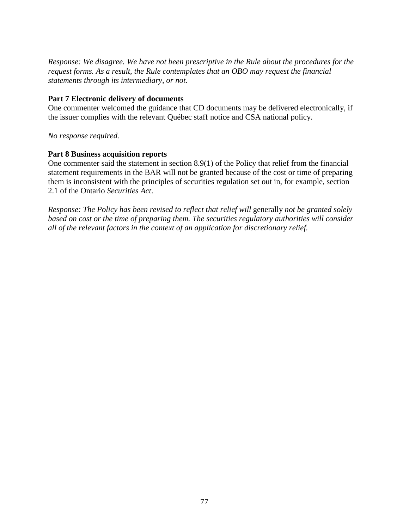*Response: We disagree. We have not been prescriptive in the Rule about the procedures for the request forms. As a result, the Rule contemplates that an OBO may request the financial statements through its intermediary, or not.* 

## **Part 7 Electronic delivery of documents**

One commenter welcomed the guidance that CD documents may be delivered electronically, if the issuer complies with the relevant Québec staff notice and CSA national policy.

# *No response required.*

# **Part 8 Business acquisition reports**

One commenter said the statement in section 8.9(1) of the Policy that relief from the financial statement requirements in the BAR will not be granted because of the cost or time of preparing them is inconsistent with the principles of securities regulation set out in, for example, section 2.1 of the Ontario *Securities Act*.

*Response: The Policy has been revised to reflect that relief will generally not be granted solely based on cost or the time of preparing them. The securities regulatory authorities will consider all of the relevant factors in the context of an application for discretionary relief.*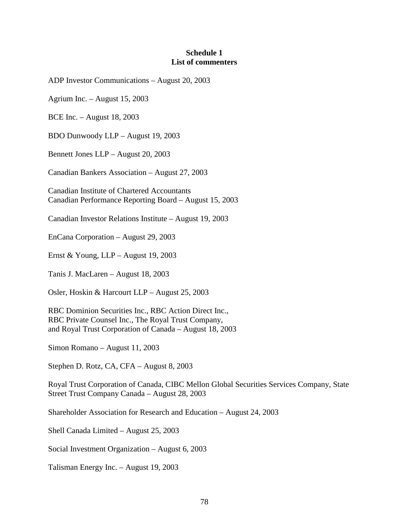### **Schedule 1 List of commenters**

ADP Investor Communications – August 20, 2003

Agrium Inc. – August 15, 2003

BCE Inc. – August 18, 2003

BDO Dunwoody LLP – August 19, 2003

Bennett Jones LLP – August 20, 2003

Canadian Bankers Association – August 27, 2003

Canadian Institute of Chartered Accountants Canadian Performance Reporting Board – August 15, 2003

Canadian Investor Relations Institute – August 19, 2003

EnCana Corporation – August 29, 2003

Ernst & Young, LLP – August 19, 2003

Tanis J. MacLaren – August 18, 2003

Osler, Hoskin & Harcourt LLP – August 25, 2003

RBC Dominion Securities Inc., RBC Action Direct Inc., RBC Private Counsel Inc., The Royal Trust Company, and Royal Trust Corporation of Canada – August 18, 2003

Simon Romano – August 11, 2003

Stephen D. Rotz, CA, CFA – August 8, 2003

Royal Trust Corporation of Canada, CIBC Mellon Global Securities Services Company, State Street Trust Company Canada – August 28, 2003

Shareholder Association for Research and Education – August 24, 2003

Shell Canada Limited – August 25, 2003

Social Investment Organization – August 6, 2003

Talisman Energy Inc. – August 19, 2003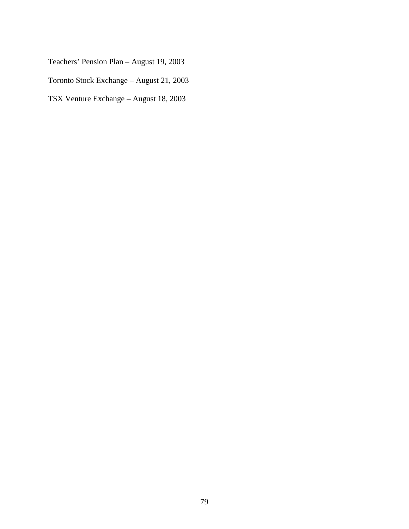Teachers' Pension Plan – August 19, 2003

Toronto Stock Exchange – August 21, 2003

TSX Venture Exchange – August 18, 2003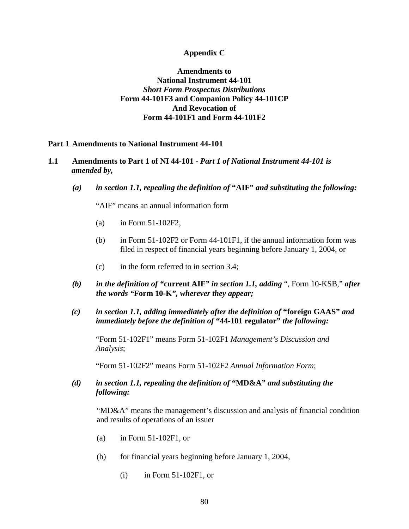### **Appendix C**

# **Amendments to National Instrument 44-101**  *Short Form Prospectus Distributions* **Form 44-101F3 and Companion Policy 44-101CP And Revocation of Form 44-101F1 and Form 44-101F2**

#### **Part 1 Amendments to National Instrument 44-101**

### **1.1 Amendments to Part 1 of NI 44-101 -** *Part 1 of National Instrument 44-101 is amended by,*

*(a) in section 1.1, repealing the definition of* **"AIF"** *and substituting the following:* 

"AIF" means an annual information form

- (a) in Form 51-102F2,
- (b) in Form 51-102F2 or Form 44-101F1, if the annual information form was filed in respect of financial years beginning before January 1, 2004, or
- (c) in the form referred to in section 3.4;
- *(b) in the definition of "***current AIF***" in section 1.1, adding* ", Form 10-KSB," *after the words "***Form 10-K***", wherever they appear;*
- *(c) in section 1.1, adding immediately after the definition of* **"foreign GAAS"** *and immediately before the definition of* **"44-101 regulator"** *the following:*

"Form 51-102F1" means Form 51-102F1 *Management's Discussion and Analysis*;

"Form 51-102F2" means Form 51-102F2 *Annual Information Form*;

*(d) in section 1.1, repealing the definition of* **"MD&A"** *and substituting the following:* 

"MD&A" means the management's discussion and analysis of financial condition and results of operations of an issuer

- (a) in Form 51-102F1, or
- (b) for financial years beginning before January 1, 2004,
	- (i) in Form 51-102F1, or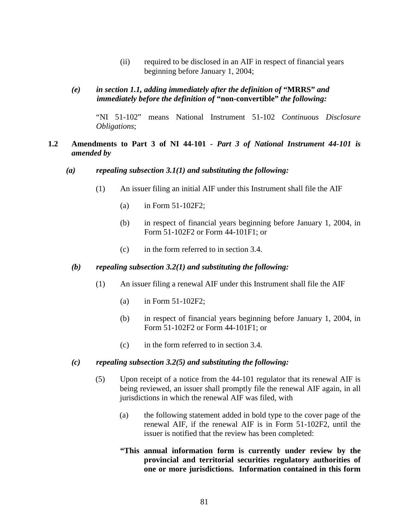- (ii) required to be disclosed in an AIF in respect of financial years beginning before January 1, 2004;
- *(e) in section 1.1, adding immediately after the definition of* **"MRRS"** *and immediately before the definition of* **"non-convertible"** *the following:*

"NI 51-102" means National Instrument 51-102 *Continuous Disclosure Obligations*;

# **1.2 Amendments to Part 3 of NI 44-101 -** *Part 3 of National Instrument 44-101 is amended by*

#### *(a) repealing subsection 3.1(1) and substituting the following:*

- (1) An issuer filing an initial AIF under this Instrument shall file the AIF
	- (a) in Form 51-102F2;
	- (b) in respect of financial years beginning before January 1, 2004, in Form 51-102F2 or Form 44-101F1; or
	- (c) in the form referred to in section 3.4.

#### *(b) repealing subsection 3.2(1) and substituting the following:*

- (1) An issuer filing a renewal AIF under this Instrument shall file the AIF
	- (a) in Form 51-102F2;
	- (b) in respect of financial years beginning before January 1, 2004, in Form 51-102F2 or Form 44-101F1; or
	- (c) in the form referred to in section 3.4.

#### *(c) repealing subsection 3.2(5) and substituting the following:*

- (5) Upon receipt of a notice from the 44-101 regulator that its renewal AIF is being reviewed, an issuer shall promptly file the renewal AIF again, in all jurisdictions in which the renewal AIF was filed, with
	- (a) the following statement added in bold type to the cover page of the renewal AIF, if the renewal AIF is in Form 51-102F2, until the issuer is notified that the review has been completed:
	- **"This annual information form is currently under review by the provincial and territorial securities regulatory authorities of one or more jurisdictions. Information contained in this form**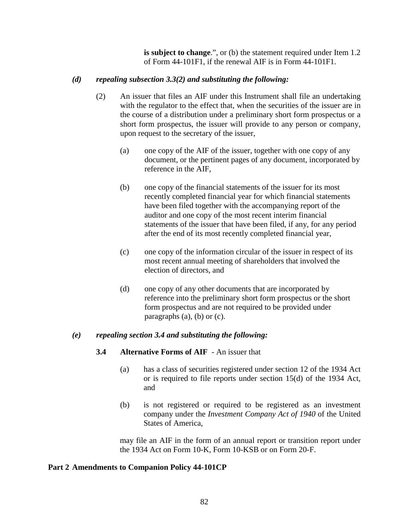**is subject to change**.", or (b) the statement required under Item 1.2 of Form 44-101F1, if the renewal AIF is in Form 44-101F1.

# *(d) repealing subsection 3.3(2) and substituting the following:*

- (2) An issuer that files an AIF under this Instrument shall file an undertaking with the regulator to the effect that, when the securities of the issuer are in the course of a distribution under a preliminary short form prospectus or a short form prospectus, the issuer will provide to any person or company, upon request to the secretary of the issuer,
	- (a) one copy of the AIF of the issuer, together with one copy of any document, or the pertinent pages of any document, incorporated by reference in the AIF,
	- (b) one copy of the financial statements of the issuer for its most recently completed financial year for which financial statements have been filed together with the accompanying report of the auditor and one copy of the most recent interim financial statements of the issuer that have been filed, if any, for any period after the end of its most recently completed financial year,
	- (c) one copy of the information circular of the issuer in respect of its most recent annual meeting of shareholders that involved the election of directors, and
	- (d) one copy of any other documents that are incorporated by reference into the preliminary short form prospectus or the short form prospectus and are not required to be provided under paragraphs (a), (b) or (c).

## *(e) repealing section 3.4 and substituting the following:*

## **3.4 Alternative Forms of AIF** - An issuer that

- (a) has a class of securities registered under section 12 of the 1934 Act or is required to file reports under section 15(d) of the 1934 Act, and
- (b) is not registered or required to be registered as an investment company under the *Investment Company Act of 1940* of the United States of America,

may file an AIF in the form of an annual report or transition report under the 1934 Act on Form 10-K, Form 10-KSB or on Form 20-F.

## **Part 2 Amendments to Companion Policy 44-101CP**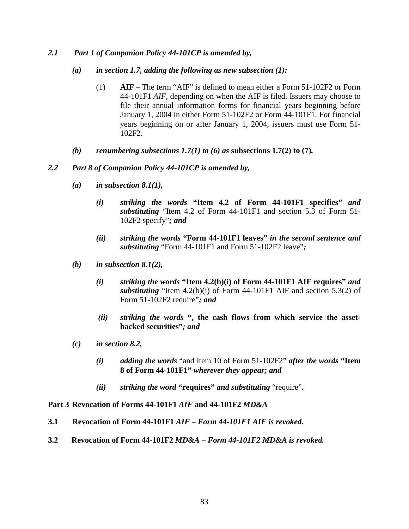## *2.1 Part 1 of Companion Policy 44-101CP is amended by,*

- *(a) in section 1.7, adding the following as new subsection (1):* 
	- (1) **AIF**  The term "AIF" is defined to mean either a Form 51-102F2 or Form 44-101F1 *AIF*, depending on when the AIF is filed. Issuers may choose to file their annual information forms for financial years beginning before January 1, 2004 in either Form 51-102F2 or Form 44-101F1. For financial years beginning on or after January 1, 2004, issuers must use Form 51- 102F2.
- *(b) renumbering subsections 1.7(1) to (6) as* **subsections 1.7(2) to (7)***.*

### *2.2 Part 8 of Companion Policy 44-101CP is amended by,*

- *(a) in subsection 8.1(1),* 
	- *(i) striking the words* **"Item 4.2 of Form 44-101F1 specifies"** *and substituting* "Item 4.2 of Form 44-101F1 and section 5.3 of Form 51- 102F2 specify"*; and*
	- *(ii) striking the words* **"Form 44-101F1 leaves"** *in the second sentence and substituting* "Form 44-101F1 and Form 51-102F2 leave"*;*
- *(b) in subsection 8.1(2),* 
	- *(i) striking the words* **"Item 4.2(b)(i) of Form 44-101F1 AIF requires"** *and substituting* "Item 4.2(b)(i) of Form 44-101F1 AIF and section 5.3(2) of Form 51-102F2 require"*; and*
	- *(ii) striking the words* **", the cash flows from which service the assetbacked securities"***; and*
- *(c) in section 8.2,* 
	- *(i) adding the words* "and Item 10 of Form 51-102F2" *after the words* **"Item 8 of Form 44-101F1"** *wherever they appear; and*
	- *(ii) striking the word* **"requires"** *and substituting* "require"*.*

#### **Part 3 Revocation of Forms 44-101F1** *AIF* **and 44-101F2** *MD&A*

- **3.1 Revocation of Form 44-101F1** *AIF Form 44-101F1 AIF is revoked.*
- **3.2 Revocation of Form 44-101F2** *MD&A Form 44-101F2 MD&A is revoked.*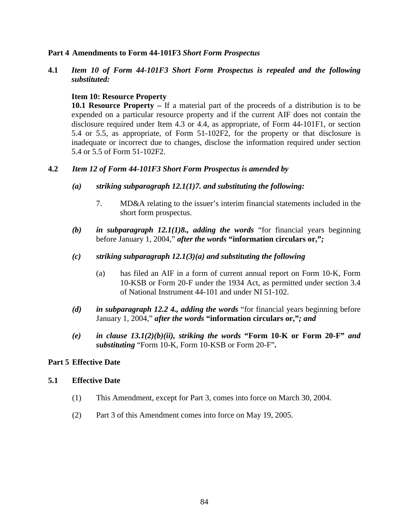### **Part 4 Amendments to Form 44-101F3** *Short Form Prospectus*

**4.1** *Item 10 of Form 44-101F3 Short Form Prospectus is repealed and the following substituted:* 

### **Item 10: Resource Property**

**10.1 Resource Property –** If a material part of the proceeds of a distribution is to be expended on a particular resource property and if the current AIF does not contain the disclosure required under Item 4.3 or 4.4, as appropriate, of Form 44-101F1, or section 5.4 or 5.5, as appropriate, of Form 51-102F2, for the property or that disclosure is inadequate or incorrect due to changes, disclose the information required under section 5.4 or 5.5 of Form 51-102F2.

### **4.2** *Item 12 of Form 44-101F3 Short Form Prospectus is amended by*

- *(a) striking subparagraph 12.1(1)7. and substituting the following:* 
	- 7. MD&A relating to the issuer's interim financial statements included in the short form prospectus.
- *(b) in subparagraph 12.1(1)8., adding the words* "for financial years beginning before January 1, 2004," *after the words* **"information circulars or,"***;*

### *(c) striking subparagraph 12.1(3)(a) and substituting the following*

- (a) has filed an AIF in a form of current annual report on Form 10-K, Form 10-KSB or Form 20-F under the 1934 Act, as permitted under section 3.4 of National Instrument 44-101 and under NI 51-102.
- *(d) in subparagraph 12.2 4., adding the words* "for financial years beginning before January 1, 2004," *after the words* **"information circulars or,"***; and*
- *(e) in clause 13.1(2)(b)(ii), striking the words* **"Form 10-K or Form 20-F"** *and substituting* "Form 10-K, Form 10-KSB or Form 20-F"*.*

## **Part 5 Effective Date**

#### **5.1 Effective Date**

- (1) This Amendment, except for Part 3, comes into force on March 30, 2004.
- (2) Part 3 of this Amendment comes into force on May 19, 2005.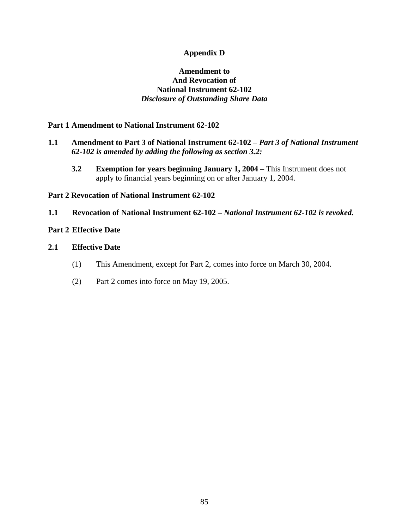# **Appendix D**

# **Amendment to And Revocation of National Instrument 62-102**  *Disclosure of Outstanding Share Data*

## **Part 1 Amendment to National Instrument 62-102**

## **1.1 Amendment to Part 3 of National Instrument 62-102** – *Part 3 of National Instrument 62-102 is amended by adding the following as section 3.2:*

**3.2** Exemption for years beginning January 1, 2004 – This Instrument does not apply to financial years beginning on or after January 1, 2004.

### **Part 2 Revocation of National Instrument 62-102**

**1.1 Revocation of National Instrument 62-102 –** *National Instrument 62-102 is revoked.*

## **Part 2 Effective Date**

## **2.1 Effective Date**

- (1) This Amendment, except for Part 2, comes into force on March 30, 2004.
- (2) Part 2 comes into force on May 19, 2005.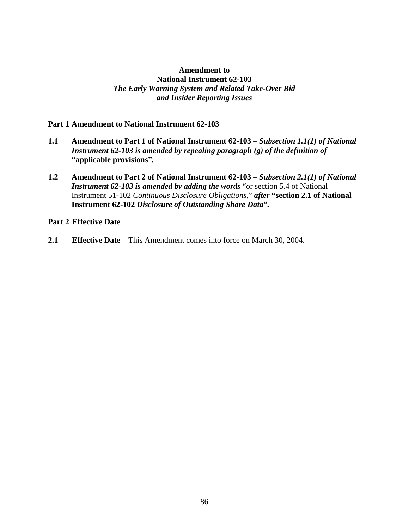# **Amendment to National Instrument 62-103**  *The Early Warning System and Related Take-Over Bid and Insider Reporting Issues*

### **Part 1 Amendment to National Instrument 62-103**

- **1.1 Amendment to Part 1 of National Instrument 62-103** *Subsection 1.1(1) of National Instrument 62-103 is amended by repealing paragraph (g) of the definition of*  **"applicable provisions"***.*
- **1.2 Amendment to Part 2 of National Instrument 62-103** *Subsection 2.1(1) of National Instrument 62-103 is amended by adding the words* "or section 5.4 of National Instrument 51-102 *Continuous Disclosure Obligations*," *after* **"section 2.1 of National Instrument 62-102** *Disclosure of Outstanding Share Data***"***.*

### **Part 2 Effective Date**

**2.1 Effective Date** – This Amendment comes into force on March 30, 2004.